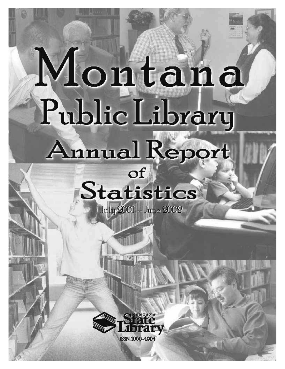# Montana Public Library Annual Report

# Of Statistics July 2001-- June 2002

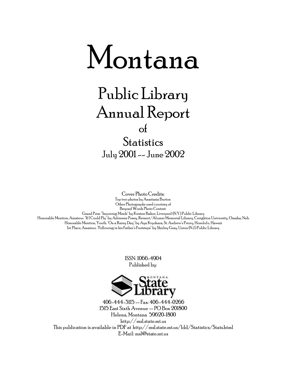

# Public Library Annual Report of **Statistics** July 2001 -- June 2002

Cover Photo Credits: Top two photos by Anastasia Burton Other Photographs used courtesy of Beyond Words Photo Contest:

Grand Prize "Inquiring Minds" by Kirsten Baker, Liverpool (N.Y.) Public Library Honorable Mention, Amateur. "If I Could Fly" by Adrienne Posey, Reinert/Alumni Memorial Library, Creighton University, Omaha, Neb. Honorable Mention, Youth. "On a Rainy Day" by Aya Kiyohara, St. Andrew's Priory, Honolulu, Hawaii 1st Place, Amateur. "Following in his Father's Footsteps" by Shirley Gray, Union (N.J.) Public Library

> ISSN: 1066-4904 Published by:



406-444-3115 -- Fax: 406-444-0266 1515 East Sixth Avenue -- PO Box 201800 Helena, Montana 59620-1800 http://msl.state.mt.us This publication is available in PDF at http://msl.state.mt.us/ldd/Statistics/Stats.html E-Mail: msl@state.mt.us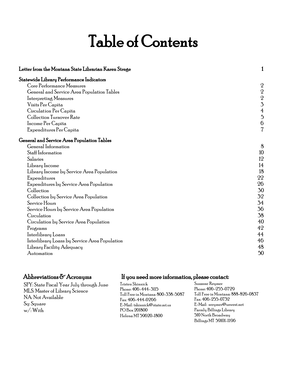# Table of Contents

| Letter from the Montana State Librarian Karen Strege | 1                |
|------------------------------------------------------|------------------|
| Statewide Library Performance Indicators             |                  |
| Core Performance Measures                            | $\sqrt{2}$       |
| General and Service Area Population Tables           |                  |
| Interpreting Measures                                | $\frac{2}{2}$    |
| Visits Per Capita                                    | $\overline{3}$   |
| Circulation Per Capita                               | $\overline{4}$   |
| <b>Collection Turnover Rate</b>                      | $\overline{5}$   |
| Income Per Capita                                    | $\boldsymbol{6}$ |
| Expenditures Per Capita                              | $\overline{7}$   |
| General and Service Area Population Tables           |                  |
| General Information                                  | 8                |
| Staff Information                                    | 10               |
| Salaries                                             | 12               |
| Library Income                                       | 14               |
| Library Income by Service Area Population            | 18               |
| Expenditures                                         | 22               |
| Expenditures by Service Area Population              | 26               |
| Collection                                           | 30               |
| Collection by Service Area Population                | 32               |
| Service Hours                                        | 34               |
| Service Hours by Service Area Population             | 36               |
| Circulation                                          | 38               |
| Circulation by Service Area Population               | 40               |
| Programs                                             | 42               |
| Interlibrary Loans                                   | 44               |
| Interlibrary Loans by Service Area Population        | 46               |
| Library Facility Adequacy                            | 48               |
| Automation                                           | 50               |
|                                                      |                  |

SFY: State Fiscal Year July through June MLS: Master of Library Science NA: Not Available Sq: Square w/: With

### Abbreviations  $\delta$  Acronyms If you need more information, please contact:

Tristen Shinnick Phone: 406-444-3115 Toll Free in Montana: 800-338-5087 Fax: 406-444-0266 E-Mail: tshinnick@state.mt.us PO Box 201800 Helena MT 59620-1800

Suzanne Reymer Phone: 406-255-0729 Toll Free in Montana: 888-826-0837 Fax: 406-255-0732 E-Mail: sreymer@uswest.net Parmly Billings Library 510 North Broadway Billings MT 59101-1196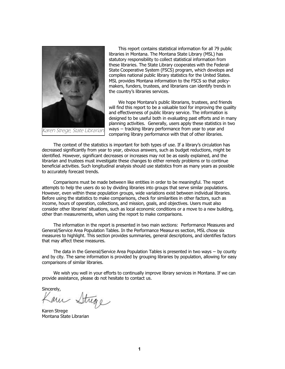<span id="page-3-0"></span>

This report contains statistical information for all 79 public libraries in Montana. The Montana State Library (MSL) has statutory responsibility to collect statistical information from these libraries. The State Library cooperates with the Federal-State Cooperative System (FSCS) program, which develops and compiles national public library statistics for the United States. MSL provides Montana information to the FSCS so that policymakers, funders, trustees, and librarians can identify trends in the country's libraries services.

We hope Montana's public librarians, trustees, and friends will find this report to be a valuable tool for improving the quality and effectiveness of public library service. The information is designed to be useful both in evaluating past efforts and in many planning activities. Generally, users apply these statistics in two ways -- tracking library performance from year to year and comparing library performance with that of other libraries.

The context of the statistics is important for both types of use. If a library's circulation has decreased significantly from year to year, obvious answers, such as budget reductions, might be identified. However, significant decreases or increases may not be as easily explained, and the librarian and trustees must investigate these changes to either remedy problems or to continue beneficial activities. Such longitudinal analysis should use statistics from as many years as possible to accurately forecast trends.

Comparisons must be made between like entities in order to be meaningful. The report attempts to help the users do so by dividing libraries into groups that serve similar populations. However, even within these population groups, wide variations exist between individual libraries. Before using the statistics to make comparisons, check for similarities in other factors, such as income, hours of operation, collections, and mission, goals, and objectives. Users must also consider other libraries' situations, such as local economic conditions or a move to a new building, other than measurements, when using the report to make comparisons.

The information in the report is presented in two main sections: Performance Measures and General/Service Area Population Tables. In the Performance Measures section, MSL chose six measures to highlight. This section provides summaries, general descriptions, and identifies factors that may affect these measures.

The data in the General/Service Area Population Tables is presented in two ways -- by county and by city. The same information is provided by grouping libraries by population, allowing for easy comparisons of similar libraries.

We wish you well in your efforts to continually improve library services in Montana. If we can provide assistance, please do not hesitate to contact us.

sincerely,<br>Karn Strege

Karen Strege Montana State Librarian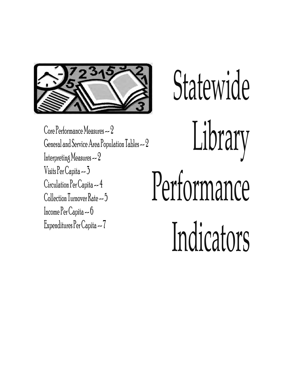<span id="page-4-0"></span>

[Core Performance Measures -- 2](#page-5-0) [General and Service Area Population Tables -- 2](#page-5-0) [Interpreting Measures -- 2](#page-5-0) [Visits Per Capita -- 3](#page-6-0) [Circulation Per Capita -- 4](#page-7-0) [Collection Turnover Rate -- 5](#page-8-0) [Income Per Capita -- 6](#page-9-0) [Expenditures Per Capita -- 7](#page-10-0)

Statewide Library Performance Indicators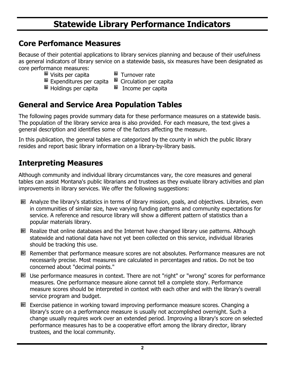### **Statewide Library Performance Indicators**

### <span id="page-5-0"></span>**Core Perfomance Measures**

Because of their potential applications to library services planning and because of their usefulness as general indicators of library service on a statewide basis, six measures have been designated as core performance measures:

- 
- Visits per capita<br>
Expenditures per capita 
Expenditures per capita
- $E$  Expenditures per capita
- 
- 
- $\blacksquare$  Holdings per capita  $\blacksquare$  Income per capita

### **General and Service Area Population Tables**

The following pages provide summary data for these performance measures on a statewide basis. The population of the library service area is also provided. For each measure, the text gives a general description and identifies some of the factors affecting the measure.

In this publication, the general tables are categorized by the county in which the public library resides and report basic library information on a library-by-library basis.

### **Interpreting Measures**

Although community and individual library circumstances vary, the core measures and general tables can assist Montana's public librarians and trustees as they evaluate library activities and plan improvements in library services. We offer the following suggestions:

- **Analyze the library's statistics in terms of library mission, goals, and objectives. Libraries, even** in communities of similar size, have varying funding patterns and community expectations for service. A reference and resource library will show a different pattern of statistics than a popular materials library.
- Realize that online databases and the Internet have changed library use patterns. Although statewide and national data have not yet been collected on this service, individual libraries should be tracking this use.
- Remember that performance measure scores are not absolutes. Performance measures are not necessarily precise. Most measures are calculated in percentages and ratios. Do not be too concerned about "decimal points."
- Use performance measures in context. There are not "right" or "wrong" scores for performance measures. One performance measure alone cannot tell a complete story. Performance measure scores should be interpreted in context with each other and with the library's overall service program and budget.
- **EXECTED** Exercise patience in working toward improving performance measure scores. Changing a library's score on a performance measure is usually not accomplished overnight. Such a change usually requires work over an extended period. Improving a library's score on selected performance measures has to be a cooperative effort among the library director, library trustees, and the local community.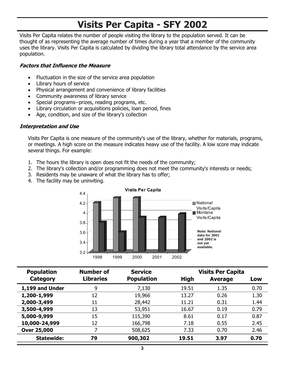### **Visits Per Capita - SFY 2002**

<span id="page-6-0"></span>Visits Per Capita relates the number of people visiting the library to the population served. It can be thought of as representing the average number of times during a year that a member of the community uses the library. Visits Per Capita is calculated by dividing the library total attendance by the service area population.

### **Factors that Influence the Measure**

- $\bullet$ Fluctuation in the size of the service area population
- $\bullet$ Library hours of service
- $\bullet$ Physical arrangement and convenience of library facilities
- Community awareness of library service
- Special programs--prizes, reading programs, etc.
- $\bullet$ Library circulation or acquisitions policies, loan period, fines
- $\bullet$ Age, condition, and size of the library's collection

### **Interpretation and Use**

 Visits Per Capita is one measure of the community's use of the library, whether for materials, programs, or meetings. A high score on the measure indicates heavy use of the facility. A low score may indicate several things. For example:

- 1. The hours the library is open does not fit the needs of the community;
- 2. The library's collection and/or programming does not meet the community's interests or needs;
- 3. Residents may be unaware of what the library has to offer;
- 4. The facility may be uninviting.



| <b>Population</b>  | <b>Number of</b> | <b>Service</b>    |             | <b>Visits Per Capita</b> |      |
|--------------------|------------------|-------------------|-------------|--------------------------|------|
| Category           | <b>Libraries</b> | <b>Population</b> | <b>High</b> | <b>Average</b>           | Low  |
| 1,199 and Under    | 9                | 7,130             | 19.51       | 1.35                     | 0.70 |
| 1,200-1,999        | 12               | 19,966            | 13.27       | 0.26                     | 1.30 |
| 2,000-3,499        | 11               | 28,442            | 11.21       | 0.31                     | 1.44 |
| 3,500-4,999        | 13               | 53,951            | 16.67       | 0.19                     | 0.79 |
| 5,000-9,999        | 15               | 115,390           | 8.61        | 0.17                     | 0.87 |
| 10,000-24,999      | 12               | 166,798           | 7.18        | 0.55                     | 2.45 |
| <b>Over 25,000</b> |                  | 508,625           | 7.33        | 0.70                     | 2.46 |
| <b>Statewide:</b>  | 79               | 900,302           | 19.51       | 3.97                     | 0.70 |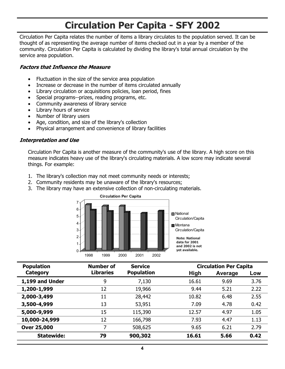### **Circulation Per Capita - SFY 2002**

<span id="page-7-0"></span>Circulation Per Capita relates the number of items a library circulates to the population served. It can be thought of as representing the average number of items checked out in a year by a member of the community. Circulation Per Capita is calculated by dividing the library's total annual circulation by the service area population.

#### **Factors that Influence the Measure**

- -Fluctuation in the size of the service area population
- $\bullet$ Increase or decrease in the number of items circulated annually
- Library circulation or acquisitions policies, loan period, fines
- $\bullet$ Special programs--prizes, reading programs, etc.
- Community awareness of library service
- Library hours of service
- Number of library users
- $\bullet$ Age, condition, and size of the library's collection
- $\bullet$ Physical arrangement and convenience of library facilities

#### **Interpretation and Use**

Circulation Per Capita is another measure of the community's use of the library. A high score on this measure indicates heavy use of the library's circulating materials. A low score may indicate several things. For example:

- 1. The library's collection may not meet community needs or interests;
- 2. Community residents may be unaware of the library's resources;
- 3. The library may have an extensive collection of non-circulating materials.



| <b>Population</b>  | <b>Number of</b> | <b>Service</b>    |       | <b>Circulation Per Capita</b> |      |
|--------------------|------------------|-------------------|-------|-------------------------------|------|
| Category           | <b>Libraries</b> | <b>Population</b> | High  | Average                       | Low  |
| 1,199 and Under    | 9                | 7,130             | 16.61 | 9.69                          | 3.76 |
| 1,200-1,999        | 12               | 19,966            | 9.44  | 5.21                          | 2.22 |
| 2,000-3,499        | 11               | 28,442            | 10.82 | 6.48                          | 2.55 |
| 3,500-4,999        | 13               | 53,951            | 7.09  | 4.78                          | 0.42 |
| 5,000-9,999        | 15               | 115,390           | 12.57 | 4.97                          | 1.05 |
| 10,000-24,999      | 12               | 166,798           | 7.93  | 4.47                          | 1.13 |
| <b>Over 25,000</b> | 7                | 508,625           | 9.65  | 6.21                          | 2.79 |
| <b>Statewide:</b>  | 79               | 900,302           | 16.61 | 5.66                          | 0.42 |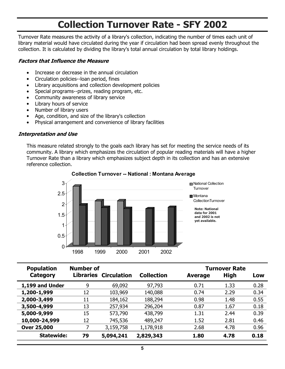### **Collection Turnover Rate - SFY 2002**

<span id="page-8-0"></span>Turnover Rate measures the activity of a library's collection, indicating the number of times each unit of library material would have circulated during the year if circulation had been spread evenly throughout the collection. It is calculated by dividing the library's total annual circulation by total library holdings.

### **Factors that Influence the Measure**

- $\bullet$ Increase or decrease in the annual circulation
- $\bullet$ Circulation policies--loan period, fines
- Library acquisitions and collection development policies
- Special programs--prizes, reading program, etc.
- Community awareness of library service
- Library hours of service
- Number of library users
- Age, condition, and size of the library's collection
- $\bullet$ Physical arrangement and convenience of library facilities

### **Interpretation and Use**

This measure related strongly to the goals each library has set for meeting the service needs of its community. A library which emphasizes the circulation of popular reading materials will have a higher Turnover Rate than a library which emphasizes subject depth in its collection and has an extensive reference collection.



### **Collection Turnover -- National : Montana Average**

| <b>Population</b>  | <b>Number of</b> |                              |                   |                | <b>Turnover Rate</b> |      |
|--------------------|------------------|------------------------------|-------------------|----------------|----------------------|------|
| Category           |                  | <b>Libraries Circulation</b> | <b>Collection</b> | <b>Average</b> | High                 | Low  |
| 1,199 and Under    | 9                | 69,092                       | 97,793            | 0.71           | 1.33                 | 0.28 |
| 1,200-1,999        | 12               | 103,969                      | 140,088           | 0.74           | 2.29                 | 0.34 |
| 2,000-3,499        | 11               | 184,162                      | 188,294           | 0.98           | 1.48                 | 0.55 |
| 3,500-4,999        | 13               | 257,934                      | 296,204           | 0.87           | 1.67                 | 0.18 |
| 5,000-9,999        | 15               | 573,790                      | 438,799           | 1.31           | 2.44                 | 0.39 |
| 10,000-24,999      | 12               | 745,536                      | 489,247           | 1.52           | 2.81                 | 0.46 |
| <b>Over 25,000</b> |                  | 3,159,758                    | 1,178,918         | 2.68           | 4.78                 | 0.96 |
| <b>Statewide:</b>  | 79               | 5,094,241                    | 2,829,343         | 1.80           | 4.78                 | 0.18 |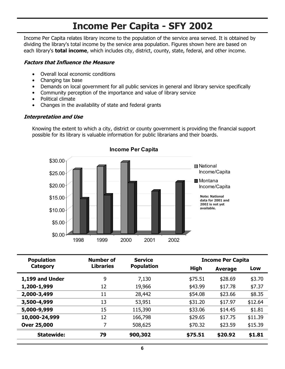### **Income Per Capita - SFY 2002**

<span id="page-9-0"></span>Income Per Capita relates library income to the population of the service area served. It is obtained by dividing the library's total income by the service area population. Figures shown here are based on each library's **total income**, which includes city, district, county, state, federal, and other income.

### **Factors that Influence the Measure**

- $\bullet$ Overall local economic conditions
- $\bullet$ Changing tax base
- $\bullet$ Demands on local government for all public services in general and library service specifically
- $\bullet$ Community perception of the importance and value of library service
- $\bullet$ Political climate
- $\bullet$ Changes in the availability of state and federal grants

#### **Interpretation and Use**

Knowing the extent to which a city, district or county government is providing the financial support possible for its library is valuable information for public librarians and their boards.



| <b>Population</b>  | Number of        | <b>Service</b>    |         | <b>Income Per Capita</b> |         |
|--------------------|------------------|-------------------|---------|--------------------------|---------|
| Category           | <b>Libraries</b> | <b>Population</b> | High    | <b>Average</b>           | Low     |
| 1,199 and Under    | 9                | 7,130             | \$75.51 | \$28.69                  | \$3.70  |
| 1,200-1,999        | 12               | 19,966            | \$43.99 | \$17.78                  | \$7.37  |
| 2,000-3,499        | 11               | 28,442            | \$54.08 | \$23.66                  | \$8.35  |
| 3,500-4,999        | 13               | 53,951            | \$31.20 | \$17.97                  | \$12.64 |
| 5,000-9,999        | 15               | 115,390           | \$33.06 | \$14.45                  | \$1.81  |
| 10,000-24,999      | 12               | 166,798           | \$29.65 | \$17.75                  | \$11.39 |
| <b>Over 25,000</b> | 7                | 508,625           | \$70.32 | \$23.59                  | \$15.39 |
| <b>Statewide:</b>  | 79               | 900,302           | \$75.51 | \$20.92                  | \$1.81  |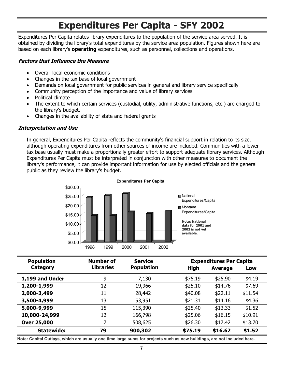### **Expenditures Per Capita - SFY 2002**

<span id="page-10-0"></span>Expenditures Per Capita relates library expenditures to the population of the service area served. It is obtained by dividing the library's total expenditures by the service area population. Figures shown here are based on each library's **operating** expenditures, such as personnel, collections and operations.

### **Factors that Influence the Measure**

- $\bullet$ Overall local economic conditions
- $\bullet$ Changes in the tax base of local government
- $\bullet$ Demands on local government for public services in general and library service specifically
- Community perception of the importance and value of library services
- $\bullet$ Political climate
- $\bullet$  The extent to which certain services (custodial, utility, administrative functions, etc.) are charged to the library's budget.
- $\bullet$ Changes in the availability of state and federal grants

#### **Interpretation and Use**

In general, Expenditures Per Capita reflects the community's financial support in relation to its size, although operating expenditures from other sources of income are included. Communities with a lower tax base usually must make a proportionally greater effort to support adequate library services. Although Expenditures Per Capita must be interpreted in conjunction with other measures to document the library's performance, it can provide important information for use by elected officials and the general public as they review the library's budget.



| <b>Population</b>  | Number of        | <b>Service</b>    |             | <b>Expenditures Per Capita</b> |         |
|--------------------|------------------|-------------------|-------------|--------------------------------|---------|
| Category           | <b>Libraries</b> | <b>Population</b> | <b>High</b> | <b>Average</b>                 | Low     |
| 1,199 and Under    | 9                | 7,130             | \$75.19     | \$25.90                        | \$4.19  |
| 1,200-1,999        | 12               | 19,966            | \$25.10     | \$14.76                        | \$7.69  |
| 2,000-3,499        | 11               | 28,442            | \$40.08     | \$22.11                        | \$11.54 |
| 3,500-4,999        | 13               | 53,951            | \$21.31     | \$14.16                        | \$4.36  |
| 5,000-9,999        | 15               | 115,390           | \$25.40     | \$13.33                        | \$1.52  |
| 10,000-24,999      | 12               | 166,798           | \$25.06     | \$16.15                        | \$10.91 |
| <b>Over 25,000</b> | 7                | 508,625           | \$26.30     | \$17.42                        | \$13.70 |
| <b>Statewide:</b>  | 79               | 900,302           | \$75.19     | \$16.62                        | \$1.52  |

**Note: Capital Outlays, which are usually one time large sums for projects such as new buildings, are not included here.**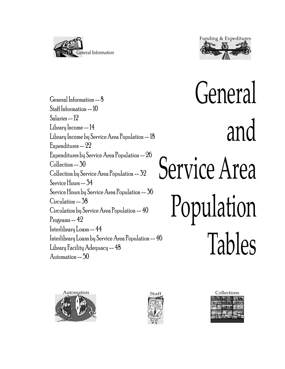<span id="page-11-0"></span>



[General Information -- 8](#page-12-0) [Staff Information -- 10](#page-14-0) [Salaries -- 12](#page-16-0) [Library Income -- 14](#page-18-0) [Library Income by Service Area Population -- 18](#page-22-0) [Expenditures -- 22](#page-26-0) [Expenditures by Service Area Population -- 26](#page-30-0) [Collection -- 30](#page-34-0) [Collection by Service Area Population -- 32](#page-36-0) [Service Hours -- 34](#page-38-0) [Service Hours by Service Area Population -- 36](#page-40-0) [Circulation -- 38](#page-42-0) [Circulation by Service Area Population -- 40](#page-44-0) Programs  $-42$ [Interlibrary Loans -- 44](#page-48-0) [Interlibrary Loans by Service Area Population -- 46](#page-50-0) [Library Facility Adequacy -- 48](#page-52-0) [Automation -- 50](#page-54-0)

General and Service Area Population Tables





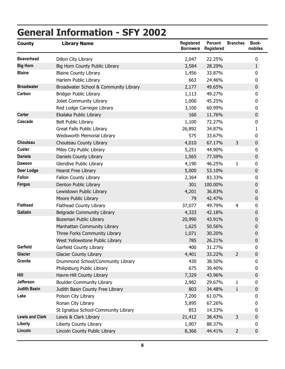# <span id="page-12-0"></span>**General Information - SFY 2002**

| <b>County</b>          | <b>Library Name</b>                   | <b>Registered</b><br><b>Borrowers</b> | Percent<br>Registered | <b>Branches</b> | Book-<br>mobiles |
|------------------------|---------------------------------------|---------------------------------------|-----------------------|-----------------|------------------|
| <b>Beaverhead</b>      | Dillon City Library                   | 2,047                                 | 22.25%                |                 | 0                |
| <b>Big Horn</b>        | Big Horn County Public Library        | 3,584                                 | 28.29%                |                 | $\mathbf{1}$     |
| <b>Blaine</b>          | <b>Blaine County Library</b>          | 1,456                                 | 33.87%                |                 | 0                |
|                        | Harlem Public Library                 | 663                                   | 24.46%                |                 | 0                |
| <b>Broadwater</b>      | Broadwater School & Community Library | 2,177                                 | 49.65%                |                 | $\boldsymbol{0}$ |
| Carbon                 | <b>Bridger Public Library</b>         | 1,113                                 | 49.27%                |                 | 0                |
|                        | Joliet Community Library              | 1,000                                 | 45.25%                |                 | 0                |
|                        | Red Lodge Carnegie Library            | 3,100                                 | 60.99%                |                 | 0                |
| <b>Carter</b>          | Ekalaka Public Library                | 160                                   | 11.76%                |                 | $\boldsymbol{0}$ |
| Cascade                | <b>Belt Public Library</b>            | 1,100                                 | 72.27%                |                 | 0                |
|                        | Great Falls Public Library            | 26,892                                | 34.87%                |                 | 1                |
|                        | Wedsworth Memorial Library            | 575                                   | 33.67%                |                 | 0                |
| Chouteau               | Chouteau County Library               | 4,010                                 | 67.17%                | 3               | $\boldsymbol{0}$ |
| <b>Custer</b>          | Miles City Public Library             | 5,251                                 | 44.90%                |                 | 0                |
| <b>Daniels</b>         | Daniels County Library                | 1,565                                 | 77.59%                |                 | $\boldsymbol{0}$ |
| <b>Dawson</b>          | Glendive Public Library               | 4,190                                 | 46.25%                | 1               | 0                |
| <b>Deer Lodge</b>      | Hearst Free Library                   | 5,000                                 | 53.10%                |                 | $\boldsymbol{0}$ |
| <b>Fallon</b>          | Fallon County Library                 | 2,364                                 | 83.33%                |                 | 0                |
| <b>Fergus</b>          | Denton Public Library                 | 301                                   | 100.00%               |                 | $\mathbf 0$      |
|                        | Lewistown Public Library              | 4,201                                 | 36.83%                |                 | 0                |
|                        | Moore Public Library                  | 79                                    | 42.47%                |                 | 0                |
| <b>Flathead</b>        | Flathead County Library               | 37,077                                | 49.79%                | $\overline{4}$  | 0                |
| <b>Gallatin</b>        | Belgrade Community Library            | 4,333                                 | 42.18%                |                 | 0                |
|                        | Bozeman Public Library                | 20,990                                | 43.91%                |                 | 0                |
|                        | Manhattan Community Library           | 1,625                                 | 50.56%                |                 | 0                |
|                        | Three Forks Community Library         | 1,071                                 | 30.20%                |                 | 0                |
|                        | West Yellowstone Public Library       | 785                                   | 26.21%                |                 | 0                |
| Garfield               | Garfield County Library               | 400                                   | 31.27%                |                 | 0                |
| <b>Glacier</b>         | <b>Glacier County Library</b>         | 4,401                                 | 33.22%                | $\overline{2}$  | $\boldsymbol{0}$ |
| Granite                | Drummond School/Community Library     | 430                                   | 38.50%                |                 | 0                |
|                        | Philipsburg Public Library            | 675                                   | 39.40%                |                 | 0                |
| Hill                   | Havre-Hill County Library             | 7,329                                 | 43.96%                |                 | $\mathbf 0$      |
| <b>Jefferson</b>       | <b>Boulder Community Library</b>      | 2,982                                 | 29.67%                | 1               | 0                |
| <b>Judith Basin</b>    | Judith Basin County Free Library      | 803                                   | 34.48%                | $\mathbf{1}$    | $\mathbf 0$      |
| Lake                   | Polson City Library                   | 7,200                                 | 61.07%                |                 | 0                |
|                        | Ronan City Library                    | 5,895                                 | 67.26%                |                 | 0                |
|                        | St Ignatius School-Community Library  | 853                                   | 14.33%                |                 | 0                |
| <b>Lewis and Clark</b> | Lewis & Clark Library                 | 21,412                                | 38.43%                | 3               | $\mathbf 0$      |
| Liberty                | Liberty County Library                | 1,907                                 | 88.37%                |                 | 0                |
| Lincoln                | Lincoln County Public Library         | 8,366                                 | 44.41%                | $\overline{2}$  | 0                |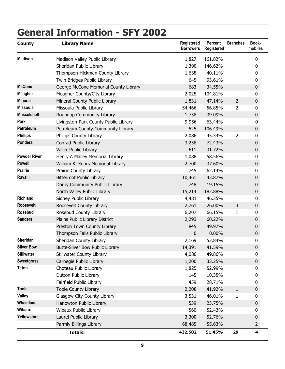# **General Information - SFY 2002**

| <b>County</b>       | <b>Library Name</b>                   | <b>Registered</b><br><b>Borrowers</b> | <b>Percent</b><br><b>Registered</b> | <b>Branches</b> | Book-<br>mobiles |
|---------------------|---------------------------------------|---------------------------------------|-------------------------------------|-----------------|------------------|
| <b>Madison</b>      | Madison Valley Public Library         | 1,827                                 | 161.82%                             |                 | 0                |
|                     | Sheridan Public Library               | 1,390                                 | 146.62%                             |                 | 0                |
|                     | Thompson-Hickman County Library       | 1,638                                 | 40.11%                              |                 | 0                |
|                     | Twin Bridges Public Library           | 645                                   | 93.61%                              |                 | 0                |
| <b>McCone</b>       | George McCone Memorial County Library | 683                                   | 34.55%                              |                 | 0                |
| <b>Meagher</b>      | Meagher County/City Library           | 2,025                                 | 104.81%                             |                 | 0                |
| <b>Mineral</b>      | Mineral County Public Library         | 1,831                                 | 47.14%                              | $\overline{2}$  | 0                |
| <b>Missoula</b>     | Missoula Public Library               | 54,466                                | 56.85%                              | $\overline{2}$  | 0                |
| <b>Musselshell</b>  | Roundup Community Library             | 1,758                                 | 39.09%                              |                 | 0                |
| Park                | Livingston-Park County Public Library | 9,956                                 | 63.44%                              |                 | 0                |
| Petroleum           | Petroleum County Community Library    | 525                                   | 106.49%                             |                 | 0                |
| <b>Phillips</b>     | Phillips County Library               | 2,086                                 | 45.34%                              | $\overline{2}$  | 0                |
| Pondera             | Conrad Public Library                 | 3,258                                 | 72.43%                              |                 | 0                |
|                     | Valier Public Library                 | 611                                   | 31.72%                              |                 | 0                |
| <b>Powder River</b> | Henry A Malley Memorial Library       | 1,088                                 | 58.56%                              |                 | 0                |
| <b>Powell</b>       | William K. Kohrs Memorial Library     | 2,700                                 | 37.60%                              |                 | $\boldsymbol{0}$ |
| <b>Prairie</b>      | Prairie County Library                | 745                                   | 62.14%                              |                 | 0                |
| Ravalli             | <b>Bitterroot Public Library</b>      | 10,461                                | 43.87%                              |                 | 0                |
|                     | Darby Community Public Library        | 748                                   | 19.15%                              |                 | 0                |
|                     | North Valley Public Library           | 15,214                                | 182.88%                             |                 | 0                |
| <b>Richland</b>     | Sidney Public Library                 | 4,481                                 | 46.35%                              |                 | 0                |
| <b>Roosevelt</b>    | Roosevelt County Library              | 2,761                                 | 26.00%                              | 3               | $\boldsymbol{0}$ |
| <b>Rosebud</b>      | Rosebud County Library                | 6,207                                 | 66.15%                              | 1               | 0                |
| <b>Sanders</b>      | Plains Public Library District        | 2,293                                 | 60.22%                              |                 | 0                |
|                     | Preston Town County Library           | 845                                   | 49.97%                              |                 | 0                |
|                     | Thompson Falls Public Library         | $\pmb{0}$                             | 0.00%                               |                 | 0                |
| <b>Sheridan</b>     | Sheridan County Library               | 2,169                                 | 52.84%                              |                 | 0                |
| <b>Silver Bow</b>   | Butte-Silver Bow Public Library       | 14,391                                | 41.59%                              |                 | 0                |
| <b>Stillwater</b>   | Stillwater County Library             | 4,086                                 | 49.86%                              |                 | 0                |
| <b>Sweetgrass</b>   | Carnegie Public Library               | 1,200                                 | 33.25%                              |                 | $\boldsymbol{0}$ |
| <b>Teton</b>        | Choteau Public Library                | 1,825                                 | 52.99%                              |                 | 0                |
|                     | Dutton Public Library                 | 145                                   | 10.35%                              |                 | 0                |
|                     | Fairfield Public Library              | 459                                   | 28.71%                              |                 | 0                |
| <b>Toole</b>        | <b>Toole County Library</b>           | 2,208                                 | 41.92%                              | $\mathbf{1}$    | $\mathbf 0$      |
| <b>Valley</b>       | Glasgow City-County Library           | 3,531                                 | 46.01%                              | 1               | 0                |
| Wheatland           | Harlowton Public Library              | 539                                   | 23.75%                              |                 | 0                |
| <b>Wibaux</b>       | Wibaux Public Library                 | 560                                   | 52.43%                              |                 | 0                |
| Yellowstone         | Laurel Public Library                 | 3,300                                 | 52.76%                              |                 | 0                |
|                     | Parmly Billings Library               | 68,485                                | 55.63%                              |                 | 2                |
|                     | <b>Totals:</b>                        | 432,502                               | 51.45%                              | 29              | 4                |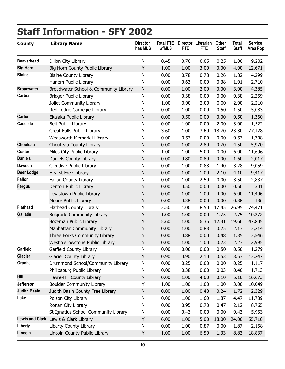# <span id="page-14-0"></span>**Staff Information - SFY 2002**

| <b>County</b>       | <b>Library Name</b>                   | <b>Director</b><br>has MLS | <b>Total FTE</b><br>w/MLS | <b>FTE</b> | Director Librarian<br><b>FTE</b> | Other<br><b>Staff</b> | Total<br><b>Staff</b> | <b>Service</b><br><b>Area Pop</b> |
|---------------------|---------------------------------------|----------------------------|---------------------------|------------|----------------------------------|-----------------------|-----------------------|-----------------------------------|
| <b>Beaverhead</b>   | Dillon City Library                   | N                          | 0.45                      | 0.70       | 0.05                             | 0.25                  | 1.00                  | 9,202                             |
| <b>Big Horn</b>     | Big Horn County Public Library        | Υ                          | 1.00                      | 1.00       | 3.00                             | 0.00                  | 4.00                  | 12,671                            |
| <b>Blaine</b>       | <b>Blaine County Library</b>          | N                          | 0.00                      | 0.78       | 0.78                             | 0.26                  | 1.82                  | 4,299                             |
|                     | Harlem Public Library                 | N                          | 0.00                      | 0.63       | 0.00                             | 0.38                  | 1.01                  | 2,710                             |
| <b>Broadwater</b>   | Broadwater School & Community Library | ${\sf N}$                  | 0.00                      | 1.00       | 2.00                             | 0.00                  | 3.00                  | 4,385                             |
| Carbon              | <b>Bridger Public Library</b>         | N                          | 0.00                      | 0.38       | 0.00                             | 0.00                  | 0.38                  | 2,259                             |
|                     | Joliet Community Library              | N                          | 1.00                      | 0.00       | 2.00                             | 0.00                  | 2.00                  | 2,210                             |
|                     | Red Lodge Carnegie Library            | N                          | 0.00                      | 1.00       | 0.00                             | 0.50                  | 1.50                  | 5,083                             |
| <b>Carter</b>       | Ekalaka Public Library                | ${\sf N}$                  | 0.00                      | 0.50       | 0.00                             | 0.00                  | 0.50                  | 1,360                             |
| Cascade             | <b>Belt Public Library</b>            | N                          | 0.00                      | 1.00       | 0.00                             | 2.00                  | 3.00                  | 1,522                             |
|                     | Great Falls Public Library            | Υ                          | 3.60                      | 1.00       | 3.60                             | 18.70                 | 23.30                 | 77,128                            |
|                     | Wedsworth Memorial Library            | N                          | 0.00                      | 0.57       | 0.00                             | 0.00                  | 0.57                  | 1,708                             |
| Chouteau            | Chouteau County Library               | ${\sf N}$                  | 0.00                      | 1.00       | 2.80                             | 0.70                  | 4.50                  | 5,970                             |
| <b>Custer</b>       | Miles City Public Library             | Υ                          | 1.00                      | 1.00       | 5.00                             | 0.00                  | 6.00                  | 11,696                            |
| <b>Daniels</b>      | <b>Daniels County Library</b>         | ${\sf N}$                  | 0.00                      | 0.80       | 0.80                             | 0.00                  | 1.60                  | 2,017                             |
| <b>Dawson</b>       | Glendive Public Library               | N                          | 0.00                      | 1.00       | 0.88                             | 1.40                  | 3.28                  | 9,059                             |
| <b>Deer Lodge</b>   | Hearst Free Library                   | ${\sf N}$                  | 0.00                      | 1.00       | 1.00                             | 2.10                  | 4.10                  | 9,417                             |
| <b>Fallon</b>       | Fallon County Library                 | N                          | 0.00                      | 1.00       | 2.50                             | 0.00                  | 3.50                  | 2,837                             |
| <b>Fergus</b>       | Denton Public Library                 | ${\sf N}$                  | 0.00                      | 0.50       | 0.00                             | 0.00                  | 0.50                  | 301                               |
|                     | Lewistown Public Library              | N                          | 0.00                      | 1.00       | 1.00                             | 4.00                  | 6.00                  | 11,406                            |
|                     | Moore Public Library                  | N                          | 0.00                      | 0.38       | 0.00                             | 0.00                  | 0.38                  | 186                               |
| <b>Flathead</b>     | <b>Flathead County Library</b>        | Υ                          | 3.50                      | 1.00       | 8.50                             | 17.45                 | 26.95                 | 74,471                            |
| <b>Gallatin</b>     | Belgrade Community Library            | Υ                          | 1.00                      | 1.00       | 0.00                             | 1.75                  | 2.75                  | 10,272                            |
|                     | Bozeman Public Library                | Υ                          | 5.60                      | 1.00       | 6.35                             | 12.31                 | 19.66                 | 47,805                            |
|                     | Manhattan Community Library           | ${\sf N}$                  | 0.00                      | 1.00       | 0.88                             | 0.25                  | 2.13                  | 3,214                             |
|                     | Three Forks Community Library         | N                          | 0.00                      | 0.88       | 0.00                             | 0.48                  | 1.35                  | 3,546                             |
|                     | West Yellowstone Public Library       | N                          | 0.00                      | 1.00       | 1.00                             | 0.23                  | 2.23                  | 2,995                             |
| Garfield            | Garfield County Library               | N                          | 0.00                      | 0.00       | 0.00                             | 0.50                  | 0.50                  | 1,279                             |
| <b>Glacier</b>      | <b>Glacier County Library</b>         | Υ                          | 0.90                      | 0.90       | 2.10                             | 0.53                  | 3.53                  | 13,247                            |
| <b>Granite</b>      | Drummond School/Community Library     | N                          | 0.00                      | 0.25       | 0.00                             | 0.00                  | 0.25                  | 1,117                             |
|                     | Philipsburg Public Library            | N                          | 0.00                      | 0.38       | 0.00                             | 0.03                  | 0.40                  | 1,713                             |
| Hill                | Havre-Hill County Library             | N                          | 0.00                      | 1.00       | 4.00                             | 0.10                  | 5.10                  | 16,673                            |
| Jefferson           | <b>Boulder Community Library</b>      | Υ                          | 1.00                      | 1.00       | 1.00                             | 1.00                  | 3.00                  | 10,049                            |
| <b>Judith Basin</b> | Judith Basin County Free Library      | N                          | 0.00                      | 1.00       | 0.48                             | 0.24                  | 1.72                  | 2,329                             |
| Lake                | Polson City Library                   | N                          | 0.00                      | 1.00       | 1.60                             | 1.87                  | 4.47                  | 11,789                            |
|                     | Ronan City Library                    | N                          | 0.00                      | 0.95       | 0.70                             | 0.47                  | 2.12                  | 8,765                             |
|                     | St Ignatius School-Community Library  | N                          | 0.00                      | 0.43       | 0.00                             | 0.00                  | 0.43                  | 5,953                             |
|                     | Lewis and Clark Lewis & Clark Library | Υ                          | 6.00                      | 1.00       | 5.00                             | 18.00                 | 24.00                 | 55,716                            |
| Liberty             | Liberty County Library                | N                          | 0.00                      | 1.00       | 0.87                             | 0.00                  | 1.87                  | 2,158                             |
| Lincoln             | Lincoln County Public Library         | Υ                          | 1.00                      | 1.00       | 6.50                             | 1.33                  | 8.83                  | 18,837                            |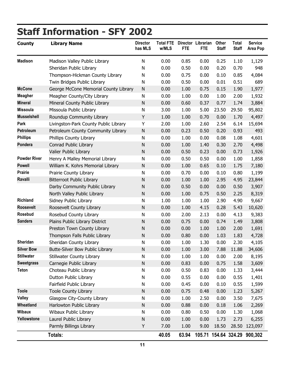# **Staff Information - SFY 2002**

| <b>County</b>       | <b>Library Name</b>                   | <b>Director</b><br>has MLS | <b>Total FTE</b><br>w/MLS | <b>FTE</b> | Director Librarian<br><b>FTE</b> | Other<br><b>Staff</b> | Total<br><b>Staff</b> | <b>Service</b><br><b>Area Pop</b> |
|---------------------|---------------------------------------|----------------------------|---------------------------|------------|----------------------------------|-----------------------|-----------------------|-----------------------------------|
| <b>Madison</b>      | Madison Valley Public Library         | N                          | 0.00                      | 0.85       | 0.00                             | 0.25                  | 1.10                  | 1,129                             |
|                     | Sheridan Public Library               | N                          | 0.00                      | 0.50       | 0.00                             | 0.20                  | 0.70                  | 948                               |
|                     | Thompson-Hickman County Library       | N                          | 0.00                      | 0.75       | 0.00                             | 0.10                  | 0.85                  | 4,084                             |
|                     | Twin Bridges Public Library           | N                          | 0.00                      | 0.50       | 0.00                             | 0.01                  | 0.51                  | 689                               |
| <b>McCone</b>       | George McCone Memorial County Library | ${\sf N}$                  | 0.00                      | 1.00       | 0.75                             | 0.15                  | 1.90                  | 1,977                             |
| <b>Meagher</b>      | Meagher County/City Library           | N                          | 0.00                      | 1.00       | 0.00                             | 1.00                  | 2.00                  | 1,932                             |
| <b>Mineral</b>      | Mineral County Public Library         | N                          | 0.00                      | 0.60       | 0.37                             | 0.77                  | 1.74                  | 3,884                             |
| <b>Missoula</b>     | Missoula Public Library               | ${\sf N}$                  | 3.00                      | 1.00       | 5.00                             | 23.50                 | 29.50                 | 95,802                            |
| <b>Musselshell</b>  | Roundup Community Library             | Y                          | 1.00                      | 1.00       | 0.70                             | 0.00                  | 1.70                  | 4,497                             |
| Park                | Livingston-Park County Public Library | Υ                          | 2.00                      | 1.00       | 2.60                             | 2.54                  | 6.14                  | 15,694                            |
| Petroleum           | Petroleum County Community Library    | ${\sf N}$                  | 0.00                      | 0.23       | 0.50                             | 0.20                  | 0.93                  | 493                               |
| <b>Phillips</b>     | Phillips County Library               | ${\sf N}$                  | 0.00                      | 1.00       | 0.00                             | 0.08                  | 1.08                  | 4,601                             |
| Pondera             | Conrad Public Library                 | $\mathsf{N}$               | 0.00                      | 1.00       | 1.40                             | 0.30                  | 2.70                  | 4,498                             |
|                     | Valier Public Library                 | $\mathsf{N}$               | 0.00                      | 0.50       | 0.23                             | 0.00                  | 0.73                  | 1,926                             |
| <b>Powder River</b> | Henry A Malley Memorial Library       | N                          | 0.00                      | 0.50       | 0.50                             | 0.00                  | 1.00                  | 1,858                             |
| <b>Powell</b>       | William K. Kohrs Memorial Library     | N                          | 0.00                      | 1.00       | 0.65                             | 0.10                  | 1.75                  | 7,180                             |
| <b>Prairie</b>      | Prairie County Library                | N                          | 0.00                      | 0.70       | 0.00                             | 0.10                  | 0.80                  | 1,199                             |
| Ravalli             | <b>Bitterroot Public Library</b>      | $\mathsf{N}$               | 0.00                      | 1.00       | 1.00                             | 2.95                  | 4.95                  | 23,844                            |
|                     | Darby Community Public Library        | $\mathsf{N}$               | 0.00                      | 0.50       | 0.00                             | 0.00                  | 0.50                  | 3,907                             |
|                     | North Valley Public Library           | N                          | 0.00                      | 1.00       | 0.75                             | 0.50                  | 2.25                  | 8,319                             |
| <b>Richland</b>     | Sidney Public Library                 | N                          | 1.00                      | 1.00       | 1.00                             | 2.90                  | 4.90                  | 9,667                             |
| Roosevelt           | Roosevelt County Library              | ${\sf N}$                  | 0.00                      | 1.00       | 4.15                             | 0.28                  | 5.43                  | 10,620                            |
| <b>Rosebud</b>      | Rosebud County Library                | N                          | 0.00                      | 2.00       | 2.13                             | 0.00                  | 4.13                  | 9,383                             |
| <b>Sanders</b>      | Plains Public Library District        | N                          | 0.00                      | 0.75       | 0.00                             | 0.74                  | 1.49                  | 3,808                             |
|                     | Preston Town County Library           | $\mathsf{N}$               | 0.00                      | 0.00       | 1.00                             | 1.00                  | 2.00                  | 1,691                             |
|                     | Thompson Falls Public Library         | N                          | 0.00                      | 0.80       | 0.00                             | 1.03                  | 1.83                  | 4,728                             |
| <b>Sheridan</b>     | Sheridan County Library               | N                          | 0.00                      | 1.00       | 1.30                             | 0.00                  | 2.30                  | 4,105                             |
| <b>Silver Bow</b>   | Butte-Silver Bow Public Library       | N                          | 0.00                      | 1.00       | 3.00                             | 7.88                  | 11.88                 | 34,606                            |
| <b>Stillwater</b>   | Stillwater County Library             | ${\sf N}$                  | 0.00                      | 1.00       | 1.00                             | 0.00                  | 2.00                  | 8,195                             |
| <b>Sweetgrass</b>   | Carnegie Public Library               | ${\sf N}$                  | 0.00                      | 0.83       | 0.00                             | 0.75                  | 1.58                  | 3,609                             |
| <b>Teton</b>        | Choteau Public Library                | N                          | 0.00                      | 0.50       | 0.83                             | 0.00                  | 1.33                  | 3,444                             |
|                     | Dutton Public Library                 | N                          | 0.00                      | 0.55       | 0.00                             | 0.00                  | 0.55                  | 1,401                             |
|                     | Fairfield Public Library              | N                          | 0.00                      | 0.45       | 0.00                             | 0.10                  | 0.55                  | 1,599                             |
| <b>Toole</b>        | <b>Toole County Library</b>           | ${\sf N}$                  | 0.00                      | 0.75       | 0.48                             | 0.00                  | 1.23                  | 5,267                             |
| Valley              | Glasgow City-County Library           | N                          | 0.00                      | 1.00       | 2.50                             | 0.00                  | 3.50                  | 7,675                             |
| Wheatland           | Harlowton Public Library              | ${\sf N}$                  | 0.00                      | 0.88       | 0.00                             | 0.18                  | 1.06                  | 2,269                             |
| <b>Wibaux</b>       | Wibaux Public Library                 | N                          | 0.00                      | 0.80       | 0.50                             | 0.00                  | 1.30                  | 1,068                             |
| Yellowstone         | Laurel Public Library                 | ${\sf N}$                  | 0.00                      | 1.00       | 0.00                             | 1.73                  | 2.73                  | 6,255                             |
|                     | Parmly Billings Library               | Υ                          | 7.00                      | 1.00       | 9.00                             | 18.50                 |                       | 28.50 123,097                     |
|                     | Totals:                               |                            | 40.05                     | 63.94      |                                  |                       |                       | 105.71 154.64 324.29 900,302      |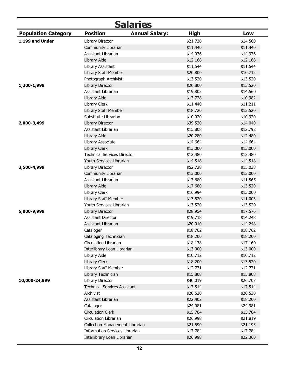<span id="page-16-0"></span>

|                            |                                       | <b>Salaries</b>       |          |          |
|----------------------------|---------------------------------------|-----------------------|----------|----------|
| <b>Population Category</b> | <b>Position</b>                       | <b>Annual Salary:</b> | High     | Low      |
| 1,199 and Under            | Library Director                      |                       | \$21,736 | \$14,560 |
|                            | Community Librarian                   |                       | \$11,440 | \$11,440 |
|                            | Assistant Librarian                   |                       | \$14,976 | \$14,976 |
|                            | Library Aide                          |                       | \$12,168 | \$12,168 |
|                            | Library Assistant                     |                       | \$11,544 | \$11,544 |
|                            | Library Staff Member                  |                       | \$20,800 | \$10,712 |
|                            | Photograph Archivist                  |                       | \$13,520 | \$13,520 |
| 1,200-1,999                | Library Director                      |                       | \$20,800 | \$13,520 |
|                            | Assistant Librarian                   |                       | \$19,802 | \$14,560 |
|                            | Library Aide                          |                       | \$13,728 | \$10,982 |
|                            | Library Clerk                         |                       | \$11,440 | \$11,211 |
|                            | Library Staff Member                  |                       | \$18,720 | \$13,520 |
|                            | Substitute Librarian                  |                       | \$10,920 | \$10,920 |
| 2,000-3,499                | Library Director                      |                       | \$39,520 | \$14,040 |
|                            | Assistant Librarian                   |                       | \$15,808 | \$12,792 |
|                            | Library Aide                          |                       | \$20,280 | \$12,480 |
|                            | Library Associate                     |                       | \$14,664 | \$14,664 |
|                            | Library Clerk                         |                       | \$13,000 | \$13,000 |
|                            | <b>Technical Services Director</b>    |                       | \$12,480 | \$12,480 |
|                            | Youth Services Librarian              |                       | \$14,518 | \$14,518 |
| 3,500-4,999                | Library Director                      |                       | \$52,728 | \$15,038 |
|                            | Community Librarian                   |                       | \$13,000 | \$13,000 |
|                            | Assistant Librarian                   |                       | \$17,680 | \$11,565 |
|                            | Library Aide                          |                       | \$17,680 | \$13,520 |
|                            | Library Clerk                         |                       | \$16,994 | \$13,000 |
|                            | Library Staff Member                  |                       | \$13,520 | \$11,003 |
|                            | Youth Services Librarian              |                       | \$13,520 | \$13,520 |
| 5,000-9,999                | Library Director                      |                       | \$28,954 | \$17,576 |
|                            | <b>Assistant Director</b>             |                       | \$19,718 | \$14,248 |
|                            | Assistant Librarian                   |                       | \$20,010 | \$14,248 |
|                            | Cataloger                             |                       | \$18,762 | \$18,762 |
|                            | Cataloging Technician                 |                       | \$18,200 | \$18,200 |
|                            | Circulation Librarian                 |                       | \$18,138 | \$17,160 |
|                            | Interlibrary Loan Librarian           |                       | \$13,000 | \$13,000 |
|                            | Library Aide                          |                       | \$10,712 | \$10,712 |
|                            | Library Clerk                         |                       | \$18,200 | \$13,520 |
|                            | Library Staff Member                  |                       | \$12,771 | \$12,771 |
|                            | Library Technician                    |                       | \$15,808 | \$15,808 |
| 10,000-24,999              | Library Director                      |                       | \$40,019 | \$26,707 |
|                            | <b>Technical Services Assistant</b>   |                       | \$17,514 | \$17,514 |
|                            | Archivist                             |                       | \$20,530 | \$20,530 |
|                            | Assistant Librarian                   |                       | \$22,402 | \$18,200 |
|                            | Cataloger                             |                       | \$24,981 | \$24,981 |
|                            | <b>Circulation Clerk</b>              |                       | \$15,704 | \$15,704 |
|                            | Circulation Librarian                 |                       | \$26,998 | \$21,819 |
|                            | Collection Management Librarian       |                       | \$21,590 | \$21,195 |
|                            | <b>Information Services Librarian</b> |                       | \$17,784 | \$17,784 |
|                            | Interlibrary Loan Librarian           |                       | \$26,998 | \$22,360 |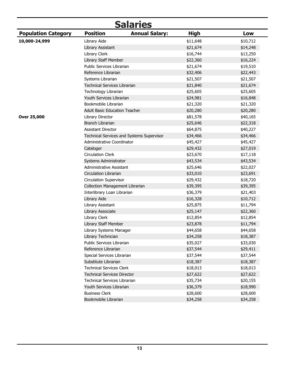| <b>Salaries</b>            |                                        |                                           |             |          |  |  |
|----------------------------|----------------------------------------|-------------------------------------------|-------------|----------|--|--|
| <b>Population Category</b> | <b>Position</b>                        | <b>Annual Salary:</b>                     | <b>High</b> | Low      |  |  |
| 10,000-24,999              | Library Aide                           |                                           | \$11,648    | \$10,712 |  |  |
|                            | Library Assistant                      |                                           | \$21,674    | \$14,248 |  |  |
|                            | Library Clerk                          |                                           | \$16,744    | \$13,250 |  |  |
|                            | Library Staff Member                   |                                           | \$22,360    | \$16,224 |  |  |
|                            | Public Services Librarian              |                                           | \$21,674    | \$19,510 |  |  |
|                            | Reference Librarian                    |                                           | \$32,406    | \$22,443 |  |  |
|                            | Systems Librarian                      |                                           | \$21,507    | \$21,507 |  |  |
|                            | <b>Technical Services Librarian</b>    |                                           | \$21,840    | \$21,674 |  |  |
|                            | Technology Librarian                   |                                           | \$25,605    | \$25,605 |  |  |
|                            | Youth Services Librarian               |                                           | \$24,981    | \$16,848 |  |  |
|                            | Bookmobile Librarian                   |                                           | \$21,320    | \$21,320 |  |  |
|                            | <b>Adult Basic Education Teacher</b>   |                                           | \$20,280    | \$20,280 |  |  |
| Over 25,000                | Library Director                       |                                           | \$81,578    | \$40,165 |  |  |
|                            | <b>Branch Librarian</b>                |                                           | \$25,646    | \$22,318 |  |  |
|                            | <b>Assistant Director</b>              |                                           | \$64,875    | \$40,227 |  |  |
|                            |                                        | Technical Services and Systems Supervisor | \$34,466    | \$34,466 |  |  |
|                            | Administrative Coordinator             |                                           | \$45,427    | \$45,427 |  |  |
|                            | Cataloger                              |                                           | \$29,432    | \$27,019 |  |  |
|                            | <b>Circulation Clerk</b>               |                                           | \$23,670    | \$17,118 |  |  |
|                            | Systems Administrator                  |                                           | \$43,534    | \$43,534 |  |  |
|                            | Administrative Assistant               |                                           | \$25,646    | \$22,027 |  |  |
|                            | Circulation Librarian                  |                                           | \$33,010    | \$23,691 |  |  |
|                            | <b>Circulation Supervisor</b>          |                                           | \$29,432    | \$18,720 |  |  |
|                            | <b>Collection Management Librarian</b> |                                           | \$39,395    | \$39,395 |  |  |
|                            | Interlibrary Loan Librarian            |                                           | \$36,379    | \$21,403 |  |  |
|                            | Library Aide                           |                                           | \$16,328    | \$10,712 |  |  |
|                            | Library Assistant                      |                                           | \$25,875    | \$11,794 |  |  |
|                            | Library Associate                      |                                           | \$25,147    | \$22,360 |  |  |
|                            | Library Clerk                          |                                           | \$12,854    | \$12,854 |  |  |
|                            | Library Staff Member                   |                                           | \$23,878    | \$11,794 |  |  |
|                            | Library Systems Manager                |                                           | \$44,658    | \$44,658 |  |  |
|                            | Library Technician                     |                                           | \$34,258    | \$18,387 |  |  |
|                            | Public Services Librarian              |                                           | \$35,027    | \$33,030 |  |  |
|                            | Reference Librarian                    |                                           | \$37,544    | \$29,411 |  |  |
|                            | Special Services Librarian             |                                           | \$37,544    | \$37,544 |  |  |
|                            | Substitute Librarian                   |                                           | \$18,387    | \$18,387 |  |  |
|                            | <b>Technical Services Clerk</b>        |                                           | \$18,013    | \$18,013 |  |  |
|                            | <b>Technical Services Director</b>     |                                           | \$27,622    | \$27,622 |  |  |
|                            | <b>Technical Services Librarian</b>    |                                           | \$35,734    | \$20,155 |  |  |
|                            | Youth Services Librarian               |                                           | \$36,379    | \$18,990 |  |  |
|                            | <b>Business Clerk</b>                  |                                           | \$28,600    | \$28,600 |  |  |
|                            | Bookmobile Librarian                   |                                           | \$34,258    | \$34,258 |  |  |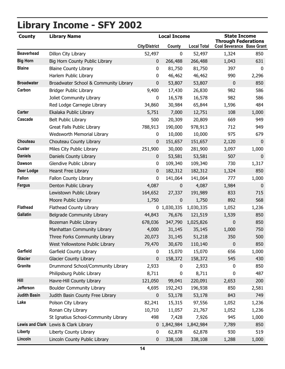# <span id="page-18-0"></span>**Library Income - SFY 2002**

| <b>County</b>       | <b>Library Name</b>                   |                      | <b>Local Income</b> |                    | <b>State Income</b><br><b>Through Federations</b> |             |  |
|---------------------|---------------------------------------|----------------------|---------------------|--------------------|---------------------------------------------------|-------------|--|
|                     |                                       | <b>City/District</b> | County              | <b>Local Total</b> | <b>Coal Severance Base Grant</b>                  |             |  |
| <b>Beaverhead</b>   | Dillon City Library                   | 52,497               | $\mathbf 0$         | 52,497             | 1,324                                             | 850         |  |
| <b>Big Horn</b>     | Big Horn County Public Library        | 0                    | 266,488             | 266,488            | 1,043                                             | 631         |  |
| <b>Blaine</b>       | <b>Blaine County Library</b>          | 0                    | 81,750              | 81,750             | 397                                               | $\mathbf 0$ |  |
|                     | Harlem Public Library                 | 0                    | 46,462              | 46,462             | 990                                               | 2,296       |  |
| <b>Broadwater</b>   | Broadwater School & Community Library | 0                    | 53,807              | 53,807             | $\mathbf 0$                                       | 850         |  |
| Carbon              | <b>Bridger Public Library</b>         | 9,400                | 17,430              | 26,830             | 982                                               | 586         |  |
|                     | Joliet Community Library              | 0                    | 16,578              | 16,578             | 982                                               | 586         |  |
|                     | Red Lodge Carnegie Library            | 34,860               | 30,984              | 65,844             | 1,596                                             | 484         |  |
| <b>Carter</b>       | Ekalaka Public Library                | 5,751                | 7,000               | 12,751             | 108                                               | 1,000       |  |
| Cascade             | <b>Belt Public Library</b>            | 500                  | 20,309              | 20,809             | 669                                               | 949         |  |
|                     | Great Falls Public Library            | 788,913              | 190,000             | 978,913            | 712                                               | 949         |  |
|                     | Wedsworth Memorial Library            | 0                    | 10,000              | 10,000             | 975                                               | 679         |  |
| Chouteau            | Chouteau County Library               | 0                    | 151,657             | 151,657            | 2,120                                             | $\mathbf 0$ |  |
| Custer              | Miles City Public Library             | 251,900              | 30,000              | 281,900            | 3,097                                             | 1,000       |  |
| <b>Daniels</b>      | Daniels County Library                | 0                    | 53,581              | 53,581             | 507                                               | $\pmb{0}$   |  |
| <b>Dawson</b>       | Glendive Public Library               | 0                    | 109,340             | 109,340            | 730                                               | 1,317       |  |
| <b>Deer Lodge</b>   | <b>Hearst Free Library</b>            | 0                    | 182,312             | 182,312            | 1,324                                             | 850         |  |
| <b>Fallon</b>       | Fallon County Library                 | 0                    | 141,064             | 141,064            | 777                                               | 1,000       |  |
| <b>Fergus</b>       | Denton Public Library                 | 4,087                | 0                   | 4,087              | 1,984                                             | $\mathbf 0$ |  |
|                     | Lewistown Public Library              | 164,652              | 27,337              | 191,989            | 833                                               | 715         |  |
|                     | Moore Public Library                  | 1,750                | 0                   | 1,750              | 892                                               | 568         |  |
| <b>Flathead</b>     | Flathead County Library               |                      | 0 1,030,335         | 1,030,335          | 1,052                                             | 1,236       |  |
| <b>Gallatin</b>     | <b>Belgrade Community Library</b>     | 44,843               | 76,676              | 121,519            | 1,539                                             | 850         |  |
|                     | Bozeman Public Library                | 678,036              | 347,790             | 1,025,826          | $\mathbf 0$                                       | 850         |  |
|                     | Manhattan Community Library           | 4,000                | 31,145              | 35,145             | 1,000                                             | 750         |  |
|                     | Three Forks Community Library         | 20,073               | 31,145              | 51,218             | 350                                               | 500         |  |
|                     | West Yellowstone Public Library       | 79,470               | 30,670              | 110,140            | $\mathbf 0$                                       | 850         |  |
| Garfield            | Garfield County Library               | 0                    | 15,070              | 15,070             | 656                                               | 1,000       |  |
| <b>Glacier</b>      | <b>Glacier County Library</b>         | 0                    | 158,372             | 158,372            | 545                                               | 430         |  |
| <b>Granite</b>      | Drummond School/Community Library     | 2,933                | 0                   | 2,933              | $\mathbf 0$                                       | 850         |  |
|                     | Philipsburg Public Library            | 8,711                | 0                   | 8,711              | 0                                                 | 487         |  |
| Hill                | Havre-Hill County Library             | 121,050              | 99,041              | 220,091            | 2,653                                             | 200         |  |
| Jefferson           | <b>Boulder Community Library</b>      | 4,695                | 192,243             | 196,938            | 850                                               | 2,581       |  |
| <b>Judith Basin</b> | Judith Basin County Free Library      | 0                    | 53,178              | 53,178             | 843                                               | 749         |  |
| Lake                | Polson City Library                   | 82,241               | 15,315              | 97,556             | 1,052                                             | 1,236       |  |
|                     | Ronan City Library                    | 10,710               | 11,057              | 21,767             | 1,052                                             | 1,236       |  |
|                     | St Ignatius School-Community Library  | 498                  | 7,428               | 7,926              | 945                                               | 1,000       |  |
|                     | Lewis and Clark Lewis & Clark Library |                      | 0 1,842,984         | 1,842,984          | 7,789                                             | 850         |  |
| Liberty             | Liberty County Library                | 0                    | 62,878              | 62,878             | 930                                               | 519         |  |
| Lincoln             | Lincoln County Public Library         | 0                    | 338,108             | 338,108            | 1,288                                             | 1,000       |  |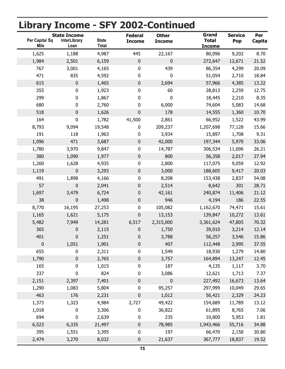# **Library Income - SFY 2002-Continued**

| Per Capita/ Sq<br><b>Mile</b> | <b>State Income</b><br><b>InterLibrary</b><br>Loan | <b>State</b><br><b>Total</b> | <b>Federal</b><br><b>Income</b> | <b>Other</b><br><b>Income</b> | Grand<br><b>Total</b><br><b>Income</b> | <b>Service</b><br>Pop | Per<br>Capita |
|-------------------------------|----------------------------------------------------|------------------------------|---------------------------------|-------------------------------|----------------------------------------|-----------------------|---------------|
| 1,625                         | 1,188                                              | 4,987                        | 445                             | 22,167                        | 80,096                                 | 9,202                 | 8.70          |
| 1,984                         | 2,501                                              | 6,159                        | $\mathbf 0$                     | 0                             | 272,647                                | 12,671                | 21.52         |
| 767                           | 3,001                                              | 4,165                        | 0                               | 439                           | 86,354                                 | 4,299                 | 20.09         |
| 471                           | 835                                                | 4,592                        | 0                               | 0                             | 51,054                                 | 2,710                 | 18.84         |
| 615                           | $\pmb{0}$                                          | 1,465                        | $\pmb{0}$                       | 2,694                         | 57,966                                 | 4,385                 | 13.22         |
| 355                           | 0                                                  | 1,923                        | 0                               | 60                            | 28,813                                 | 2,259                 | 12.75         |
| 299                           | 0                                                  | 1,867                        | 0                               | 0                             | 18,445                                 | 2,210                 | 8.35          |
| 680                           | $\pmb{0}$                                          | 2,760                        | 0                               | 6,000                         | 74,604                                 | 5,083                 | 14.68         |
| 518                           | 0                                                  | 1,626                        | $\mathbf 0$                     | 178                           | 14,555                                 | 1,360                 | 10.70         |
| 164                           | 0                                                  | 1,782                        | 41,500                          | 2,861                         | 66,952                                 | 1,522                 | 43.99         |
| 8,793                         | 9,094                                              | 19,548                       | 0                               | 209,237                       | 1,207,698                              | 77,128                | 15.66         |
| 191                           | 118                                                | 1,963                        | 0                               | 3,934                         | 15,897                                 | 1,708                 | 9.31          |
| 1,096                         | 471                                                | 3,687                        | $\pmb{0}$                       | 42,000                        | 197,344                                | 5,970                 | 33.06         |
| 1,780                         | 3,970                                              | 9,847                        | $\pmb{0}$                       | 14,787                        | 306,534                                | 11,696                | 26.21         |
| 380                           | 1,090                                              | 1,977                        | 0                               | 800                           | 56,358                                 | 2,017                 | 27.94         |
| 1,260                         | 1,628                                              | 4,935                        | $\pmb{0}$                       | 2,800                         | 117,075                                | 9,059                 | 12.92         |
| 1,119                         | $\pmb{0}$                                          | 3,293                        | $\pmb{0}$                       | 3,000                         | 188,605                                | 9,417                 | 20.03         |
| 491                           | 1,898                                              | 4,166                        | 0                               | 8,208                         | 153,438                                | 2,837                 | 54.08         |
| 57                            | 0                                                  | 2,041                        | 0                               | 2,514                         | 8,642                                  | 301                   | 28.71         |
| 1,697                         | 3,479                                              | 6,724                        | 0                               | 42,161                        | 240,874                                | 11,406                | 21.12         |
| 38                            | 0                                                  | 1,498                        | 0                               | 946                           | 4,194                                  | 186                   | 22.55         |
| 8,770                         | 16,195                                             | 27,253                       | $\pmb{0}$                       | 105,082                       | 1,162,670                              | 74,471                | 15.61         |
| 1,165                         | 1,621                                              | 5,175                        | $\mathbf 0$                     | 13,153                        | 139,847                                | 10,272                | 13.61         |
| 5,482                         | 7,949                                              | 14,281                       | 6,517                           | 2,315,000                     | 3,361,624                              | 47,805                | 70.32         |
| 365                           | 0                                                  | 2,115                        | 0                               | 1,750                         | 39,010                                 | 3,214                 | 12.14         |
| 401                           | 0                                                  | 1,251                        | 0                               | 3,788                         | 56,257                                 | 3,546                 | 15.86         |
| $\pmb{0}$                     | 1,051                                              | 1,901                        | $\pmb{0}$                       | 407                           | 112,448                                | 2,995                 | 37.55         |
| 655                           | 0                                                  | 2,311                        | $\pmb{0}$                       | 1,549                         | 18,930                                 | 1,279                 | 14.80         |
| 1,790                         | $\pmb{0}$                                          | 2,765                        | $\pmb{0}$                       | 3,757                         | 164,894                                | 13,247                | 12.45         |
| 165                           | 0                                                  | 1,015                        | $\pmb{0}$                       | 187                           | 4,135                                  | 1,117                 | 3.70          |
| 337                           | 0                                                  | 824                          | 0                               | 3,086                         | 12,621                                 | 1,713                 | 7.37          |
| 2,151                         | 2,397                                              | 7,401                        | $\pmb{0}$                       | 0                             | 227,492                                | 16,673                | 13.64         |
| 1,290                         | 1,083                                              | 5,804                        | $\pmb{0}$                       | 95,257                        | 297,999                                | 10,049                | 29.65         |
| 463                           | 176                                                | 2,231                        | $\pmb{0}$                       | 1,012                         | 56,421                                 | 2,329                 | 24.23         |
| 1,373                         | 1,323                                              | 4,984                        | 2,727                           | 49,422                        | 154,689                                | 11,789                | 13.12         |
| 1,018                         | $\pmb{0}$                                          | 3,306                        | $\pmb{0}$                       | 36,822                        | 61,895                                 | 8,765                 | 7.06          |
| 694                           | $\pmb{0}$                                          | 2,639                        | $\pmb{0}$                       | 235                           | 10,800                                 | 5,953                 | 1.81          |
| 6,523                         | 6,335                                              | 21,497                       | $\pmb{0}$                       | 78,985                        | 1,943,466                              | 55,716                | 34.88         |
| 395                           | 1,551                                              | 3,395                        | $\pmb{0}$                       | 197                           | 66,470                                 | 2,158                 | 30.80         |
| 2,474                         | 3,270                                              | 8,032                        | $\pmb{0}$                       | 21,637                        | 367,777                                | 18,837                | 19.52         |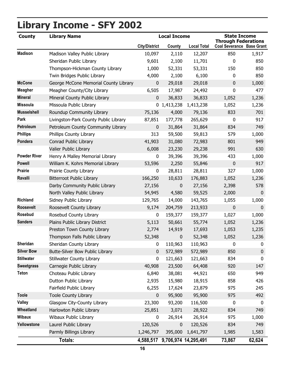# **Library Income - SFY 2002**

| <b>County</b>       | <b>Library Name</b>                   |                      | <b>Local Income</b>            |                    | <b>State Income</b><br><b>Through Federations</b> |             |
|---------------------|---------------------------------------|----------------------|--------------------------------|--------------------|---------------------------------------------------|-------------|
|                     |                                       | <b>City/District</b> | County                         | <b>Local Total</b> | <b>Coal Severance Base Grant</b>                  |             |
| <b>Madison</b>      | Madison Valley Public Library         | 10,097               | 2,110                          | 12,207             | 850                                               | 1,917       |
|                     | Sheridan Public Library               | 9,601                | 2,100                          | 11,701             | $\mathbf{0}$                                      | 850         |
|                     | Thompson-Hickman County Library       | 1,000                | 52,331                         | 53,331             | 150                                               | 850         |
|                     | Twin Bridges Public Library           | 4,000                | 2,100                          | 6,100              | $\mathbf{0}$                                      | 850         |
| <b>McCone</b>       | George McCone Memorial County Library | $\bf{0}$             | 29,018                         | 29,018             | $\mathbf 0$                                       | 1,000       |
| <b>Meagher</b>      | Meagher County/City Library           | 6,505                | 17,987                         | 24,492             | $\mathbf 0$                                       | 477         |
| <b>Mineral</b>      | Mineral County Public Library         | $\mathbf 0$          | 36,833                         | 36,833             | 1,052                                             | 1,236       |
| <b>Missoula</b>     | Missoula Public Library               |                      | 0, 1, 413, 238                 | 1,413,238          | 1,052                                             | 1,236       |
| <b>Musselshell</b>  | Roundup Community Library             | 75,136               | 4,000                          | 79,136             | 833                                               | 701         |
| Park                | Livingston-Park County Public Library | 87,851               | 177,778                        | 265,629            | $\mathbf 0$                                       | 917         |
| Petroleum           | Petroleum County Community Library    | $\mathbf 0$          | 31,864                         | 31,864             | 834                                               | 749         |
| <b>Phillips</b>     | Phillips County Library               | 313                  | 59,500                         | 59,813             | 579                                               | 1,000       |
| Pondera             | Conrad Public Library                 | 41,903               | 31,080                         | 72,983             | 801                                               | 949         |
|                     | Valier Public Library                 | 6,008                | 23,230                         | 29,238             | 991                                               | 630         |
| <b>Powder River</b> | Henry A Malley Memorial Library       | 0                    | 39,396                         | 39,396             | 433                                               | 1,000       |
| <b>Powell</b>       | William K. Kohrs Memorial Library     | 53,596               | 2,250                          | 55,846             | $\mathbf 0$                                       | 917         |
| <b>Prairie</b>      | Prairie County Library                | 0                    | 28,811                         | 28,811             | 327                                               | 1,000       |
| Ravalli             | <b>Bitterroot Public Library</b>      | 166,250              | 10,633                         | 176,883            | 1,052                                             | 1,236       |
|                     | Darby Community Public Library        | 27,156               | 0                              | 27,156             | 2,398                                             | 578         |
|                     | North Valley Public Library           | 54,945               | 4,580                          | 59,525             | 2,000                                             | $\mathbf 0$ |
| <b>Richland</b>     | Sidney Public Library                 | 129,765              | 14,000                         | 143,765            | 1,055                                             | 1,000       |
| <b>Roosevelt</b>    | Roosevelt County Library              | 9,174                | 204,759                        | 213,933            | $\mathbf 0$                                       | $\mathbf 0$ |
| <b>Rosebud</b>      | Rosebud County Library                | 0                    | 159,377                        | 159,377            | 1,027                                             | 1,000       |
| <b>Sanders</b>      | Plains Public Library District        | 5,113                | 50,661                         | 55,774             | 1,052                                             | 1,236       |
|                     | Preston Town County Library           | 2,774                | 14,919                         | 17,693             | 1,053                                             | 1,235       |
|                     | Thompson Falls Public Library         | 52,348               | 0                              | 52,348             | 1,052                                             | 1,236       |
| Sheridan            | Sheridan County Library               | 0                    | 110,963                        | 110,963            | 0                                                 | 0           |
| <b>Silver Bow</b>   | Butte-Silver Bow Public Library       | 0                    | 572,989                        | 572,989            | 850                                               | $\bf{0}$    |
| <b>Stillwater</b>   | <b>Stillwater County Library</b>      | 0                    | 121,663                        | 121,663            | 834                                               | 0           |
| <b>Sweetgrass</b>   | Carnegie Public Library               | 40,908               | 23,500                         | 64,408             | 920                                               | 147         |
| <b>Teton</b>        | Choteau Public Library                | 6,840                | 38,081                         | 44,921             | 650                                               | 949         |
|                     | Dutton Public Library                 | 2,935                | 15,980                         | 18,915             | 858                                               | 426         |
|                     | Fairfield Public Library              | 6,255                | 17,624                         | 23,879             | 975                                               | 245         |
| <b>Toole</b>        | <b>Toole County Library</b>           | 0                    | 95,900                         | 95,900             | 975                                               | 492         |
| <b>Valley</b>       | Glasgow City-County Library           | 23,300               | 93,200                         | 116,500            | $\pmb{0}$                                         | 0           |
| Wheatland           | Harlowton Public Library              | 25,851               | 3,071                          | 28,922             | 834                                               | 749         |
| <b>Wibaux</b>       | Wibaux Public Library                 | $\pmb{0}$            | 26,914                         | 26,914             | 975                                               | 1,000       |
| Yellowstone         | Laurel Public Library                 | 120,526              | 0                              | 120,526            | 834                                               | 749         |
|                     | Parmly Billings Library               | 1,246,797            | 395,000                        | 1,641,797          | 1,985                                             | 1,583       |
|                     | <b>Totals:</b>                        |                      | 4,588,517 9,706,974 14,295,491 |                    | 73,867                                            | 62,624      |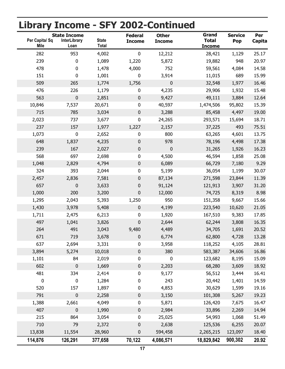# **Library Income - SFY 2002-Continued**

| Per Capita/ Sq<br><b>Mile</b> | <b>State Income</b><br><b>InterLibrary</b><br>Loan | <b>State</b><br><b>Total</b> | <b>Federal</b><br><b>Income</b> | <b>Other</b><br><b>Income</b> | Grand<br><b>Total</b><br><u>Income</u> | <b>Service</b><br>Pop | Per<br>Capita |
|-------------------------------|----------------------------------------------------|------------------------------|---------------------------------|-------------------------------|----------------------------------------|-----------------------|---------------|
| 282                           | 953                                                | 4,002                        | $\pmb{0}$                       | 12,212                        | 28,421                                 | 1,129                 | 25.17         |
| 239                           | 0                                                  | 1,089                        | 1,220                           | 5,872                         | 19,882                                 | 948                   | 20.97         |
| 478                           | 0                                                  | 1,478                        | 4,000                           | 752                           | 59,561                                 | 4,084                 | 14.58         |
| 151                           | 0                                                  | 1,001                        | $\pmb{0}$                       | 3,914                         | 11,015                                 | 689                   | 15.99         |
| 509                           | 265                                                | 1,774                        | 1,756                           | 0                             | 32,548                                 | 1,977                 | 16.46         |
| 476                           | 226                                                | 1,179                        | $\pmb{0}$                       | 4,235                         | 29,906                                 | 1,932                 | 15.48         |
| 563                           | $\pmb{0}$                                          | 2,851                        | $\pmb{0}$                       | 9,427                         | 49,111                                 | 3,884                 | 12.64         |
| 10,846                        | 7,537                                              | 20,671                       | $\pmb{0}$                       | 40,597                        | 1,474,506                              | 95,802                | 15.39         |
| 715                           | 785                                                | 3,034                        | $\pmb{0}$                       | 3,288                         | 85,458                                 | 4,497                 | 19.00         |
| 2,023                         | 737                                                | 3,677                        | $\pmb{0}$                       | 24,265                        | 293,571                                | 15,694                | 18.71         |
| 237                           | 157                                                | 1,977                        | 1,227                           | 2,157                         | 37,225                                 | 493                   | 75.51         |
| 1,073                         | $\pmb{0}$                                          | 2,652                        | $\pmb{0}$                       | 800                           | 63,265                                 | 4,601                 | 13.75         |
| 648                           | 1,837                                              | 4,235                        | 0                               | 978                           | 78,196                                 | 4,498                 | 17.38         |
| 239                           | 167                                                | 2,027                        | $\pmb{0}$                       | $\pmb{0}$                     | 31,265                                 | 1,926                 | 16.23         |
| 568                           | 697                                                | 2,698                        | $\pmb{0}$                       | 4,500                         | 46,594                                 | 1,858                 | 25.08         |
| 1,048                         | 2,829                                              | 4,794                        | $\pmb{0}$                       | 6,089                         | 66,729                                 | 7,180                 | 9.29          |
| 324                           | 393                                                | 2,044                        | $\pmb{0}$                       | 5,199                         | 36,054                                 | 1,199                 | 30.07         |
| 2,457                         | 2,836                                              | 7,581                        | 0                               | 87,134                        | 271,598                                | 23,844                | 11.39         |
| 657                           | 0                                                  | 3,633                        | 0                               | 91,124                        | 121,913                                | 3,907                 | 31.20         |
| 1,000                         | 200                                                | 3,200                        | 0                               | 12,000                        | 74,725                                 | 8,319                 | 8.98          |
| 1,295                         | 2,043                                              | 5,393                        | 1,250                           | 950                           | 151,358                                | 9,667                 | 15.66         |
| 1,430                         | 3,978                                              | 5,408                        | $\pmb{0}$                       | 4,199                         | 223,540                                | 10,620                | 21.05         |
| 1,711                         | 2,475                                              | 6,213                        | $\pmb{0}$                       | 1,920                         | 167,510                                | 9,383                 | 17.85         |
| 497                           | 1,041                                              | 3,826                        | $\pmb{0}$                       | 2,644                         | 62,244                                 | 3,808                 | 16.35         |
| 264                           | 491                                                | 3,043                        | 9,480                           | 4,489                         | 34,705                                 | 1,691                 | 20.52         |
| 671                           | 719                                                | 3,678                        | 0                               | 6,774                         | 62,800                                 | 4,728                 | 13.28         |
| 637                           | 2,694                                              | 3,331                        | $\pmb{0}$                       | 3,958                         | 118,252                                | 4,105                 | 28.81         |
| 3,894                         | 5,274                                              | 10,018                       | $\pmb{0}$                       | 380                           | 583,387                                | 34,606                | 16.86         |
| 1,101                         | 84                                                 | 2,019                        | $\pmb{0}$                       | $\pmb{0}$                     | 123,682                                | 8,195                 | 15.09         |
| 602                           | $\pmb{0}$                                          | 1,669                        | $\pmb{0}$                       | 2,203                         | 68,280                                 | 3,609                 | 18.92         |
| 481                           | 334                                                | 2,414                        | 0                               | 9,177                         | 56,512                                 | 3,444                 | 16.41         |
| $\pmb{0}$                     | 0                                                  | 1,284                        | 0                               | 243                           | 20,442                                 | 1,401                 | 14.59         |
| 520                           | 157                                                | 1,897                        | 0                               | 4,853                         | 30,629                                 | 1,599                 | 19.16         |
| 791                           | $\pmb{0}$                                          | 2,258                        | $\pmb{0}$                       | 3,150                         | 101,308                                | 5,267                 | 19.23         |
| 1,388                         | 2,661                                              | 4,049                        | $\pmb{0}$                       | 5,871                         | 126,420                                | 7,675                 | 16.47         |
| 407                           | 0                                                  | 1,990                        | $\pmb{0}$                       | 2,984                         | 33,896                                 | 2,269                 | 14.94         |
| 215                           | 864                                                | 3,054                        | $\pmb{0}$                       | 25,025                        | 54,993                                 | 1,068                 | 51.49         |
| 710                           | 79                                                 | 2,372                        | $\pmb{0}$                       | 2,638                         | 125,536                                | 6,255                 | 20.07         |
| 13,838                        | 11,554                                             | 28,960                       | 0                               | 594,458                       | 2,265,215                              | 123,097               | 18.40         |
| 114,876                       | 126,291                                            | 377,658                      | 70,122                          | 4,086,571                     | 18,829,842                             | 900,302               | 20.92         |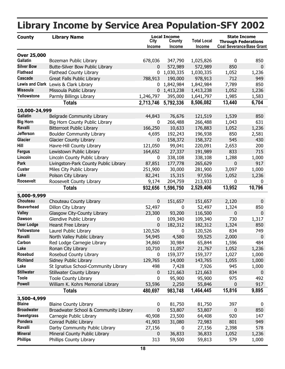#### <span id="page-22-0"></span>**County Library Name Total Local Income Library Income by Service Area Population-SFY 2002 City Income County Income Local Income Coal Severance Base Grant State Income Through Federations Over 25,000 Gallatin** Bozeman Public Library 1678,036 347,790 1,025,826 16850 **Silver Bow** Butte-Silver Bow Public Library **0 572,989 572,989** 850 0 **Flathead** Flathead County Library **1.1.236** 1.030,335 1.030,335 1.052 1.236 **Cascade** Great Falls Public Library 788,913 190,000 978,913 712 949 **Lewis and Clark** Lewis & Clark Library **1.842,984**  $\frac{1}{8}$ ,842,984  $\frac{1}{8}$ ,842,984  $\frac{7}{89}$  850 **Missoula** Missoula Public Library 0 1,413,238 1,413,238 1,052 1,236 **Yellowstone** Parmly Billings Library 1,246,797 395,000 1,641,797 1,985 1,583 **Totals 2,713,746 5,792,336 8,506,082 13,440 6,704 10,000-24,999 Gallatin** Belgrade Community Library 44,843 76,676 121,519 1,539 850 **Big Horn** Big Horn County Public Library 10 266,488 266,488 1,043 631 **Ravalli** Bitterroot Public Library 166,250 10,633 176,883 1,052 1,236 **Jefferson** Boulder Community Library 1988 192,243 196,938 850 2,581 **Glacier** Glacier County Library 0 158,372 158,372 545 430 **Hill** Havre-Hill County Library 121,050 99,041 220,091 2,653 200 **Fergus** Lewistown Public Library 164,652 27,337 191,989 833 715 **Lincoln** Lincoln County Public Library 1 1000 0 338,108 338,108 1,288 1,000 **Park** Livingston-Park County Public Library 87,851 177,778 265,629 0 917 **Custer** Miles City Public Library 251,900 30,000 3,097 1,000 281,900 **Lake** Polson City Library 82,241 15,315 97,556 1,052 1,236 **Roosevelt** Roosevelt County Library 9,174 204,759 0 0 213,933 **Totals 932,656 1,596,750 2,529,406 13,952 10,796 5,000-9,999 Chouteau** Chouteau County Library **Chouteau** 0 151,657 151,657 2,120 0 **Beaverhead** Dillon City Library 1,324 850 **Valley** Glasgow City-County Library 23,300 93,200 116,500 0 0 **Dawson** Glendive Public Library **0 109,340 109,340 730 1,317 Deer Lodge** Hearst Free Library 0 182,312 182,312 1,324 850 **Yellowstone** Laurel Public Library 120,526 0 120,526 834 749 **Ravalli North Valley Public Library 19 124,945 12,580 59,525 2,000 0 1261 Carbon** Red Lodge Carnegie Library 134,860 30,984 65,844 1,596 484 **Lake** Ronan City Library 10,710 11,057 21,767 1,052 1,236 **Rosebud** Rosebud County Library **1 120 159,377** 159,377 1,027 1,000 **Richland** Sidney Public Library 129,765 14,000 143,765 1,055 1,000 Lake St Ignatius School-Community Library **498** 7,428 7,926 945 1,000 **Stillwater** Stillwater County Library **121,663** 121,663 834 0 **Toole** Toole County Library 0 95,900 975 492 95,900 **Powell** William K. Kohrs Memorial Library 53,596 2,250 55,846 0 917 **Totals 480,697 983,748 1,464,445 15,816 9,895 3,500-4,999 Blaine** Blaine County Library 0 81,750 397 0 81,750 **Broadwater** Broadwater School & Community Library 0 53,807 53,807 0 850 **Sweetgrass** Carnegie Public Library 147 140,908 23,500 64,408 920 147 **Pondera** Conrad Public Library **11,903** 31,080 72,983 801 949 **Ravalli** Darby Community Public Library **27,156** 0 27,156 2,398 578 **Mineral** Mineral County Public Library 0 36,833 36,833 1,052 1,236 **Phillips** Phillips County Library 1.000 59,500 59,813 579 1,000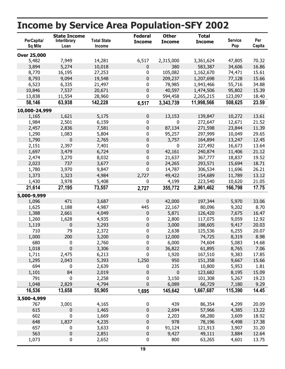#### **Total State Income Total Income Service Pop Per Capita Income by Service Area Population-SFY 2002 PerCapita/ Sq Mile Interlibrary Loan State Income Federal Income Other Income Over 25,000** 5,482 2 7,949 14,281 70.32 6,517 ,315,000 3,361,624 47,805 3,894 5,274 10,018 0 380 583,387 34,606 16.86 8,770 16,195 27,253 0 105,082 1,162,670 74,471 15.61 8,793 9,094 19,548 0 209,237 1,207,698 77,128 15.66 6,523 78 6,335 21,497 34.88 0 ,985 1,943,466 55,716 10,846 7,537 20,671 0 40,597 1,474,506 95,802 15.39 13,838 594 11,554 28,960 18.40 0 ,458 2,265,215 123,097 **58,146 63,938 142,228 11,998,566 23.59 6,517 3,343,739 508,625 10,000-24,999** 1,165 1,621 5,175 0 13,153 139,847 10,272 13.61 1,984 2,501 6,159 0 0 272,647 12,671 21.52 2,457 2,836 7,581 0 87,134 271,598 23,844 11.39 1,290 1,083 5,804 0 95,257 297,999 10,049 29.65 1,790 0 2,765 0 3,757 164,894 13,247 12.45 2,151 0 2,397 7,401 13.64 0 227,492 16,673 1,697 3,479 6,724 0 42,161 240,874 11,406 21.12 2,474 21 3,270 8,032 19.52 0 ,637 367,777 18,837 2,023 737 3,677 0 24,265 293,571 15,694 18.71 1,780 3,970 9,847 0 14,787 306,534 11,696 26.21 1,373 1,323 4,984 2,727 49,422 154,689 11,789 13.12 1,430 4 3,978 5,408 21.05 0 ,199 223,540 10,620 **21,614 27,195 73,557 2,961,462 17.75 2,727 355,772 166,798 5,000-9,999** 1,096 471 3,687 0 42,000 197,344 5,970 33.06 1,625 22,167 1,188 4,987 8.70 445 80,096 9,202 1,388 2,661 4,049 0 5,871 126,420 7,675 16.47 1,260 1,628 4,935 0 2,800 117,075 9,059 12.92 1,119 0 3,293 0 3,000 188,605 9,417 20.03 710 2 79 2,372 20.07 0 ,638 125,536 6,255 1,000 200 3,200 0 12,000 74,725 8,319 8.98 680 6 0 2,760 14.68 0 ,000 74,604 5,083 1,018 0 3,306 0 36,822 61,895 8,765 7.06 1,711 2,475 6,213 0 1,920 167,510 9,383 17.85 1,295 2,043 5,393 1,250 950 151,358 9,667 15.66 694 235 0 2,639 1.81 0 10,800 5,953 1,101 84 2,019 0 0 123,682 8,195 15.09 791 3 0 2,258 19.23 0 ,150 101,308 5,267 1,048 2,829 4,794 0 6,089 66,729 7,180 9.29 **16,536 13,658 55,905 1,667,687 14.45 1,695 145,642 115,390 3,500-4,999** 767 439 3,001 4,165 20.09 0 86,354 4,299 615 0 1,465 0 2,694 57,966 4,385 13.22 602 2 0 1,669 18.92 0 ,203 68,280 3,609 648 1,837 4,235 0 978 78,196 4,498 17.38 657 91 0 3,633 31.20 0 ,124 121,913 3,907 563 0 2,851 0 9,427 49,111 3,884 12.64 1,073 0 2,652 0 800 63,265 4,601 13.75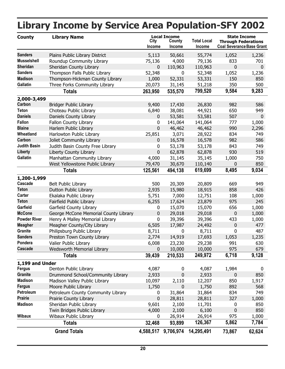|                     | <b>Library Income by Service Area Population-SFY 2002</b> |                |                                                |                              |              |                                                                                       |
|---------------------|-----------------------------------------------------------|----------------|------------------------------------------------|------------------------------|--------------|---------------------------------------------------------------------------------------|
| <b>County</b>       | <b>Library Name</b>                                       | City<br>Income | <b>Local Income</b><br>County<br><b>Income</b> | <b>Total Local</b><br>Income |              | <b>State Income</b><br><b>Through Federations</b><br><b>Coal Severance Base Grant</b> |
| <b>Sanders</b>      | Plains Public Library District                            | 5,113          | 50,661                                         | 55,774                       | 1,052        | 1,236                                                                                 |
| <b>Musselshell</b>  | Roundup Community Library                                 | 75,136         | 4,000                                          | 79,136                       | 833          | 701                                                                                   |
| Sheridan            | Sheridan County Library                                   | 0              | 110,963                                        | 110,963                      | $\mathbf{0}$ | $\mathbf{0}$                                                                          |
| <b>Sanders</b>      | Thompson Falls Public Library                             | 52,348         | 0                                              | 52,348                       | 1,052        | 1,236                                                                                 |
| <b>Madison</b>      | Thompson-Hickman County Library                           | 1,000          | 52,331                                         | 53,331                       | 150          | 850                                                                                   |
| Gallatin            | Three Forks Community Library                             | 20,073         | 31,145                                         | 51,218                       | 350          | 500                                                                                   |
|                     | <b>Totals</b>                                             | 263,950        | 535,570                                        | 799,520                      | 9,584        | 9,283                                                                                 |
| 2,000-3,499         |                                                           |                |                                                |                              |              |                                                                                       |
| Carbon              | <b>Bridger Public Library</b>                             | 9,400          | 17,430                                         | 26,830                       | 982          | 586                                                                                   |
| <b>Teton</b>        | Choteau Public Library                                    | 6,840          | 38,081                                         | 44,921                       | 650          | 949                                                                                   |
| <b>Daniels</b>      | Daniels County Library                                    | 0              | 53,581                                         | 53,581                       | 507          | $\mathbf 0$                                                                           |
| <b>Fallon</b>       | Fallon County Library                                     | 0              | 141,064                                        | 141,064                      | 777          | 1,000                                                                                 |
| <b>Blaine</b>       | Harlem Public Library                                     | 0              | 46,462                                         | 46,462                       | 990          | 2,296                                                                                 |
| Wheatland           | Harlowton Public Library                                  | 25,851         | 3,071                                          | 28,922                       | 834          | 749                                                                                   |
| Carbon              | Joliet Community Library                                  | 0              | 16,578                                         | 16,578                       | 982          | 586                                                                                   |
| <b>Judith Basin</b> | Judith Basin County Free Library                          | 0              | 53,178                                         | 53,178                       | 843          | 749                                                                                   |
| Liberty             | Liberty County Library                                    | 0              | 62,878                                         | 62,878                       | 930          | 519                                                                                   |
| <b>Gallatin</b>     | Manhattan Community Library                               | 4,000          | 31,145                                         | 35,145                       | 1,000        | 750                                                                                   |
|                     | West Yellowstone Public Library                           | 79,470         | 30,670                                         | 110,140                      | 0            | 850                                                                                   |
|                     | <b>Totals</b>                                             | 125,561        | 494,138                                        | 619,699                      | 8,495        | 9,034                                                                                 |
| 1,200-1,999         |                                                           |                |                                                |                              |              |                                                                                       |
| Cascade             | <b>Belt Public Library</b>                                | 500            | 20,309                                         | 20,809                       | 669          | 949                                                                                   |
| <b>Teton</b>        | Dutton Public Library                                     | 2,935          | 15,980                                         | 18,915                       | 858          | 426                                                                                   |
| Carter              | Ekalaka Public Library                                    | 5,751          | 7,000                                          | 12,751                       | 108          | 1,000                                                                                 |
| <b>Teton</b>        | Fairfield Public Library                                  | 6,255          | 17,624                                         | 23,879                       | 975          | 245                                                                                   |
| Garfield            | Garfield County Library                                   | 0              | 15,070                                         | 15,070                       | 656          | 1,000                                                                                 |
| <b>McCone</b>       | George McCone Memorial County Library                     | 0              | 29,018                                         | 29,018                       | $\pmb{0}$    | 1,000                                                                                 |
| <b>Powder River</b> | Henry A Malley Memorial Library                           | 0              | 39,396                                         | 39,396                       | 433          | 1,000                                                                                 |
| <b>Meagher</b>      | Meagher County/City Library                               | 6,505          | 17,987                                         | 24,492                       | 0            | 477                                                                                   |
| Granite             | Philipsburg Public Library                                | 8,711          | 0                                              | 8,711                        | 0            | 487                                                                                   |
| <b>Sanders</b>      | Preston Town County Library                               | 2,774          | 14,919                                         | 17,693                       | 1,053        | 1,235                                                                                 |
| Pondera             | Valier Public Library                                     | 6,008          | 23,230                                         | 29,238                       | 991          | 630                                                                                   |
| Cascade             | <b>Wedsworth Memorial Library</b>                         | 0              | 10,000                                         | 10,000                       | 975          | 679                                                                                   |
|                     | <b>Totals</b>                                             | 39,439         | 210,533                                        | 249,972                      | 6,718        | 9,128                                                                                 |
| 1,199 and Under     |                                                           |                |                                                |                              |              |                                                                                       |
| <b>Fergus</b>       | Denton Public Library                                     | 4,087          | 0                                              | 4,087                        | 1,984        | 0                                                                                     |
| <b>Granite</b>      | Drummond School/Community Library                         | 2,933          | $\mathbf 0$                                    | 2,933                        | 0            | 850                                                                                   |
| <b>Madison</b>      | Madison Valley Public Library                             | 10,097         | 2,110                                          | 12,207                       | 850          | 1,917                                                                                 |
| <b>Fergus</b>       | Moore Public Library                                      | 1,750          | 0                                              | 1,750                        | 892          | 568                                                                                   |
| Petroleum           | Petroleum County Community Library                        | 0              | 31,864                                         | 31,864                       | 834          | 749                                                                                   |
| <b>Prairie</b>      | Prairie County Library                                    | 0              | 28,811                                         | 28,811                       | 327          | 1,000                                                                                 |
| <b>Madison</b>      | Sheridan Public Library                                   | 9,601          | 2,100                                          | 11,701                       | 0            | 850                                                                                   |
|                     | Twin Bridges Public Library                               | 4,000          | 2,100                                          | 6,100                        | 0            | 850                                                                                   |
| <b>Wibaux</b>       | Wibaux Public Library                                     | 0              | 26,914                                         | 26,914                       | 975          | 1,000                                                                                 |
|                     | <b>Totals</b>                                             | 32,468         | 93,899                                         | 126,367                      | 5,862        | 7,784                                                                                 |
|                     | <b>Grand Totals</b>                                       | 4,588,517      | 9,706,974                                      | 14,295,491                   | 73,867       | 62,624                                                                                |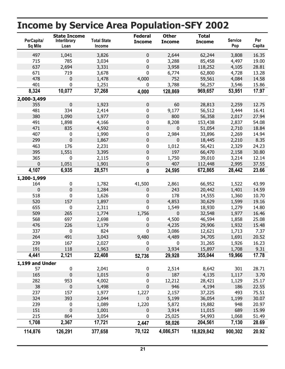#### **Total State Income Total Income Service Pop Per Capita Income by Service Area Population-SFY 2002 PerCapita/ Sq Mile Interlibrary Loan State Income Federal Income Other Income** 497 1,041 3,826 0 2,644 62,244 3,808 16.35 715 3 785 3,034 19.00 0 ,288 85,458 4,497 637 2,694 3,331 0 3,958 118,252 4,105 28.81 671 6 719 3,678 13.28 0 ,774 62,800 4,728 478 0 1,478 4,000 752 59,561 4,084 14.58 401 3 0 1,251 15.86 0 ,788 56,257 3,546 **8,324 10,077 37,268 969,657 17.97 4,000 128,869 53,951 2,000-3,499** 355 0 1,923 0 60 28,813 2,259 12.75 481 9,177 334 2,414 16.41 0 56,512 3,444 380 1,090 1,977 0 800 56,358 2,017 27.94 491 8 1,898 4,166 54.08 0 ,208 153,438 2,837 471 835 4,592 0 0 51,054 2,710 18.84 407 0 1,990 0 2,984 33,896 2,269 14.94 299 0 1,867 0 0 18,445 2,210 8.35 463 176 2,231 0 1,012 56,421 2,329 24.23 395 1,551 3,395 0 197 66,470 2,158 30.80 365 1 0 2,115 12.14 0 ,750 39,010 3,214 0 1,051 1,901 0 407 112,448 2,995 37.55 **4,107 6,935 28,571 672,865 23.66 0 24,595 28,442 1,200-1,999** 164 2 0 1,782 43.99 41,500 ,861 66,952 1,522 0 0 1,284 0 243 20,442 1,401 14.59 518 178 0 1,626 10.70 0 14,555 1,360 520 157 1,897 0 4,853 30,629 1,599 19.16 655 1,549 0 2,311 14.80 0 18,930 1,279 509 265 1,774 1,756 0 32,548 1,977 16.46 568 4 697 2,698 25.08 0 ,500 46,594 1,858 476 226 1,179 0 4,235 29,906 1,932 15.48 337 3 0 824 7.37 0 ,086 12,621 1,713 264 491 3,043 9,480 4,489 34,705 1,691 20.52 239 0 167 2,027 16.23 0 31,265 1,926 191 118 1,963 0 3,934 15,897 1,708 9.31 **4,441 2,121 22,408 355,044 17.78 52,736 29,928 19,966 1,199 and Under** 57 2 0 2,041 28.71 0 ,514 8,642 301 165 0 1,015 0 187 4,135 1,117 3.70 282 953 4,002 0 12,212 28,421 1,129 25.17 38 0 1,498 0 946 4,194 186 22.55 237 157 1,977 1,227 2,157 37,225 493 75.51 324 393 2,044 0 5,199 36,054 1,199 30.07 239 5,872 0 1,089 20.97 1,220 19,882 948 151 0 1,001 0 3,914 11,015 689 15.99 215 25 864 3,054 51.49 0 ,025 54,993 1,068 **1,708 2,367 17,721 204,561 28.69 2,447 58,026 7,130 114,876 126,291 377,658 18,829,842 20.92 70,122 4,086,571 900,302**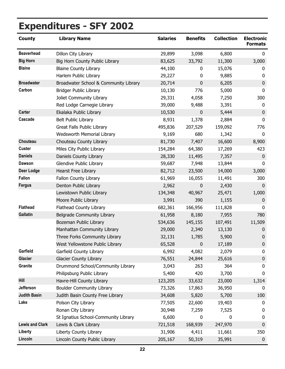<span id="page-26-0"></span>

| <b>County</b>          | <b>Library Name</b>                   | <b>Salaries</b> | <b>Benefits</b> | <b>Collection</b> | <b>Electronic</b><br><b>Formats</b> |
|------------------------|---------------------------------------|-----------------|-----------------|-------------------|-------------------------------------|
| <b>Beaverhead</b>      | Dillon City Library                   | 29,899          | 3,098           | 6,800             | $\mathbf{0}$                        |
| <b>Big Horn</b>        | Big Horn County Public Library        | 83,625          | 33,792          | 11,300            | 3,000                               |
| <b>Blaine</b>          | <b>Blaine County Library</b>          | 44,100          | 0               | 15,076            | 0                                   |
|                        | Harlem Public Library                 | 29,227          | 0               | 9,885             | $\mathbf{0}$                        |
| <b>Broadwater</b>      | Broadwater School & Community Library | 20,714          | $\mathbf 0$     | 6,205             | $\mathbf 0$                         |
| Carbon                 | <b>Bridger Public Library</b>         | 10,130          | 776             | 5,000             | 0                                   |
|                        | Joliet Community Library              | 29,331          | 4,058           | 7,250             | 300                                 |
|                        | Red Lodge Carnegie Library            | 39,000          | 9,488           | 3,391             | 0                                   |
| <b>Carter</b>          | Ekalaka Public Library                | 10,530          | $\mathbf 0$     | 5,444             | $\mathbf 0$                         |
| Cascade                | <b>Belt Public Library</b>            | 8,931           | 1,378           | 2,884             | $\mathbf 0$                         |
|                        | <b>Great Falls Public Library</b>     | 495,836         | 207,529         | 159,092           | 776                                 |
|                        | Wedsworth Memorial Library            | 9,169           | 680             | 1,342             | $\mathbf 0$                         |
| Chouteau               | Chouteau County Library               | 81,730          | 7,407           | 16,600            | 8,900                               |
| <b>Custer</b>          | Miles City Public Library             | 154,284         | 64,380          | 17,269            | 423                                 |
| <b>Daniels</b>         | Daniels County Library                | 28,330          | 11,495          | 7,357             | $\mathbf 0$                         |
| <b>Dawson</b>          | Glendive Public Library               | 59,687          | 7,948           | 13,844            | $\mathbf 0$                         |
| Deer Lodge             | Hearst Free Library                   | 82,712          | 23,500          | 14,000            | 3,000                               |
| <b>Fallon</b>          | Fallon County Library                 | 61,969          | 16,055          | 11,491            | 300                                 |
| <b>Fergus</b>          | Denton Public Library                 | 2,962           | $\mathbf 0$     | 2,430             | $\mathbf{0}$                        |
|                        | Lewistown Public Library              | 134,348         | 40,967          | 25,471            | 1,000                               |
|                        | Moore Public Library                  | 3,991           | 390             | 1,155             | $\boldsymbol{0}$                    |
| <b>Flathead</b>        | Flathead County Library               | 682,361         | 166,956         | 111,828           | $\mathbf{0}$                        |
| <b>Gallatin</b>        | Belgrade Community Library            | 61,958          | 8,180           | 7,955             | 780                                 |
|                        | Bozeman Public Library                | 534,636         | 145,155         | 107,491           | 11,509                              |
|                        | Manhattan Community Library           | 29,000          | 2,340           | 13,130            | $\boldsymbol{0}$                    |
|                        | Three Forks Community Library         | 32,131          | 1,785           | 5,900             | $\pmb{0}$                           |
|                        | West Yellowstone Public Library       | 65,528          | 0               | 17,189            | $\mathbf 0$                         |
| Garfield               | Garfield County Library               | 6,992           | 4,082           | 2,079             | 0                                   |
| <b>Glacier</b>         | <b>Glacier County Library</b>         | 76,551          | 24,844          | 25,616            | $\pmb{0}$                           |
| Granite                | Drummond School/Community Library     | 3,043           | 263             | 364               | 0                                   |
|                        | Philipsburg Public Library            | 5,400           | 420             | 3,700             | $\mathbf{0}$                        |
| <b>Hill</b>            | Havre-Hill County Library             | 123,205         | 33,632          | 23,000            | 1,314                               |
| <b>Jefferson</b>       | <b>Boulder Community Library</b>      | 73,326          | 17,863          | 36,950            | 0                                   |
| <b>Judith Basin</b>    | Judith Basin County Free Library      | 34,608          | 5,820           | 5,700             | 100                                 |
| Lake                   | Polson City Library                   | 77,505          | 22,600          | 19,403            | 0                                   |
|                        | Ronan City Library                    | 30,948          | 7,259           | 7,525             | 0                                   |
|                        | St Ignatius School-Community Library  | 6,600           | 0               | 0                 | 0                                   |
| <b>Lewis and Clark</b> | Lewis & Clark Library                 | 721,518         | 168,939         | 247,970           | $\mathbf 0$                         |
| Liberty                | Liberty County Library                | 31,906          | 4,411           | 11,661            | 350                                 |
| Lincoln                | Lincoln County Public Library         | 205,167         | 50,319          | 35,991            | $\boldsymbol{0}$                    |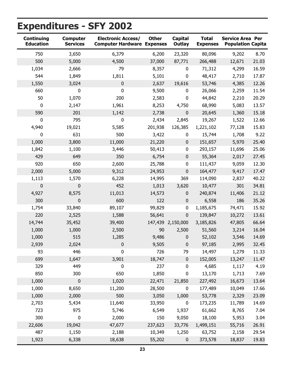| <b>Continuing</b><br><b>Education</b> | <b>Computer</b><br><b>Services</b> | <b>Electronic Access/</b> | <b>Other</b><br><b>Computer Hardware Expenses</b> | <b>Capital</b><br>Outlay | <b>Total</b><br><b>Expenses</b> | <b>Service Area Per</b><br><b>Population Capita</b> |       |
|---------------------------------------|------------------------------------|---------------------------|---------------------------------------------------|--------------------------|---------------------------------|-----------------------------------------------------|-------|
| 750                                   | 3,650                              | 6,379                     | 6,200                                             | 23,320                   | 80,096                          | 9,202                                               | 8.70  |
| 500                                   | 5,000                              | 4,500                     | 37,000                                            | 87,771                   | 266,488                         | 12,671                                              | 21.03 |
| 1,034                                 | 2,666                              | 79                        | 8,357                                             | $\mathbf 0$              | 71,312                          | 4,299                                               | 16.59 |
| 544                                   | 1,849                              | 1,811                     | 5,101                                             | $\mathbf 0$              | 48,417                          | 2,710                                               | 17.87 |
| 1,550                                 | 3,024                              | $\mathbf 0$               | 2,637                                             | 19,616                   | 53,746                          | 4,385                                               | 12.26 |
| 660                                   | $\pmb{0}$                          | 0                         | 9,500                                             | $\pmb{0}$                | 26,066                          | 2,259                                               | 11.54 |
| 50                                    | 1,070                              | 200                       | 2,583                                             | $\pmb{0}$                | 44,842                          | 2,210                                               | 20.29 |
| $\mathbf 0$                           | 2,147                              | 1,961                     | 8,253                                             | 4,750                    | 68,990                          | 5,083                                               | 13.57 |
| 590                                   | 201                                | 1,142                     | 2,738                                             | $\pmb{0}$                | 20,645                          | 1,360                                               | 15.18 |
| 0                                     | 795                                | 0                         | 2,434                                             | 2,845                    | 19,267                          | 1,522                                               | 12.66 |
| 4,940                                 | 19,021                             | 5,585                     | 201,938                                           | 126,385                  | 1,221,102                       | 77,128                                              | 15.83 |
| 0                                     | 631                                | 500                       | 3,422                                             | 0                        | 15,744                          | 1,708                                               | 9.22  |
| 1,000                                 | 3,800                              | 11,000                    | 21,220                                            | $\mathbf 0$              | 151,657                         | 5,970                                               | 25.40 |
| 1,842                                 | 1,100                              | 3,446                     | 50,413                                            | $\pmb{0}$                | 293,157                         | 11,696                                              | 25.06 |
| 429                                   | 649                                | 350                       | 6,754                                             | $\pmb{0}$                | 55,364                          | 2,017                                               | 27.45 |
| 920                                   | 650                                | 2,600                     | 25,788                                            | $\pmb{0}$                | 111,437                         | 9,059                                               | 12.30 |
| 2,000                                 | 5,000                              | 9,312                     | 24,953                                            | $\pmb{0}$                | 164,477                         | 9,417                                               | 17.47 |
| 1,113                                 | 1,570                              | 6,228                     | 14,995                                            | 369                      | 114,090                         | 2,837                                               | 40.22 |
| 0                                     | 0                                  | 452                       | 1,013                                             | 3,620                    | 10,477                          | 301                                                 | 34.81 |
| 4,927                                 | 8,575                              | 11,013                    | 14,573                                            | $\bf{0}$                 | 240,874                         | 11,406                                              | 21.12 |
| 300                                   | $\pmb{0}$                          | 600                       | 122                                               | $\mathbf 0$              | 6,558                           | 186                                                 | 35.26 |
| 1,754                                 | 33,840                             | 89,107                    | 99,829                                            | $\pmb{0}$                | 1,185,675                       | 74,471                                              | 15.92 |
| 220                                   | 2,525                              | 1,588                     | 56,641                                            | $\mathbf 0$              | 139,847                         | 10,272                                              | 13.61 |
| 14,744                                | 35,452                             | 39,400                    |                                                   | 147,439 2,150,000        | 3,185,826                       | 47,805                                              | 66.64 |
| 1,000                                 | 1,000                              | 2,500                     | 90                                                | 2,500                    | 51,560                          | 3,214                                               | 16.04 |
| 1,000                                 | 515                                | 1,285                     | 9,486                                             | $\pmb{0}$                | 52,102                          | 3,546                                               | 14.69 |
| 2,939                                 | 2,024                              | $\bf{0}$                  | 9,505                                             | $\bf{0}$                 | 97,185                          | 2,995                                               | 32.45 |
| 93                                    | 446                                | $\pmb{0}$                 | 726                                               | 79                       | 14,497                          | 1,279                                               | 11.33 |
| 699                                   | 1,647                              | 3,901                     | 18,747                                            | $\pmb{0}$                | 152,005                         | 13,247                                              | 11.47 |
| 329                                   | 449                                | 0                         | 237                                               | 0                        | 4,685                           | 1,117                                               | 4.19  |
| 850                                   | 300                                | 650                       | 1,850                                             | $\pmb{0}$                | 13,170                          | 1,713                                               | 7.69  |
| 1,000                                 | $\pmb{0}$                          | 1,020                     | 22,471                                            | 21,850                   | 227,492                         | 16,673                                              | 13.64 |
| 1,000                                 | 8,650                              | 11,200                    | 28,500                                            | 0                        | 177,489                         | 10,049                                              | 17.66 |
| 1,000                                 | 2,000                              | 500                       | 3,050                                             | 1,000                    | 53,778                          | 2,329                                               | 23.09 |
| 2,703                                 | 5,434                              | 11,640                    | 33,950                                            | $\pmb{0}$                | 173,235                         | 11,789                                              | 14.69 |
| 723                                   | 975                                | 5,746                     | 6,549                                             | 1,937                    | 61,662                          | 8,765                                               | 7.04  |
| 300                                   | 0                                  | 2,000                     | 150                                               | 9,050                    | 18,100                          | 5,953                                               | 3.04  |
| 22,606                                | 19,042                             | 47,677                    | 237,623                                           | 33,776                   | 1,499,151                       | 55,716                                              | 26.91 |
| 487                                   | 1,150                              | 2,188                     | 10,349                                            | 1,250                    | 63,752                          | 2,158                                               | 29.54 |
| 1,923                                 | 6,338                              | 18,638                    | 55,202                                            | $\pmb{0}$                | 373,578                         | 18,837                                              | 19.83 |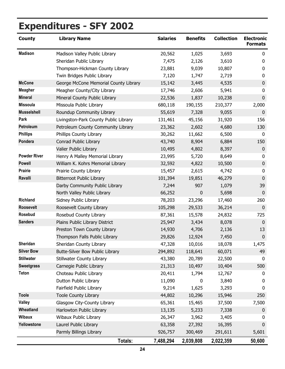| <b>County</b>       | <b>Library Name</b>                   | <b>Salaries</b> | <b>Benefits</b> | <b>Collection</b> | <b>Electronic</b><br><b>Formats</b> |
|---------------------|---------------------------------------|-----------------|-----------------|-------------------|-------------------------------------|
| <b>Madison</b>      | Madison Valley Public Library         | 20,562          | 1,025           | 3,693             | 0                                   |
|                     | Sheridan Public Library               | 7,475           | 2,126           | 3,610             | 0                                   |
|                     | Thompson-Hickman County Library       | 23,881          | 9,039           | 10,807            | 0                                   |
|                     | Twin Bridges Public Library           | 7,120           | 1,747           | 2,719             | 0                                   |
| <b>McCone</b>       | George McCone Memorial County Library | 15,142          | 3,445           | 4,535             | $\mathbf 0$                         |
| <b>Meagher</b>      | Meagher County/City Library           | 17,746          | 2,606           | 5,941             | 0                                   |
| <b>Mineral</b>      | Mineral County Public Library         | 22,536          | 1,837           | 10,238            | $\pmb{0}$                           |
| <b>Missoula</b>     | Missoula Public Library               | 680,118         | 190,155         | 210,377           | 2,000                               |
| <b>Musselshell</b>  | Roundup Community Library             | 55,619          | 7,328           | 9,055             | $\boldsymbol{0}$                    |
| Park                | Livingston-Park County Public Library | 131,461         | 45,156          | 31,920            | 156                                 |
| Petroleum           | Petroleum County Community Library    | 23,362          | 2,602           | 4,680             | 130                                 |
| <b>Phillips</b>     | Phillips County Library               | 30,262          | 11,662          | 6,500             | 0                                   |
| Pondera             | Conrad Public Library                 | 43,740          | 8,904           | 6,884             | 150                                 |
|                     | Valier Public Library                 | 10,495          | 4,802           | 8,397             | $\mathbf 0$                         |
| <b>Powder River</b> | Henry A Malley Memorial Library       | 23,995          | 5,720           | 8,649             | 0                                   |
| <b>Powell</b>       | William K. Kohrs Memorial Library     | 32,592          | 4,822           | 10,500            | $\boldsymbol{0}$                    |
| <b>Prairie</b>      | Prairie County Library                | 15,457          | 2,615           | 4,742             | $\mathbf 0$                         |
| Ravalli             | <b>Bitterroot Public Library</b>      | 101,394         | 19,851          | 46,279            | $\mathbf 0$                         |
|                     | Darby Community Public Library        | 7,244           | 907             | 1,079             | 39                                  |
|                     | North Valley Public Library           | 66,252          | $\mathbf 0$     | 5,698             | $\boldsymbol{0}$                    |
| <b>Richland</b>     | Sidney Public Library                 | 78,203          | 23,296          | 17,460            | 260                                 |
| Roosevelt           | Roosevelt County Library              | 105,298         | 29,533          | 36,214            | $\boldsymbol{0}$                    |
| Rosebud             | Rosebud County Library                | 87,361          | 15,578          | 24,832            | 725                                 |
| <b>Sanders</b>      | Plains Public Library District        | 25,947          | 3,434           | 8,078             | $\mathbf 0$                         |
|                     | Preston Town County Library           | 14,930          | 4,706           | 2,136             | 13                                  |
|                     | Thompson Falls Public Library         | 29,826          | 12,924          | 7,450             | $\boldsymbol{0}$                    |
| Sheridan            | Sheridan County Library               | 47,328          | 10,016          | 18,078            | 1,475                               |
| <b>Silver Bow</b>   | Butte-Silver Bow Public Library       | 294,892         | 118,641         | 60,071            | 49                                  |
| <b>Stillwater</b>   | Stillwater County Library             | 43,380          | 20,789          | 22,500            | 0                                   |
| <b>Sweetgrass</b>   | Carnegie Public Library               | 21,313          | 10,497          | 10,404            | 500                                 |
| <b>Teton</b>        | Choteau Public Library                | 20,411          | 1,794           | 12,767            | 0                                   |
|                     | Dutton Public Library                 | 11,090          | 0               | 3,840             | 0                                   |
|                     | Fairfield Public Library              | 9,214           | 1,625           | 3,293             | 0                                   |
| <b>Toole</b>        | <b>Toole County Library</b>           | 44,802          | 10,296          | 15,946            | 250                                 |
| <b>Valley</b>       | Glasgow City-County Library           | 65,361          | 15,465          | 37,500            | 7,500                               |
| Wheatland           | Harlowton Public Library              | 13,135          | 5,233           | 7,338             | $\mathbf 0$                         |
| <b>Wibaux</b>       | Wibaux Public Library                 | 26,347          | 3,962           | 3,405             | 0                                   |
| Yellowstone         | Laurel Public Library                 | 63,358          | 27,392          | 16,395            | $\mathbf 0$                         |
|                     | Parmly Billings Library               | 926,757         | 300,469         | 291,611           | 5,601                               |
|                     | Totals:                               | 7,488,294       | 2,039,808       | 2,022,359         | 50,600                              |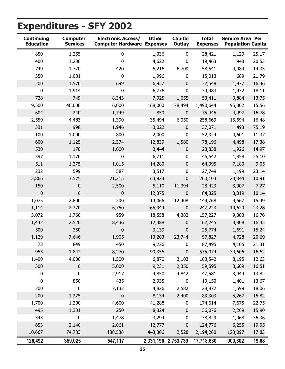| <b>Continuing</b><br><b>Education</b> | <b>Computer</b><br><b>Services</b> | <b>Electronic Access/</b> | <b>Other</b><br><b>Computer Hardware Expenses</b> | <b>Capital</b><br><b>Outlay</b> | <b>Total</b><br><b>Expenses</b> | <b>Service Area Per</b><br><b>Population Capita</b> |       |
|---------------------------------------|------------------------------------|---------------------------|---------------------------------------------------|---------------------------------|---------------------------------|-----------------------------------------------------|-------|
| 850                                   | 1,255                              | $\mathbf 0$               | 1,036                                             | $\mathbf 0$                     | 28,421                          | 1,129                                               | 25.17 |
| 400                                   | 1,230                              | 0                         | 4,622                                             | 0                               | 19,463                          | 948                                                 | 20.53 |
| 749                                   | 1,720                              | 420                       | 5,216                                             | 6,709                           | 58,541                          | 4,084                                               | 14.33 |
| 350                                   | 1,081                              | $\mathbf 0$               | 1,996                                             | 0                               | 15,013                          | 689                                                 | 21.79 |
| 200                                   | 1,570                              | 699                       | 6,957                                             | $\pmb{0}$                       | 32,548                          | 1,977                                               | 16.46 |
| 0                                     | 1,914                              | $\bf{0}$                  | 6,776                                             | $\pmb{0}$                       | 34,983                          | 1,932                                               | 18.11 |
| 728                                   | 749                                | 8,343                     | 7,925                                             | 1,055                           | 53,411                          | 3,884                                               | 13.75 |
| 9,500                                 | 46,000                             | 6,000                     | 168,000                                           | 178,494                         | 1,490,644                       | 95,802                                              | 15.56 |
| 604                                   | 240                                | 1,749                     | 850                                               | $\pmb{0}$                       | 75,445                          | 4,497                                               | 16.78 |
| 2,559                                 | 4,483                              | 1,390                     | 35,494                                            | 6,050                           | 258,669                         | 15,694                                              | 16.48 |
| 331                                   | 998                                | 1,946                     | 3,022                                             | $\pmb{0}$                       | 37,071                          | 493                                                 | 75.19 |
| 100                                   | 1,000                              | 800                       | 2,000                                             | $\pmb{0}$                       | 52,324                          | 4,601                                               | 11.37 |
| 600                                   | 1,125                              | 2,374                     | 12,839                                            | 1,580                           | 78,196                          | 4,498                                               | 17.38 |
| 530                                   | 170                                | 1,000                     | 3,444                                             | $\pmb{0}$                       | 28,838                          | 1,926                                               | 14.97 |
| 397                                   | 1,170                              | $\pmb{0}$                 | 6,711                                             | $\pmb{0}$                       | 46,642                          | 1,858                                               | 25.10 |
| 511                                   | 1,275                              | 1,015                     | 14,280                                            | $\pmb{0}$                       | 64,995                          | 7,180                                               | 9.05  |
| 232                                   | 599                                | 587                       | 3,517                                             | $\pmb{0}$                       | 27,749                          | 1,199                                               | 23.14 |
| 3,866                                 | 3,575                              | 21,215                    | 63,923                                            | $\mathbf 0$                     | 260,103                         | 23,844                                              | 10.91 |
| 150                                   | 0                                  | 2,500                     | 5,110                                             | 11,394                          | 28,423                          | 3,907                                               | 7.27  |
| $\mathbf 0$                           | 0                                  | 0                         | 12,375                                            | $\pmb{0}$                       | 84,325                          | 8,319                                               | 10.14 |
| 1,075                                 | 2,800                              | 200                       | 14,066                                            | 12,408                          | 149,768                         | 9,667                                               | 15.49 |
| 1,114                                 | 2,370                              | 6,750                     | 65,944                                            | $\pmb{0}$                       | 247,223                         | 10,620                                              | 23.28 |
| 3,072                                 | 1,760                              | 959                       | 18,558                                            | 4,382                           | 157,227                         | 9,383                                               | 16.76 |
| 1,442                                 | 2,520                              | 8,436                     | 12,388                                            | $\mathbf 0$                     | 62,245                          | 3,808                                               | 16.35 |
| 500                                   | 350                                | 0                         | 3,139                                             | $\pmb{0}$                       | 25,774                          | 1,691                                               | 15.24 |
| 1,129                                 | 7,646                              | 1,905                     | 13,203                                            | 23,744                          | 97,827                          | 4,728                                               | 20.69 |
| 73                                    | 849                                | 450                       | 9,226                                             | U                               | 87,495                          | 4,105                                               | 21.31 |
| 953                                   | 1,842                              | 8,270                     | 90,356                                            | $\pmb{0}$                       | 575,074                         | 34,606                                              | 16.62 |
| 1,400                                 | 4,000                              | 1,500                     | 6,870                                             | 3,103                           | 103,542                         | 8,195                                               | 12.63 |
| 300                                   | $\pmb{0}$                          | 5,000                     | 9,231                                             | 2,350                           | 59,595                          | 3,609                                               | 16.51 |
| 0                                     | 0                                  | 2,917                     | 4,850                                             | 4,842                           | 47,581                          | 3,444                                               | 13.82 |
| 0                                     | 850                                | 435                       | 2,935                                             | 0                               | 19,150                          | 1,401                                               | 13.67 |
| 200                                   | $\pmb{0}$                          | 7,132                     | 4,826                                             | 2,582                           | 28,872                          | 1,599                                               | 18.06 |
| 200                                   | 1,275                              | $\mathbf 0$               | 8,134                                             | 2,400                           | 83,303                          | 5,267                                               | 15.82 |
| 1,700                                 | 1,200                              | 4,600                     | 41,288                                            | $\bf{0}$                        | 174,614                         | 7,675                                               | 22.75 |
| 495                                   | 1,301                              | 250                       | 8,324                                             | $\pmb{0}$                       | 36,076                          | 2,269                                               | 15.90 |
| 343                                   | 0                                  | 1,478                     | 3,294                                             | 0                               | 38,829                          | 1,068                                               | 36.36 |
| 653                                   | 2,140                              | 2,061                     | 12,777                                            | $\pmb{0}$                       | 124,776                         | 6,255                                               | 19.95 |
| 10,667                                | 74,783                             | 138,538                   | 443,306                                           | 2,528                           | 2,194,260                       | 123,097                                             | 17.83 |
| 126,492                               | 359,025                            | 547,117                   | 2,331,196 2,753,739                               |                                 | 17,718,630                      | 900,302                                             | 19.68 |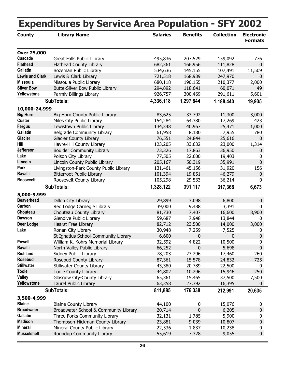<span id="page-30-0"></span>

|                        |                                       |                 | <b>Expenditures by Service Area Population - SFY 2002</b> |                   |                                     |  |  |  |
|------------------------|---------------------------------------|-----------------|-----------------------------------------------------------|-------------------|-------------------------------------|--|--|--|
| <b>County</b>          | <b>Library Name</b>                   | <b>Salaries</b> | <b>Benefits</b>                                           | <b>Collection</b> | <b>Electronic</b><br><b>Formats</b> |  |  |  |
| <b>Over 25,000</b>     |                                       |                 |                                                           |                   |                                     |  |  |  |
| Cascade                | Great Falls Public Library            | 495,836         | 207,529                                                   | 159,092           | 776                                 |  |  |  |
| <b>Flathead</b>        | Flathead County Library               | 682,361         | 166,956                                                   | 111,828           | $\mathbf 0$                         |  |  |  |
| <b>Gallatin</b>        | Bozeman Public Library                | 534,636         | 145,155                                                   | 107,491           | 11,509                              |  |  |  |
| <b>Lewis and Clark</b> | Lewis & Clark Library                 | 721,518         | 168,939                                                   | 247,970           | 0                                   |  |  |  |
| <b>Missoula</b>        | Missoula Public Library               | 680,118         | 190,155                                                   | 210,377           | 2,000                               |  |  |  |
| <b>Silver Bow</b>      | Butte-Silver Bow Public Library       | 294,892         | 118,641                                                   | 60,071            | 49                                  |  |  |  |
| Yellowstone            | Parmly Billings Library               | 926,757         | 300,469                                                   | 291,611           | 5,601                               |  |  |  |
|                        | <b>SubTotals:</b>                     | 4,336,118       | 1,297,844                                                 | 1,188,440         | 19,935                              |  |  |  |
| 10,000-24,999          |                                       |                 |                                                           |                   |                                     |  |  |  |
| <b>Big Horn</b>        | Big Horn County Public Library        | 83,625          | 33,792                                                    | 11,300            | 3,000                               |  |  |  |
| <b>Custer</b>          | Miles City Public Library             | 154,284         | 64,380                                                    | 17,269            | 423                                 |  |  |  |
| <b>Fergus</b>          | Lewistown Public Library              | 134,348         | 40,967                                                    | 25,471            | 1,000                               |  |  |  |
| Gallatin               | <b>Belgrade Community Library</b>     | 61,958          | 8,180                                                     | 7,955             | 780                                 |  |  |  |
| <b>Glacier</b>         | <b>Glacier County Library</b>         | 76,551          | 24,844                                                    | 25,616            | $\mathbf 0$                         |  |  |  |
| Hill                   | Havre-Hill County Library             | 123,205         | 33,632                                                    | 23,000            | 1,314                               |  |  |  |
| <b>Jefferson</b>       | <b>Boulder Community Library</b>      | 73,326          | 17,863                                                    | 36,950            | $\mathbf 0$                         |  |  |  |
| Lake                   | Polson City Library                   | 77,505          | 22,600                                                    | 19,403            | 0                                   |  |  |  |
| Lincoln                | Lincoln County Public Library         | 205,167         | 50,319                                                    | 35,991            | $\mathbf 0$                         |  |  |  |
| Park                   | Livingston-Park County Public Library | 131,461         | 45,156                                                    | 31,920            | 156                                 |  |  |  |
| Ravalli                | <b>Bitterroot Public Library</b>      | 101,394         | 19,851                                                    | 46,279            | 0                                   |  |  |  |
| Roosevelt              | Roosevelt County Library              | 105,298         | 29,533                                                    | 36,214            | 0                                   |  |  |  |
|                        | <b>SubTotals:</b>                     | 1,328,122       | 391,117                                                   | 317,368           | 6,673                               |  |  |  |
| 5,000-9,999            |                                       |                 |                                                           |                   |                                     |  |  |  |
| <b>Beaverhead</b>      | Dillon City Library                   | 29,899          | 3,098                                                     | 6,800             | $\mathbf 0$                         |  |  |  |
| Carbon                 | Red Lodge Carnegie Library            | 39,000          | 9,488                                                     | 3,391             | $\Omega$                            |  |  |  |
| Chouteau               | Chouteau County Library               | 81,730          | 7,407                                                     | 16,600            | 8,900                               |  |  |  |
| <b>Dawson</b>          | Glendive Public Library               | 59,687          | 7,948                                                     | 13,844            | 0                                   |  |  |  |
| <b>Deer Lodge</b>      | <b>Hearst Free Library</b>            | 82,712          | 23,500                                                    | 14,000            | 3,000                               |  |  |  |
| Lake                   | Ronan City Library                    | 30,948          | 7,259                                                     | 7,525             | 0                                   |  |  |  |
|                        | St Ignatius School-Community Library  | 6,600           | 0                                                         | 0                 | $\mathbf 0$                         |  |  |  |
| <b>Powell</b>          | William K. Kohrs Memorial Library     | 32,592          | 4,822                                                     | 10,500            | 0                                   |  |  |  |
| Ravalli                | North Valley Public Library           | 66,252          | 0                                                         | 5,698             | $\mathbf 0$                         |  |  |  |
| <b>Richland</b>        | Sidney Public Library                 | 78,203          | 23,296                                                    | 17,460            | 260                                 |  |  |  |
| <b>Rosebud</b>         | Rosebud County Library                | 87,361          | 15,578                                                    | 24,832            | 725                                 |  |  |  |
| <b>Stillwater</b>      | Stillwater County Library             | 43,380          | 20,789                                                    | 22,500            | $\boldsymbol{0}$                    |  |  |  |
| <b>Toole</b>           | <b>Toole County Library</b>           | 44,802          | 10,296                                                    | 15,946            | 250                                 |  |  |  |
| <b>Valley</b>          | Glasgow City-County Library           | 65,361          | 15,465                                                    | 37,500            | 7,500                               |  |  |  |
| Yellowstone            | Laurel Public Library                 | 63,358          | 27,392                                                    | 16,395            | 0                                   |  |  |  |
|                        | <b>SubTotals:</b>                     | 811,885         | 176,338                                                   | 212,991           | 20,635                              |  |  |  |
| 3,500-4,999            |                                       |                 |                                                           |                   |                                     |  |  |  |
| <b>Blaine</b>          | <b>Blaine County Library</b>          | 44,100          | 0                                                         | 15,076            | 0                                   |  |  |  |
| <b>Broadwater</b>      | Broadwater School & Community Library | 20,714          | $\mathbf 0$                                               | 6,205             | $\mathbf 0$                         |  |  |  |
| <b>Gallatin</b>        | Three Forks Community Library         | 32,131          | 1,785                                                     | 5,900             | 0                                   |  |  |  |
| <b>Madison</b>         | Thompson-Hickman County Library       | 23,881          | 9,039                                                     | 10,807            | $\mathbf 0$                         |  |  |  |
| <b>Mineral</b>         | Mineral County Public Library         | 22,536          | 1,837                                                     | 10,238            | 0                                   |  |  |  |
| <b>Musselshell</b>     | Roundup Community Library             | 55,619          | 7,328                                                     | 9,055             | $\mathbf 0$                         |  |  |  |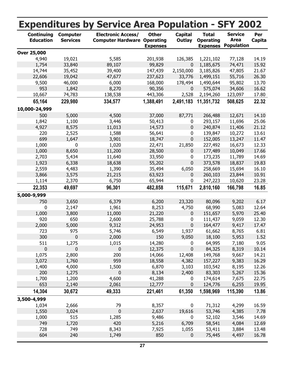|                                       |                                    | <b>Expenditures by Service Area Population - SFY 2002</b>       |                                 |                                 |                                                     |                                             |               |
|---------------------------------------|------------------------------------|-----------------------------------------------------------------|---------------------------------|---------------------------------|-----------------------------------------------------|---------------------------------------------|---------------|
| <b>Continuing</b><br><b>Education</b> | <b>Computer</b><br><b>Services</b> | <b>Electronic Access/</b><br><b>Computer Hardware Operating</b> | <b>Other</b><br><b>Expenses</b> | <b>Capital</b><br><b>Outlay</b> | <b>Total</b><br><b>Operating</b><br><b>Expenses</b> | <b>Service</b><br>Area<br><b>Population</b> | Per<br>Capita |
| <b>Over 25,000</b>                    |                                    |                                                                 |                                 |                                 |                                                     |                                             |               |
| 4,940                                 | 19,021                             | 5,585                                                           | 201,938                         | 126,385                         | 1,221,102                                           | 77,128                                      | 14.19         |
| 1,754                                 | 33,840                             | 89,107                                                          | 99,829                          | 0                               | 1,185,675                                           | 74,471                                      | 15.92         |
| 14,744                                | 35,452                             | 39,400                                                          | 147,439                         | 2,150,000                       | 3,185,826                                           | 47,805                                      | 21.67         |
| 22,606                                | 19,042                             | 47,677                                                          | 237,623                         | 33,776                          | 1,499,151                                           | 55,716                                      | 26.30         |
| 9,500                                 | 46,000                             | 6,000                                                           | 168,000                         | 178,494                         | 1,490,644                                           | 95,802                                      | 13.70         |
| 953                                   | 1,842                              | 8,270                                                           | 90,356                          | $\mathbf 0$                     | 575,074                                             | 34,606                                      | 16.62         |
| 10,667                                | 74,783                             | 138,538                                                         | 443,306                         | 2,528                           | 2,194,260                                           | 123,097                                     | 17.80         |
| 65,164                                | 229,980                            | 334,577                                                         | 1,388,491                       | 2,491,183                       | 11,351,732                                          | 508,625                                     | 22.32         |
| 10,000-24,999                         |                                    |                                                                 |                                 |                                 |                                                     |                                             |               |
| 500                                   | 5,000                              | 4,500                                                           | 37,000                          | 87,771                          | 266,488                                             | 12,671                                      | 14.10         |
| 1,842                                 | 1,100                              | 3,446                                                           | 50,413                          | 0                               | 293,157                                             | 11,696                                      | 25.06         |
| 4,927                                 | 8,575                              | 11,013                                                          | 14,573                          | 0                               | 240,874                                             | 11,406                                      | 21.12         |
| 220                                   | 2,525                              | 1,588                                                           | 56,641                          | 0                               | 139,847                                             | 10,272                                      | 13.61         |
| 699                                   | 1,647                              | 3,901                                                           | 18,747                          | 0                               | 152,005                                             | 13,247                                      | 11.47         |
| 1,000                                 | 0                                  | 1,020                                                           | 22,471                          | 21,850                          | 227,492                                             | 16,673                                      | 12.33         |
| 1,000                                 | 8,650                              | 11,200                                                          | 28,500                          | 0                               | 177,489                                             | 10,049                                      | 17.66         |
| 2,703                                 | 5,434                              | 11,640                                                          | 33,950                          | 0                               | 173,235                                             | 11,789                                      | 14.69         |
| 1,923                                 | 6,338                              | 18,638                                                          | 55,202                          | 0                               | 373,578                                             | 18,837                                      | 19.83         |
| 2,559                                 | 4,483                              | 1,390                                                           | 35,494                          | 6,050                           | 258,669                                             | 15,694                                      | 16.10         |
| 3,866                                 | 3,575                              | 21,215                                                          | 63,923                          | 0                               | 260,103                                             | 23,844                                      | 10.91         |
| 1,114                                 | 2,370                              | 6,750                                                           | 65,944                          | 0                               | 247,223                                             | 10,620                                      | 23.28         |
| 22,353                                | 49,697                             | 96,301                                                          | 482,858                         | 115,671                         | 2,810,160                                           | 166,798                                     | 16.85         |
| 5,000-9,999                           |                                    |                                                                 |                                 |                                 |                                                     |                                             |               |
| 750                                   | 3,650                              | 6,379                                                           | 6,200                           | 23,320                          | 80,096                                              | 9,202                                       | 6.17          |
| 0                                     | 2,147                              | 1,961                                                           | 8,253                           | 4,750                           | 68,990                                              | 5,083                                       | 12.64         |
| 1,000                                 | 3,800                              | 11,000                                                          | 21,220                          | 0                               | 151,657                                             | 5,970                                       | 25.40         |
| 920                                   | 650                                | 2,600                                                           | 25,788                          | 0                               | 111,437                                             | 9,059                                       | 12.30         |
| 2,000                                 | 5,000                              | 9,312                                                           | 24,953                          | 0                               | 164,477                                             | 9,417                                       | 17.47         |
| 723                                   | 975                                | 5,746                                                           | 6,549                           | 1,937                           | 61,662                                              | 8,765                                       | 6.81          |
| 300                                   | $\pmb{0}$                          | 2,000                                                           | 150                             | 9,050                           | 18,100                                              | 5,953                                       | 1.52          |
| 511                                   | 1,275                              | 1,015                                                           | 14,280                          | 0                               | 64,995                                              | 7,180                                       | 9.05          |
| 0                                     | 0                                  | 0                                                               | 12,375                          | 0                               | 84,325                                              | 8,319                                       | 10.14         |
| 1,075                                 | 2,800                              | 200                                                             | 14,066                          | 12,408                          | 149,768                                             | 9,667                                       | 14.21         |
| 3,072                                 | 1,760                              | 959                                                             | 18,558                          | 4,382                           | 157,227                                             | 9,383                                       | 16.29         |
| 1,400                                 | 4,000                              | 1,500                                                           | 6,870                           | 3,103                           | 103,542                                             | 8,195                                       | 12.26         |
| 200                                   | 1,275                              | 0                                                               | 8,134                           | 2,400                           | 83,303                                              | 5,267                                       | 15.36         |
| 1,700                                 | 1,200                              | 4,600                                                           | 41,288                          | 0                               | 174,614                                             | 7,675                                       | 22.75         |
| 653                                   | 2,140                              | 2,061                                                           | 12,777                          | 0                               | 124,776                                             | 6,255                                       | 19.95         |
| 14,304                                | 30,672                             | 49,333                                                          | 221,461                         | 61,350                          | 1,598,969                                           | 115,390                                     | 13.86         |
| 3,500-4,999                           |                                    |                                                                 |                                 |                                 |                                                     |                                             |               |
| 1,034                                 | 2,666                              | 79                                                              | 8,357                           | 0                               | 71,312                                              | 4,299                                       | 16.59         |
| 1,550                                 | 3,024                              | $\mathbf 0$                                                     | 2,637                           | 19,616                          | 53,746                                              | 4,385                                       | 7.78          |
| 1,000                                 | 515                                | 1,285                                                           | 9,486                           | 0                               | 52,102                                              | 3,546                                       | 14.69         |
| 749                                   | 1,720                              | 420                                                             | 5,216                           | 6,709                           | 58,541                                              | 4,084                                       | 12.69         |
| 728                                   | 749                                | 8,343                                                           | 7,925                           | 1,055                           | 53,411                                              | 3,884                                       | 13.48         |
| 604                                   | 240                                | 1,749                                                           | 850                             | 0                               | 75,445                                              | 4,497                                       | 16.78         |
|                                       |                                    |                                                                 |                                 |                                 |                                                     |                                             |               |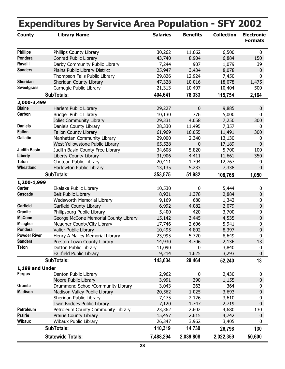| <b>County</b>       | <b>Library Name</b>                   | <b>Salaries</b> | <b>Benefits</b>  | <b>Collection</b> | <b>Electronic</b> |
|---------------------|---------------------------------------|-----------------|------------------|-------------------|-------------------|
|                     |                                       |                 |                  |                   | <b>Formats</b>    |
| <b>Phillips</b>     | Phillips County Library               | 30,262          | 11,662           | 6,500             | 0                 |
| Pondera             | Conrad Public Library                 | 43,740          | 8,904            | 6,884             | 150               |
| Ravalli             | Darby Community Public Library        | 7,244           | 907              | 1,079             | 39                |
| <b>Sanders</b>      | Plains Public Library District        | 25,947          | 3,434            | 8,078             | $\mathbf 0$       |
|                     | Thompson Falls Public Library         | 29,826          | 12,924           | 7,450             | 0                 |
| Sheridan            | Sheridan County Library               | 47,328          | 10,016           | 18,078            | 1,475             |
| <b>Sweetgrass</b>   | Carnegie Public Library               | 21,313          | 10,497           | 10,404            | 500               |
|                     | <b>SubTotals:</b>                     | 404,641         | 78,333           | 115,754           | 2,164             |
| 2,000-3,499         |                                       |                 |                  |                   |                   |
| <b>Blaine</b>       | Harlem Public Library                 | 29,227          | 0                | 9,885             | $\mathbf{0}$      |
| Carbon              | <b>Bridger Public Library</b>         | 10,130          | 776              | 5,000             | 0                 |
|                     | Joliet Community Library              | 29,331          | 4,058            | 7,250             | 300               |
| <b>Daniels</b>      | Daniels County Library                | 28,330          | 11,495           | 7,357             | 0                 |
| <b>Fallon</b>       | Fallon County Library                 | 61,969          | 16,055           | 11,491            | 300               |
| Gallatin            | Manhattan Community Library           | 29,000          | 2,340            | 13,130            | 0                 |
|                     | West Yellowstone Public Library       | 65,528          | 0                | 17,189            | $\mathbf 0$       |
| <b>Judith Basin</b> | Judith Basin County Free Library      | 34,608          | 5,820            | 5,700             | 100               |
| <b>Liberty</b>      | Liberty County Library                | 31,906          | 4,411            | 11,661            | 350               |
| <b>Teton</b>        | Choteau Public Library                | 20,411          | 1,794            | 12,767            | 0                 |
| Wheatland           | Harlowton Public Library              | 13,135          | 5,233            | 7,338             | 0                 |
|                     | <b>SubTotals:</b>                     | 353,575         | 51,982           | 108,768           | 1,050             |
| 1,200-1,999         |                                       |                 |                  |                   |                   |
| Carter              | Ekalaka Public Library                | 10,530          | $\boldsymbol{0}$ | 5,444             | 0                 |
| <b>Cascade</b>      | <b>Belt Public Library</b>            | 8,931           | 1,378            | 2,884             | 0                 |
|                     | Wedsworth Memorial Library            | 9,169           | 680              | 1,342             | 0                 |
| Garfield            | Garfield County Library               | 6,992           | 4,082            | 2,079             | $\mathbf{0}$      |
| Granite             | Philipsburg Public Library            | 5,400           | 420              | 3,700             | 0                 |
| <b>McCone</b>       | George McCone Memorial County Library | 15,142          | 3,445            | 4,535             | $\mathbf 0$       |
| <b>Meagher</b>      | Meagher County/City Library           | 17,746          | 2,606            | 5,941             | 0                 |
| Pondera             | Valier Public Library                 | 10,495          | 4,802            | 8,397             | $\pmb{0}$         |
| <b>Powder River</b> | Henry A Malley Memorial Library       | 23,995          | 5,720            | 8,649             | 0                 |
| <b>Sanders</b>      | Preston Town County Library           | 14,930          | 4,706            | 2,136             | 13                |
| <b>Teton</b>        | <b>Dutton Public Library</b>          | 11,090          | 0                | 3,840             | 0                 |
|                     | Fairfield Public Library              | 9,214           | 1,625            | 3,293             | 0                 |
|                     | <b>SubTotals:</b>                     | 143,634         | 29,464           | 52,240            | 13                |
| 1,199 and Under     |                                       |                 |                  |                   |                   |
| Fergus              | Denton Public Library                 | 2,962           | $\pmb{0}$        | 2,430             | 0                 |
|                     | Moore Public Library                  | 3,991           | 390              | 1,155             | $\mathbf 0$       |
| Granite             | Drummond School/Community Library     | 3,043           | 263              | 364               | 0                 |
| <b>Madison</b>      | Madison Valley Public Library         | 20,562          | 1,025            | 3,693             | 0                 |
|                     | Sheridan Public Library               | 7,475           | 2,126            | 3,610             | 0                 |
|                     | Twin Bridges Public Library           | 7,120           | 1,747            | 2,719             | $\mathbf 0$       |
| Petroleum           | Petroleum County Community Library    | 23,362          | 2,602            | 4,680             | 130               |
| <b>Prairie</b>      | Prairie County Library                | 15,457          | 2,615            | 4,742             | 0                 |
| <b>Wibaux</b>       | Wibaux Public Library                 | 26,347          | 3,962            | 3,405             | 0                 |
|                     | <b>SubTotals:</b>                     | 110,319         | 14,730           |                   |                   |
|                     |                                       |                 |                  | 26,798            | 130               |
|                     | <b>Statewide Totals:</b>              | 7,488,294       | 2,039,808        | 2,022,359         | 50,600            |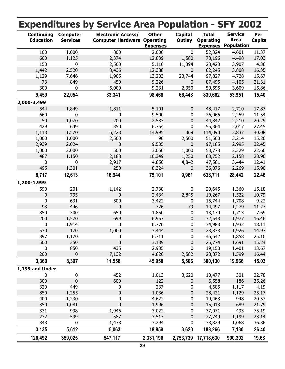|                                       |                                    | <b>Expenditures by Service Area Population - SFY 2002</b>       |                                 |                   |                                                     |                                                    |                |
|---------------------------------------|------------------------------------|-----------------------------------------------------------------|---------------------------------|-------------------|-----------------------------------------------------|----------------------------------------------------|----------------|
| <b>Continuing</b><br><b>Education</b> | <b>Computer</b><br><b>Services</b> | <b>Electronic Access/</b><br><b>Computer Hardware Operating</b> | <b>Other</b><br><b>Expenses</b> | Capital<br>Outlay | <b>Total</b><br><b>Operating</b><br><b>Expenses</b> | <b>Service</b><br><b>Area</b><br><b>Population</b> | Per<br>Capita  |
| 100                                   | 1,000                              | 800                                                             | 2,000                           | 0                 | 52,324                                              | 4,601                                              | 11.37          |
| 600                                   | 1,125                              | 2,374                                                           | 12,839                          | 1,580             | 78,196                                              | 4,498                                              | 17.03          |
| 150                                   | $\pmb{0}$                          | 2,500                                                           | 5,110                           | 11,394            | 28,423                                              | 3,907                                              | 4.36           |
| 1,442                                 | 2,520                              | 8,436                                                           | 12,388                          | 0                 | 62,245                                              | 3,808                                              | 16.35          |
| 1,129                                 | 7,646                              | 1,905                                                           | 13,203                          | 23,744            | 97,827                                              | 4,728                                              | 15.67          |
| 73                                    | 849                                | 450                                                             | 9,226                           | $\pmb{0}$         | 87,495                                              | 4,105                                              | 21.31          |
| 300                                   | 0                                  | 5,000                                                           | 9,231                           | 2,350             | 59,595                                              | 3,609                                              | 15.86          |
| 9,459                                 | 22,054                             | 33,341                                                          | 98,468                          | 66,448            | 830,662                                             | 53,951                                             | 15.40          |
| 2,000-3,499                           |                                    |                                                                 |                                 |                   |                                                     |                                                    |                |
| 544                                   | 1,849                              | 1,811                                                           | 5,101                           | 0                 | 48,417                                              | 2,710                                              | 17.87          |
| 660                                   | $\pmb{0}$                          | $\mathbf 0$                                                     | 9,500                           | 0                 | 26,066                                              | 2,259                                              | 11.54          |
| 50                                    | 1,070                              | 200                                                             | 2,583                           | $\pmb{0}$         | 44,842                                              | 2,210                                              | 20.29          |
| 429                                   | 649                                | 350                                                             | 6,754                           | $\pmb{0}$         | 55,364                                              | 2,017                                              | 27.45          |
| 1,113                                 | 1,570                              | 6,228                                                           | 14,995                          | 369               | 114,090                                             | 2,837                                              | 40.08          |
| 1,000                                 | 1,000                              | 2,500                                                           | 90                              | 2,500             | 51,560                                              | 3,214                                              | 15.26          |
| 2,939                                 | 2,024                              | 0                                                               | 9,505                           | 0                 | 97,185                                              | 2,995                                              | 32.45          |
| 1,000                                 | 2,000                              | 500                                                             | 3,050                           | 1,000             | 53,778                                              | 2,329                                              | 22.66          |
| 487                                   | 1,150                              | 2,188                                                           | 10,349                          | 1,250             | 63,752                                              | 2,158                                              | 28.96          |
| 0                                     | 0                                  | 2,917                                                           | 4,850                           | 4,842             | 47,581                                              | 3,444                                              | 12.41          |
| 495                                   | 1,301                              | 250                                                             | 8,324                           | 0                 | 36,076                                              | 2,269                                              | 15.90          |
| 8,717                                 | 12,613                             | 16,944                                                          | 75,101                          | 9,961             | 638,711                                             | 28,442                                             | 22.46          |
| 1,200-1,999                           |                                    |                                                                 |                                 |                   |                                                     |                                                    |                |
| 590                                   | 201                                | 1,142                                                           | 2,738                           | 0                 | 20,645                                              | 1,360                                              | 15.18          |
| 0                                     | 795                                | 0                                                               | 2,434                           | 2,845             | 19,267                                              | 1,522                                              | 10.79          |
| 0                                     | 631                                | 500                                                             | 3,422                           | 0                 | 15,744                                              | 1,708                                              | 9.22           |
| 93                                    | 446                                | $\pmb{0}$                                                       | 726                             | 79                | 14,497                                              | 1,279                                              | 11.27          |
| 850                                   | 300                                | 650                                                             | 1,850                           | 0                 | 13,170                                              | 1,713                                              | 7.69           |
| 200                                   | 1,570                              | 699                                                             | 6,957                           | $\pmb{0}$         | 32,548                                              | 1,977                                              | 16.46          |
| 0                                     | 1,914                              | 0                                                               | 6,776                           | 0                 | 34,983                                              | 1,932                                              | 18.11          |
| 530                                   | 170                                | 1,000                                                           | 3,444                           | 0                 | 28,838                                              | 1,926                                              | 14.97          |
| 397                                   | 1,170                              | 0                                                               | 6,711                           | 0                 | 46,642                                              | 1,858                                              | 25.10          |
| 500                                   | 350                                | 0                                                               | 3,139                           | 0                 | 25,774                                              | 1,691                                              | 15.24          |
| 0                                     | 850                                | 435                                                             | 2,935                           | 0                 | 19,150                                              | 1,401                                              | 13.67          |
| 200                                   | $\mathbf 0$                        | 7,132                                                           | 4,826                           | 2,582             | 28,872                                              | 1,599                                              | 16.44          |
| 3,360                                 | 8,397                              | 11,558                                                          | 45,958                          | 5,506             | 300,130                                             | 19,966                                             | 15.03          |
| 1,199 and Under                       |                                    |                                                                 |                                 |                   |                                                     |                                                    |                |
| $\pmb{0}$                             | $\pmb{0}$                          | 452                                                             | 1,013                           | 3,620             | 10,477                                              | 301                                                | 22.78          |
| 300                                   | $\mathbf 0$                        | 600                                                             | 122                             | 0                 | 6,558                                               | 186                                                | 35.26          |
| 329                                   | 449                                | 0                                                               | 237                             | 0                 | 4,685                                               | 1,117                                              | 4.19           |
| 850                                   | 1,255                              | $\pmb{0}$                                                       | 1,036                           | 0                 | 28,421                                              | 1,129                                              | 25.17          |
| 400                                   | 1,230                              | 0                                                               | 4,622                           | 0                 | 19,463                                              | 948                                                | 20.53          |
| 350                                   |                                    | $\mathbf 0$                                                     | 1,996                           | 0                 | 15,013                                              | 689                                                | 21.79          |
| 331                                   | 1,081<br>998                       |                                                                 |                                 |                   |                                                     | 493                                                | 75.19          |
| 232                                   |                                    | 1,946                                                           | 3,022                           | 0                 | 37,071                                              |                                                    |                |
|                                       | 599                                | 587                                                             | 3,517                           | 0                 | 27,749                                              | 1,199                                              | 23.14          |
| 343<br>3,135                          | 0<br>5,612                         | 1,478<br>5,063                                                  | 3,294<br>18,859                 | 0<br>3,620        | 38,829<br>188,266                                   | 1,068<br>7,130                                     | 36.36<br>26.40 |
| 126,492                               | 359,025                            | 547,117                                                         | 2,331,196                       | 2,753,739         | 17,718,630                                          | 900,302                                            | 19.68          |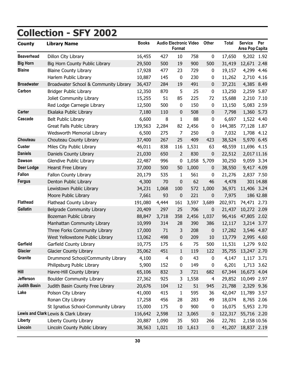# <span id="page-34-0"></span>**Collection - SFY 2002**

| <b>County</b>       | <b>Library Name</b>                   | <b>Books</b> |                | Format           | <b>Audio Electronic Video</b> | <b>Other</b>     | <b>Total</b> | <b>Service</b><br>Area Pop Capita | Per       |
|---------------------|---------------------------------------|--------------|----------------|------------------|-------------------------------|------------------|--------------|-----------------------------------|-----------|
| <b>Beaverhead</b>   | Dillon City Library                   | 16,455       | 427            | 10               | 758                           | $\pmb{0}$        | 17,650       | 9,202 1.92                        |           |
| <b>Big Horn</b>     | Big Horn County Public Library        | 29,500       | 500            | 19               | 900                           | 500              | 31,419       | 12,671 2.48                       |           |
| <b>Blaine</b>       | <b>Blaine County Library</b>          | 17,928       | 477            | 23               | 729                           | $\pmb{0}$        | 19,157       | 4,299 4.46                        |           |
|                     | Harlem Public Library                 | 10,887       | 145            | $\mathbf 0$      | 230                           | 0                | 11,262       | 2,710                             | 4.16      |
| <b>Broadwater</b>   | Broadwater School & Community Library | 36,437       | 284            | 19               | 491                           | $\pmb{0}$        | 37,231       | 4,385                             | 8.49      |
| Carbon              | <b>Bridger Public Library</b>         | 12,350       | 870            | 5                | 25                            | 0                | 13,250       | 2,259 5.87                        |           |
|                     | Joliet Community Library              | 15,255       | 51             | 85               | 225                           | 72               | 15,688       | 2,210                             | 7.10      |
|                     | Red Lodge Carnegie Library            | 12,500       | 500            | $\pmb{0}$        | 150                           | $\pmb{0}$        | 13,150       | 5,083                             | 2.59      |
| <b>Carter</b>       | Ekalaka Public Library                | 7,180        | 110            | $\boldsymbol{0}$ | 508                           | $\boldsymbol{0}$ | 7,798        | 1,360 5.73                        |           |
| Cascade             | Belt Public Library                   | 6,600        | 8              | 1                | 88                            | $\pmb{0}$        | 6,697        | 1,522                             | 4.40      |
|                     | Great Falls Public Library            | 139,563      | 2,284          | 82               | 2,456                         | 0                | 144,385      | 77,128                            | 1.87      |
|                     | <b>Wedsworth Memorial Library</b>     | 6,500        | 275            | 7                | 250                           | 0                | 7,032        | 1,708 4.12                        |           |
| Chouteau            | Chouteau County Library               | 37,400       | 267            | 25               | 409                           | 423              | 38,524       | 5,970 6.45                        |           |
| <b>Custer</b>       | Miles City Public Library             | 46,011       | 838            | 116              | 1,531                         | 63               | 48,559       | 11,696 4.15                       |           |
| <b>Daniels</b>      | Daniels County Library                | 21,030       | 650            | $\overline{2}$   | 830                           | 0                | 22,512       | 2,017 11.16                       |           |
| <b>Dawson</b>       | Glendive Public Library               | 22,487       | 996            | $\pmb{0}$        |                               | 1,058 5,709      | 30,250       | 9,059 3.34                        |           |
| <b>Deer Lodge</b>   | <b>Hearst Free Library</b>            | 37,000       | 500            | 50               | 1,000                         | $\boldsymbol{0}$ | 38,550       | 9,417 4.09                        |           |
| <b>Fallon</b>       | Fallon County Library                 | 20,179       | 535            | 1                | 561                           | $\pmb{0}$        | 21,276       | 2,837 7.50                        |           |
| <b>Fergus</b>       | Denton Public Library                 | 4,300        | 70             | $\mathbf 0$      | 62                            | 46               | 4,478        |                                   | 301 14.88 |
|                     | Lewistown Public Library              | 34,231       | 1,068          | 100              | 572                           | 1,000            | 36,971       | 11,406 3.24                       |           |
|                     | Moore Public Library                  | 7,661        | 93             | 0                | 221                           | 0                | 7,975        |                                   | 186 42.88 |
| <b>Flathead</b>     | Flathead County Library               | 191,080      | 4,444          | 161              | 3,597                         | 3,689            | 202,971      | 74,471                            | 2.73      |
| <b>Gallatin</b>     | <b>Belgrade Community Library</b>     | 20,409       | 297            | 25               | 706                           | $\pmb{0}$        | 21,437       | 10,272 2.09                       |           |
|                     | Bozeman Public Library                | 88,847       | 3,718          | 358              | 2,456                         | 1,037            | 96,416       | 47,805 2.02                       |           |
|                     | Manhattan Community Library           | 10,999       | 314            | 28               | 390                           | 386              | 12,117       | 3,214 3.77                        |           |
|                     | Three Forks Community Library         | 17,000       | 71             | 3                | 208                           | 0                | 17,282       | 3,546 4.87                        |           |
|                     | West Yellowstone Public Library       | 13,062       | 498            | $\pmb{0}$        | 209                           | 10               | 13,779       | 2,995 4.60                        |           |
| Garfield            | Garfield County Library               | 10,775       | 175            | 6                | 75                            | 500              | 11,531       | 1,279 9.02                        |           |
| <b>Glacier</b>      | <b>Glacier County Library</b>         | 35,062       | 451            | $\mathbf{1}$     | 119                           | 122              | 35,755       | 13,247 2.70                       |           |
| Granite             | Drummond School/Community Library     | 4,100        | $\overline{4}$ | 0                | 43                            | $\pmb{0}$        | 4,147        | 1,117 3.71                        |           |
|                     | Philipsburg Public Library            | 5,900        | 152            | 0                | 149                           | $\boldsymbol{0}$ | 6,201        | 1,713 3.62                        |           |
| Hill                | Havre-Hill County Library             | 65,106       | 832            | 3                | 721                           | 682              | 67,344       | 16,673 4.04                       |           |
| Jefferson           | <b>Boulder Community Library</b>      | 27,362       | 925            | 3                | 1,558                         | 4                | 29,852       | 10,049 2.97                       |           |
| <b>Judith Basin</b> | Judith Basin County Free Library      | 20,676       | 104            | 12               | 51                            | 945              | 21,788       | 2,329 9.36                        |           |
| Lake                | Polson City Library                   | 41,000       | 415            | $\mathbf{1}$     | 595                           | 36               | 42,047       | 11,789 3.57                       |           |
|                     | Ronan City Library                    | 17,258       | 456            | 28               | 283                           | 49               | 18,074       | 8,765 2.06                        |           |
|                     | St Ignatius School-Community Library  | 15,000       | 175            | $\pmb{0}$        | 900                           | $\pmb{0}$        | 16,075       | 5,953 2.70                        |           |
|                     | Lewis and Clark Lewis & Clark Library | 116,642      | 2,598          | 12               | 3,065                         | 0                | 122,317      | 55,716 2.20                       |           |
| Liberty             | Liberty County Library                | 20,887       | 1,090          | 35               | 503                           | 266              | 22,781       | 2,158 10.56                       |           |
| Lincoln             | Lincoln County Public Library         | 38,563       | 1,021          | 10               | 1,613                         | $\pmb{0}$        | 41,207       | 18,837 2.19                       |           |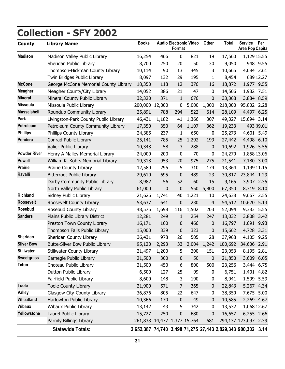# **Collection - SFY 2002**

| <b>County</b>       | <b>Library Name</b>                   | <b>Books</b>                |           | Format           | <b>Audio Electronic Video</b> | <b>Other</b>     | <b>Total</b>                                                | <b>Service</b><br>Area Pop Capita | Per         |
|---------------------|---------------------------------------|-----------------------------|-----------|------------------|-------------------------------|------------------|-------------------------------------------------------------|-----------------------------------|-------------|
| <b>Madison</b>      | Madison Valley Public Library         | 16,254                      | 466       | $\mathbf 0$      | 821                           | 19               | 17,560                                                      |                                   | 1,129 15.55 |
|                     | Sheridan Public Library               | 8,700                       | 250       | 20               | 50                            | 30               | 9,050                                                       |                                   | 948 9.55    |
|                     | Thompson-Hickman County Library       | 10,114                      | 90        | 13               | 445                           | 3                | 10,665                                                      | 4,084 2.61                        |             |
|                     | Twin Bridges Public Library           | 8,097                       | 132       | 29               | 195                           | 1                | 8,454                                                       |                                   | 689 12.27   |
| <b>McCone</b>       | George McCone Memorial County Library | 18,350                      | 118       | 12               | 376                           | 16               | 18,872                                                      | 1,977 9.55                        |             |
| <b>Meagher</b>      | Meagher County/City Library           | 14,052                      | 386       | 21               | 47                            | $\bf{0}$         | 14,506                                                      | 1,932 7.51                        |             |
| <b>Mineral</b>      | Mineral County Public Library         | 32,320                      | 371       | $\mathbf{1}$     | 676                           | 0                | 33,368                                                      | 3,884 8.59                        |             |
| <b>Missoula</b>     | Missoula Public Library               | 200,000 12,000              |           | 0                | 5,000                         | 1,000            | 218,000                                                     | 95,802 2.28                       |             |
| <b>Musselshell</b>  | Roundup Community Library             | 25,891                      | 788       | 294              | 522                           | 614              | 28,109                                                      | 4,497 6.25                        |             |
| Park                | Livingston-Park County Public Library | 46,431                      | 1,182     | 41               | 1,366                         | 307              | 49,327                                                      | 15,694 3.14                       |             |
| Petroleum           | Petroleum County Community Library    | 17,350                      | 350       | 64               | 1,107                         | 362              | 19,233                                                      |                                   | 493 39.01   |
| <b>Phillips</b>     | Phillips County Library               | 24,385                      | 237       | 1                | 650                           | $\pmb{0}$        | 25,273                                                      | 4,601 5.49                        |             |
| Pondera             | Conrad Public Library                 | 25,141                      | 785       | 25               | 1,292                         | 199              | 27,442                                                      | 4,498 6.10                        |             |
|                     | Valier Public Library                 | 10,343                      | 58        | 3                | 288                           | $\boldsymbol{0}$ | 10,692                                                      | 1,926 5.55                        |             |
| <b>Powder River</b> | Henry A Malley Memorial Library       | 24,000                      | 200       | $\mathbf 0$      | 70                            | $\pmb{0}$        | 24,270                                                      | 1,858 13.06                       |             |
| <b>Powell</b>       | William K. Kohrs Memorial Library     | 19,318                      | 953       | 20               | 975                           | 275              | 21,541                                                      | 7,180 3.00                        |             |
| <b>Prairie</b>      | Prairie County Library                | 12,580                      | 295       | 5                | 310                           | 174              | 13,364                                                      | 1,199 11.15                       |             |
| Ravalli             | <b>Bitterroot Public Library</b>      | 29,610                      | 695       | 0                | 489                           | 23               | 30,817                                                      | 23,844 1.29                       |             |
|                     | Darby Community Public Library        | 8,982                       | 56        | 52               | 60                            | 15               | 9,165                                                       | 3,907 2.35                        |             |
|                     | North Valley Public Library           | 61,000                      | $\pmb{0}$ | 0                | 550                           | 5,800            | 67,350                                                      | 8,319 8.10                        |             |
| <b>Richland</b>     | Sidney Public Library                 | 21,626                      | 1,741     | 40               | 1,221                         | 10               | 24,638                                                      | 9,667                             | 2.55        |
| <b>Roosevelt</b>    | Roosevelt County Library              | 53,637                      | 641       | 0                | 230                           | 4                | 54,512                                                      | 10,620                            | 5.13        |
| Rosebud             | Rosebud County Library                | 48,575                      | 1,698     | 116              | 1,502                         | 203              | 52,094                                                      | 9,383                             | 5.55        |
| <b>Sanders</b>      | Plains Public Library District        | 12,281                      | 249       | $\mathbf{1}$     | 254                           | 247              | 13,032                                                      | 3,808 3.42                        |             |
|                     | Preston Town County Library           | 16,171                      | 160       | 0                | 466                           | $\pmb{0}$        | 16,797                                                      | 1,691 9.93                        |             |
|                     | Thompson Falls Public Library         | 15,000                      | 339       | 0                | 323                           | 0                | 15,662                                                      | 4,728 3.31                        |             |
| Sheridan            | Sheridan County Library               | 36,431                      | 978       | 26               | 505                           | 28               | 37,968                                                      | 4,105                             | 9.25        |
| <b>Silver Bow</b>   | Butte-Silver Bow Public Library       | 95,120                      | 2,293     | 33               | 2,004                         | 1,242            | 100,692                                                     | 34,606 2.91                       |             |
| <b>Stillwater</b>   | Stillwater County Library             | 21,497                      | 1,200     | 5                | 200                           | 151              | 23,053                                                      | 8,195 2.81                        |             |
| <b>Sweetgrass</b>   | Carnegie Public Library               | 21,500                      | 300       | $\boldsymbol{0}$ | 50                            | 0                | 21,850                                                      | 3,609 6.05                        |             |
| <b>Teton</b>        | Choteau Public Library                | 21,500                      | 450       | 6                | 800                           | 500              | 23,256                                                      | 3,444 6.75                        |             |
|                     | Dutton Public Library                 | 6,500                       | 127       | 25               | 99                            | 0                | 6,751                                                       |                                   | 1,401 4.82  |
|                     | Fairfield Public Library              | 8,600                       | 148       | 3                | 190                           | 0                | 8,941                                                       | 1,599 5.59                        |             |
| <b>Toole</b>        | <b>Toole County Library</b>           | 21,900                      | 571       | $\overline{7}$   | 365                           | 0                | 22,843                                                      | 5,267 4.34                        |             |
| Valley              | Glasgow City-County Library           | 36,876                      | 805       | 22               | 647                           | 0                | 38,350                                                      | 7,675 5.00                        |             |
| Wheatland           | Harlowton Public Library              | 10,366                      | 170       | $\boldsymbol{0}$ | 49                            | 0                | 10,585                                                      | 2,269 4.67                        |             |
| <b>Wibaux</b>       | Wibaux Public Library                 | 13,142                      | 43        | 5                | 342                           | $\pmb{0}$        | 13,532                                                      | 1,068 12.67                       |             |
| Yellowstone         | Laurel Public Library                 | 15,727                      | 250       | 0                | 680                           | 0                | 16,657                                                      | 6,255 2.66                        |             |
|                     | Parmly Billings Library               | 261,838 14,477 1,377 15,764 |           |                  |                               | 681              |                                                             | 294,137 123,097 2.39              |             |
|                     | <b>Statewide Totals:</b>              |                             |           |                  |                               |                  | 2,652,387 74,740 3,498 71,275 27,443 2,829,343 900,302 3.14 |                                   |             |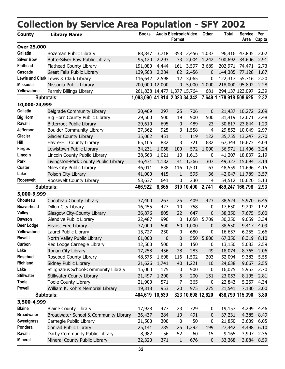<span id="page-36-0"></span>

|                    | <b>Collection by Service Area Population - SFY 2002</b> |                               |           |              |                               |                  |                         |                        |                      |
|--------------------|---------------------------------------------------------|-------------------------------|-----------|--------------|-------------------------------|------------------|-------------------------|------------------------|----------------------|
| <b>County</b>      | <b>Library Name</b>                                     | <b>Books</b>                  |           | Format       | <b>Audio Electronic Video</b> | Other            | <b>Total</b>            | <b>Service</b><br>Area | Per<br><b>Capita</b> |
| <b>Over 25,000</b> |                                                         |                               |           |              |                               |                  |                         |                        |                      |
| <b>Gallatin</b>    | Bozeman Public Library                                  | 88,847                        | 3,718     |              | 358 2,456                     | 1,037            | 96,416                  | 47,805                 | 2.02                 |
| <b>Silver Bow</b>  | Butte-Silver Bow Public Library                         | 95,120                        | 2,293     | 33           | 2,004                         | 1,242            | 100,692                 | 34,606                 | 2.91                 |
| <b>Flathead</b>    | Flathead County Library                                 | 191,080                       | 4,444     | 161          | 3,597                         | 3,689            | 202,971                 | 74,471                 | 2.73                 |
| Cascade            | <b>Great Falls Public Library</b>                       | 139,563                       | 2,284     | 82           | 2,456                         | 0                | 144,385                 | 77,128                 | 1.87                 |
|                    | Lewis and Clark Lewis & Clark Library                   | 116,642                       | 2,598     | 12           | 3,065                         | $\boldsymbol{0}$ | 122,317                 | 55,716                 | 2.20                 |
| <b>Missoula</b>    | Missoula Public Library                                 | 200,000 12,000                |           | $\mathbf 0$  | 5,000                         | 1,000            | 218,000                 | 95,802                 | 2.28                 |
| Yellowstone        | Parmly Billings Library                                 | 261,838 14,477 1,377 15,764   |           |              |                               | 681              |                         | 294,137 123,097        | 2.39                 |
|                    | Subtotals:                                              | 1,093,090 41,814 2,023 34,342 |           |              |                               |                  | 7,649 1,178,918 508,625 |                        | 2.32                 |
| 10,000-24,999      |                                                         |                               |           |              |                               |                  |                         |                        |                      |
| <b>Gallatin</b>    | Belgrade Community Library                              | 20,409                        | 297       | 25           | 706                           | 0                | 21,437                  | 10,272                 | 2.09                 |
| <b>Big Horn</b>    | Big Horn County Public Library                          | 29,500                        | 500       | 19           | 900                           | 500              | 31,419                  | 12,671                 | 2.48                 |
| Ravalli            | <b>Bitterroot Public Library</b>                        | 29,610                        | 695       | 0            | 489                           | 23               | 30,817                  | 23,844                 | 1.29                 |
| Jefferson          | <b>Boulder Community Library</b>                        | 27,362                        | 925       | 3            | 1,558                         | 4                | 29,852                  | 10,049                 | 2.97                 |
| Glacier            | <b>Glacier County Library</b>                           | 35,062                        | 451       | $\mathbf{1}$ | 119                           | 122              | 35,755                  | 13,247                 | 2.70                 |
| Hill               | Havre-Hill County Library                               | 65,106                        | 832       | 3            | 721                           | 682              | 67,344                  | 16,673                 | 4.04                 |
| <b>Fergus</b>      | Lewistown Public Library                                | 34,231                        | 1,068     | 100          | 572                           | 1,000            | 36,971                  | 11,406                 | 3.24                 |
| Lincoln            | Lincoln County Public Library                           | 38,563                        | 1,021     | 10           | 1,613                         | 0                | 41,207                  | 18,837                 | 2.19                 |
| Park               | Livingston-Park County Public Library                   | 46,431                        | 1,182     | 41           | 1,366                         | 307              | 49,327                  | 15,694                 | 3.14                 |
| <b>Custer</b>      | Miles City Public Library                               | 46,011                        | 838       | 116          | 1,531                         | 63               | 48,559                  | 11,696                 | 4.15                 |
| Lake               | Polson City Library                                     | 41,000                        | 415       | $\mathbf{1}$ | 595                           | 36               | 42,047                  | 11,789                 | 3.57                 |
| Roosevelt          | Roosevelt County Library                                | 53,637                        | 641       | 0            | 230                           | 4                | 54,512                  | 10,620                 | 5.13                 |
|                    | Subtotals:                                              | 466,922                       | 8,865     |              | 319 10,400                    | 2,741            |                         | 489,247 166,798        | 2.93                 |
| 5,000-9,999        |                                                         |                               |           |              |                               |                  |                         |                        |                      |
| Chouteau           | Chouteau County Library                                 | 37,400                        | 267       | 25           | 409                           | 423              | 38,524                  | 5,970                  | 6.45                 |
| <b>Beaverhead</b>  | Dillon City Library                                     | 16,455                        | 427       | 10           | 758                           | 0                | 17,650                  | 9,202                  | 1.92                 |
| <b>Valley</b>      | Glasgow City-County Library                             | 36,876                        | 805       | 22           | 647                           | 0                | 38,350                  | 7,675                  | 5.00                 |
| <b>Dawson</b>      | Glendive Public Library                                 | 22,487                        | 996       | 0            | 1,058                         | 5,709            | 30,250                  | 9,059                  | 3.34                 |
| Deer Lodge         | <b>Hearst Free Library</b>                              | 37,000                        | 500       | 50           | 1,000                         | 0                | 38,550                  | 9,417                  | 4.09                 |
| Yellowstone        | Laurel Public Library                                   | 15,727                        | 250       | 0            | 680                           | 0                | 16,657                  | 6,255                  | 2.66                 |
| Ravalli            | North Valley Public Library                             | 61,000                        | $\pmb{0}$ | 0            | 550                           | 5,800            | 67,350                  | 8,319                  | 8.10                 |
| Carbon             | Red Lodge Carnegie Library                              | 12,500                        | 500       | 0            | 150                           | 0                | 13,150                  | 5,083                  | 2.59                 |
| Lake               | Ronan City Library                                      | 17,258                        | 456       | 28           | 283                           | 49               | 18,074                  | 8,765                  | 2.06                 |
| Rosebud            | Rosebud County Library                                  | 48,575                        | 1,698     | 116          | 1,502                         | 203              | 52,094                  | 9,383                  | 5.55                 |
| <b>Richland</b>    | Sidney Public Library                                   | 21,626                        | 1,741     | 40           | 1,221                         | 10               | 24,638                  | 9,667                  | 2.55                 |
| Lake               | St Ignatius School-Community Library                    | 15,000                        | 175       | $\pmb{0}$    | 900                           | 0                | 16,075                  | 5,953                  | 2.70                 |
| <b>Stillwater</b>  | Stillwater County Library                               | 21,497                        | 1,200     | 5            | 200                           | 151              | 23,053                  | 8,195                  | 2.81                 |
| <b>Toole</b>       | <b>Toole County Library</b>                             | 21,900                        | 571       | 7            | 365                           | $\pmb{0}$        | 22,843                  | 5,267                  | 4.34                 |
| <b>Powell</b>      | William K. Kohrs Memorial Library                       | 19,318                        | 953       | 20           | 975                           | 275              | 21,541                  | 7,180                  | 3.00                 |
|                    | Subtotals:                                              | 404,619 10,539                |           |              | 323 10,698 12,620             |                  |                         | 438,799 115,390        | 3.80                 |
| 3,500-4,999        |                                                         |                               |           |              |                               |                  |                         |                        |                      |
| <b>Blaine</b>      | <b>Blaine County Library</b>                            | 17,928                        | 477       | 23           | 729                           | 0                | 19,157                  | 4,299                  | 4.46                 |
| <b>Broadwater</b>  | Broadwater School & Community Library                   | 36,437                        | 284       | 19           | 491                           | 0                | 37,231                  | 4,385                  | 8.49                 |
| <b>Sweetgrass</b>  | Carnegie Public Library                                 | 21,500                        | 300       | $\pmb{0}$    | 50                            | 0                | 21,850                  | 3,609                  | 6.05                 |
| Pondera            | Conrad Public Library                                   | 25,141                        | 785       | 25           | 1,292                         | 199              | 27,442                  | 4,498                  | 6.10                 |
| Ravalli            | Darby Community Public Library                          | 8,982                         | 56        | 52           | 60                            | 15               | 9,165                   | 3,907                  | 2.35                 |
| <b>Mineral</b>     | Mineral County Public Library                           | 32,320                        | 371       | $\mathbf{1}$ | 676                           | 0                | 33,368                  | 3,884                  | 8.59                 |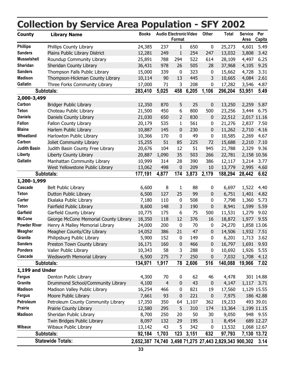|                     | <b>Collection by Service Area Population - SFY 2002</b> |                                                        |                |                  |                               |              |              |                        |                      |
|---------------------|---------------------------------------------------------|--------------------------------------------------------|----------------|------------------|-------------------------------|--------------|--------------|------------------------|----------------------|
| <b>County</b>       | <b>Library Name</b>                                     | <b>Books</b>                                           |                | Format           | <b>Audio Electronic Video</b> | Other        | <b>Total</b> | <b>Service</b><br>Area | Per<br><b>Capita</b> |
| <b>Phillips</b>     | Phillips County Library                                 | 24,385                                                 | 237            | 1                | 650                           | $\pmb{0}$    | 25,273       | 4,601                  | 5.49                 |
| <b>Sanders</b>      | Plains Public Library District                          | 12,281                                                 | 249            | $\mathbf{1}$     | 254                           | 247          | 13,032       | 3,808                  | 3.42                 |
| <b>Musselshell</b>  | Roundup Community Library                               | 25,891                                                 | 788            | 294              | 522                           | 614          | 28,109       | 4,497                  | 6.25                 |
| Sheridan            | Sheridan County Library                                 | 36,431                                                 | 978            | 26               | 505                           | 28           | 37,968       | 4,105                  | 9.25                 |
| <b>Sanders</b>      | Thompson Falls Public Library                           | 15,000                                                 | 339            | $\bf{0}$         | 323                           | 0            | 15,662       | 4,728                  | 3.31                 |
| <b>Madison</b>      | Thompson-Hickman County Library                         | 10,114                                                 | 90             | 13               | 445                           | 3            | 10,665       | 4,084                  | 2.61                 |
| <b>Gallatin</b>     | Three Forks Community Library                           | 17,000                                                 | 71             | 3                | 208                           | 0            | 17,282       | 3,546                  | 4.87                 |
|                     | Subtotals:                                              | 283,410                                                | 5,025          | 458              | 6,205                         | 1,106        | 296,204      | 53,951                 | 5.49                 |
| 2,000-3,499         |                                                         |                                                        |                |                  |                               |              |              |                        |                      |
| Carbon              | <b>Bridger Public Library</b>                           | 12,350                                                 | 870            | 5                | 25                            | 0            | 13,250       | 2,259                  | 5.87                 |
| Teton               | Choteau Public Library                                  | 21,500                                                 | 450            | 6                | 800                           | 500          | 23,256       | 3,444                  | 6.75                 |
| <b>Daniels</b>      | Daniels County Library                                  | 21,030                                                 | 650            | 2                | 830                           | 0            | 22,512       |                        | 2,017 11.16          |
| <b>Fallon</b>       | Fallon County Library                                   | 20,179                                                 | 535            | 1                | 561                           | 0            | 21,276       | 2,837                  | 7.50                 |
| <b>Blaine</b>       | Harlem Public Library                                   | 10,887                                                 | 145            | $\mathbf 0$      | 230                           | 0            | 11,262       | 2,710                  | 4.16                 |
| Wheatland           | Harlowton Public Library                                | 10,366                                                 | 170            | 0                | 49                            | 0            | 10,585       | 2,269                  | 4.67                 |
| Carbon              | Joliet Community Library                                | 15,255                                                 | 51             | 85               | 225                           | 72           | 15,688       | 2,210                  | 7.10                 |
| <b>Judith Basin</b> | Judith Basin County Free Library                        | 20,676                                                 | 104            | 12               | 51                            | 945          | 21,788       | 2,329                  | 9.36                 |
| Liberty             | Liberty County Library                                  | 20,887                                                 | 1,090          | 35               | 503                           | 266          | 22,781       |                        | 2,158 10.56          |
| <b>Gallatin</b>     | Manhattan Community Library                             | 10,999                                                 | 314            | 28               | 390                           | 386          | 12,117       | 3,214                  | 3.77                 |
|                     | West Yellowstone Public Library                         | 13,062                                                 | 498            | $\mathbf{0}$     | 209                           | 10           | 13,779       | 2,995                  | 4.60                 |
|                     | Subtotals:                                              | 177,191                                                | 4,877          | 174              | 3,873                         | 2,179        | 188,294      | 28,442                 | 6.62                 |
| 1,200-1,999         |                                                         |                                                        |                |                  |                               |              |              |                        |                      |
| Cascade             | <b>Belt Public Library</b>                              | 6,600                                                  | 8              | 1                | 88                            | 0            | 6,697        | 1,522                  | 4.40                 |
| Teton               | Dutton Public Library                                   | 6,500                                                  | 127            | 25               | 99                            | 0            | 6,751        | 1,401                  | 4.82                 |
| Carter              | Ekalaka Public Library                                  | 7,180                                                  | 110            | $\pmb{0}$        | 508                           | 0            | 7,798        | 1,360                  | 5.73                 |
| <b>Teton</b>        | Fairfield Public Library                                | 8,600                                                  | 148            | 3                | 190                           | 0            | 8,941        | 1,599                  | 5.59                 |
| Garfield            | Garfield County Library                                 | 10,775                                                 | 175            | 6                | 75                            | 500          | 11,531       | 1,279                  | 9.02                 |
| <b>McCone</b>       | George McCone Memorial County Library                   | 18,350                                                 | 118            | 12               | 376                           | 16           | 18,872       | 1,977                  | 9.55                 |
| <b>Powder River</b> | Henry A Malley Memorial Library                         | 24,000                                                 | 200            | $\mathbf 0$      | 70                            | 0            | 24,270       |                        | 1,858 13.06          |
| <b>Meagher</b>      | Meagher County/City Library                             | 14,052                                                 | 386            | 21               | 47                            | 0            | 14,506       | 1,932                  | 7.51                 |
| Granite             | Philipsburg Public Library                              | 5,900                                                  | 152            | $\boldsymbol{0}$ | 149                           | 0            | 6,201        | 1,713                  | 3.62                 |
| <b>Sanders</b>      | Preston Town County Library                             | 16,171                                                 | 160            | $\pmb{0}$        | 466                           | 0            | 16,797       | 1,691                  | 9.93                 |
| Pondera             | Valier Public Library                                   | 10,343                                                 | 58             | 3                | 288                           | 0            | 10,692       | 1,926                  | 5.55                 |
| Cascade             | Wedsworth Memorial Library                              | 6,500                                                  | 275            | 7                | 250                           | 0            | 7,032        | 1,708                  | 4.12                 |
|                     | Subtotals:                                              | 134,971                                                | 1,917          | 78               | 2,606                         | 516          | 140,088      | 19,966                 | 7.02                 |
| 1,199 and Under     |                                                         |                                                        |                |                  |                               |              |              |                        |                      |
| <b>Fergus</b>       | Denton Public Library                                   | 4,300                                                  | 70             | 0                | 62                            | 46           | 4,478        |                        | 301 14.88            |
| Granite             | Drummond School/Community Library                       | 4,100                                                  | $\overline{4}$ | $\mathbf 0$      | 43                            | 0            | 4,147        |                        | 1,117 3.71           |
| <b>Madison</b>      | Madison Valley Public Library                           | 16,254                                                 | 466            | 0                | 821                           | 19           | 17,560       |                        | 1,129 15.55          |
| <b>Fergus</b>       | Moore Public Library                                    | 7,661                                                  | 93             | $\mathbf 0$      | 221                           | $\pmb{0}$    | 7,975        |                        | 186 42.88            |
| Petroleum           | Petroleum County Community Library                      | 17,350                                                 | 350            | 64               | 1,107                         | 362          | 19,233       |                        | 493 39.01            |
| <b>Prairie</b>      | Prairie County Library                                  | 12,580                                                 | 295            | 5                | 310                           | 174          | 13,364       |                        | 1,199 11.15          |
| <b>Madison</b>      | Sheridan Public Library                                 | 8,700                                                  | 250            | 20               | 50                            | 30           | 9,050        |                        | 948 9.55             |
|                     | Twin Bridges Public Library                             | 8,097                                                  | 132            | 29               | 195                           | $\mathbf{1}$ | 8,454        |                        | 689 12.27            |
| <b>Wibaux</b>       | Wibaux Public Library                                   | 13,142                                                 | 43             | 5                | 342                           | 0            | 13,532       |                        | 1,068 12.67          |
|                     | Subtotals:                                              | 92,184                                                 | 1,703          | 123              | 3,151                         | 632          | 97,793       |                        | 7,130 13.72          |
|                     | <b>Statewide Totals:</b>                                | 2,652,387 74,740 3,498 71,275 27,443 2,829,343 900,302 |                |                  |                               |              |              |                        | 3.14                 |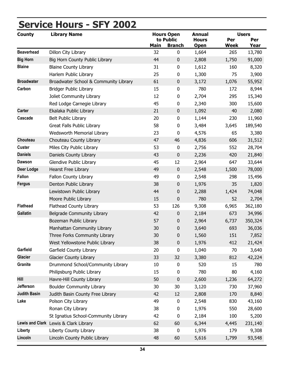| ---<br><u>.</u><br><b>County</b> | <u></u><br>—<br>$\checkmark$<br><b>Library Name</b> |             | <b>Hours Open</b> | <b>Annual</b> |             | <b>Users</b> |
|----------------------------------|-----------------------------------------------------|-------------|-------------------|---------------|-------------|--------------|
|                                  |                                                     |             | to Public         | <b>Hours</b>  | Per         | Per          |
|                                  |                                                     | <b>Main</b> | <b>Branch</b>     | <b>Open</b>   | <b>Week</b> | Year         |
| <b>Beaverhead</b>                | Dillon City Library                                 | 32          | $\mathbf 0$       | 1,664         | 265         | 13,780       |
| <b>Big Horn</b>                  | Big Horn County Public Library                      | 44          | $\mathbf 0$       | 2,808         | 1,750       | 91,000       |
| <b>Blaine</b>                    | <b>Blaine County Library</b>                        | 31          | $\boldsymbol{0}$  | 1,612         | 160         | 8,320        |
|                                  | Harlem Public Library                               | 25          | 0                 | 1,300         | 75          | 3,900        |
| <b>Broadwater</b>                | Broadwater School & Community Library               | 61          | $\pmb{0}$         | 3,172         | 1,076       | 55,952       |
| Carbon                           | <b>Bridger Public Library</b>                       | 15          | $\pmb{0}$         | 780           | 172         | 8,944        |
|                                  | Joliet Community Library                            | 12          | 0                 | 2,704         | 295         | 15,340       |
|                                  | Red Lodge Carnegie Library                          | 45          | 0                 | 2,340         | 300         | 15,600       |
| <b>Carter</b>                    | Ekalaka Public Library                              | 21          | $\pmb{0}$         | 1,092         | 40          | 2,080        |
| Cascade                          | <b>Belt Public Library</b>                          | 20          | $\pmb{0}$         | 1,144         | 230         | 11,960       |
|                                  | Great Falls Public Library                          | 58          | 0                 | 3,484         | 3,645       | 189,540      |
|                                  | Wedsworth Memorial Library                          | 23          | 0                 | 4,576         | 65          | 3,380        |
| Chouteau                         | Chouteau County Library                             | 47          | 46                | 4,836         | 606         | 31,512       |
| <b>Custer</b>                    | Miles City Public Library                           | 53          | $\mathbf 0$       | 2,756         | 552         | 28,704       |
| <b>Daniels</b>                   | Daniels County Library                              | 43          | 0                 | 2,236         | 420         | 21,840       |
| <b>Dawson</b>                    | Glendive Public Library                             | 45          | 12                | 2,964         | 647         | 33,644       |
| <b>Deer Lodge</b>                | <b>Hearst Free Library</b>                          | 49          | $\boldsymbol{0}$  | 2,548         | 1,500       | 78,000       |
| <b>Fallon</b>                    | Fallon County Library                               | 49          | $\pmb{0}$         | 2,548         | 298         | 15,496       |
| <b>Fergus</b>                    | Denton Public Library                               | 38          | $\boldsymbol{0}$  | 1,976         | 35          | 1,820        |
|                                  | Lewistown Public Library                            | 44          | 0                 | 2,288         | 1,424       | 74,048       |
|                                  | Moore Public Library                                | 15          | $\pmb{0}$         | 780           | 52          | 2,704        |
| <b>Flathead</b>                  | Flathead County Library                             | 53          | 126               | 9,308         | 6,965       | 362,180      |
| <b>Gallatin</b>                  | <b>Belgrade Community Library</b>                   | 42          | 0                 | 2,184         | 673         | 34,996       |
|                                  | Bozeman Public Library                              | 57          | 0                 | 2,964         | 6,737       | 350,324      |
|                                  | Manhattan Community Library                         | 30          | 0                 | 3,640         | 693         | 36,036       |
|                                  | Three Forks Community Library                       | 30          | $\boldsymbol{0}$  | 1,560         | 151         | 7,852        |
|                                  | West Yellowstone Public Library                     | 38          | $\boldsymbol{0}$  | 1,976         | 412         | 21,424       |
| Garfield                         | Garfield County Library                             | 20          | 0                 | 1,040         | 70          | 3,640        |
| <b>Glacier</b>                   | <b>Glacier County Library</b>                       | 33          | 32                | 3,380         | 812         | 42,224       |
| <b>Granite</b>                   | Drummond School/Community Library                   | 10          | 0                 | 520           | 15          | 780          |
|                                  | Philipsburg Public Library                          | 15          | 0                 | 780           | 80          | 4,160        |
| Hill                             | Havre-Hill County Library                           | 50          | 0                 | 2,600         | 1,236       | 64,272       |
| Jefferson                        | <b>Boulder Community Library</b>                    | 30          | 30                | 3,120         | 730         | 37,960       |
| <b>Judith Basin</b>              | Judith Basin County Free Library                    | 42          | 12                | 2,808         | 170         | 8,840        |
| Lake                             | Polson City Library                                 | 49          | 0                 | 2,548         | 830         | 43,160       |
|                                  | Ronan City Library                                  | 38          | 0                 | 1,976         | 550         | 28,600       |
|                                  | St Ignatius School-Community Library                | 42          | 0                 |               | 100         | 5,200        |
|                                  | Lewis and Clark Lewis & Clark Library               |             |                   | 2,184         |             |              |
| Liberty                          |                                                     | 62<br>38    | 60                | 6,344         | 4,445       | 231,140      |
|                                  | Liberty County Library                              |             | 0                 | 1,976         | 179         | 9,308        |
| Lincoln                          | Lincoln County Public Library                       | 48          | 60                | 5,616         | 1,799       | 93,548       |

## <span id="page-38-0"></span>**Service Hours - SFY 2002**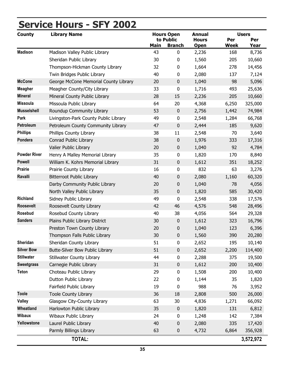# **Service Hours - SFY 2002**

| <b>County</b>       | <b>Library Name</b>                    |      | <b>Hours Open</b>          | Annual                      |                    | <b>Users</b>       |
|---------------------|----------------------------------------|------|----------------------------|-----------------------------|--------------------|--------------------|
|                     |                                        | Main | to Public<br><b>Branch</b> | <b>Hours</b><br><b>Open</b> | Per<br><b>Week</b> | Per<br><b>Year</b> |
| <b>Madison</b>      | Madison Valley Public Library          | 43   | 0                          | 2,236                       | 168                | 8,736              |
|                     | Sheridan Public Library                | 30   | 0                          | 1,560                       | 205                | 10,660             |
|                     | Thompson-Hickman County Library        | 32   | 0                          | 1,664                       | 278                | 14,456             |
|                     | Twin Bridges Public Library            | 40   | 0                          | 2,080                       | 137                | 7,124              |
| <b>McCone</b>       | George McCone Memorial County Library  | 20   | 0                          | 1,040                       | 98                 | 5,096              |
| <b>Meagher</b>      | Meagher County/City Library            | 33   | 0                          | 1,716                       | 493                | 25,636             |
| <b>Mineral</b>      | Mineral County Public Library          | 28   | 15                         | 2,236                       | 205                | 10,660             |
| <b>Missoula</b>     | Missoula Public Library                | 64   | 20                         | 4,368                       | 6,250              | 325,000            |
| <b>Musselshell</b>  | Roundup Community Library              | 53   | $\pmb{0}$                  | 2,756                       | 1,442              | 74,984             |
| Park                | Livingston-Park County Public Library  | 49   | $\pmb{0}$                  | 2,548                       | 1,284              | 66,768             |
| Petroleum           | Petroleum County Community Library     | 47   | $\pmb{0}$                  | 2,444                       | 185                | 9,620              |
| <b>Phillips</b>     | Phillips County Library                | 38   | 11                         | 2,548                       | 70                 | 3,640              |
| Pondera             | Conrad Public Library                  | 38   | 0                          | 1,976                       | 333                | 17,316             |
|                     | Valier Public Library                  | 20   | 0                          | 1,040                       | 92                 | 4,784              |
| <b>Powder River</b> | Henry A Malley Memorial Library        | 35   | 0                          | 1,820                       | 170                | 8,840              |
| <b>Powell</b>       | William K. Kohrs Memorial Library      | 31   | 0                          | 1,612                       | 351                | 18,252             |
| <b>Prairie</b>      | Prairie County Library                 | 16   | 0                          | 832                         | 63                 | 3,276              |
| Ravalli             | <b>Bitterroot Public Library</b>       | 40   | 0                          | 2,080                       | 1,160              | 60,320             |
|                     | Darby Community Public Library         | 20   | 0                          | 1,040                       | 78                 | 4,056              |
|                     | North Valley Public Library            | 35   | 0                          | 1,820                       | 585                | 30,420             |
| <b>Richland</b>     | Sidney Public Library                  | 49   | 0                          | 2,548                       | 338                | 17,576             |
| <b>Roosevelt</b>    | Roosevelt County Library               | 42   | 46                         | 4,576                       | 548                | 28,496             |
| Rosebud             | Rosebud County Library                 | 40   | 38                         | 4,056                       | 564                | 29,328             |
| <b>Sanders</b>      | Plains Public Library District         | 30   | 0                          | 1,612                       | 323                | 16,796             |
|                     | Preston Town County Library            | 20   | 0                          | 1,040                       | 123                | 6,396              |
|                     | Thompson Falls Public Library          | 30   | 0                          | 1,560                       | 390                | 20,280             |
| Sheridan            | Sheridan County Library                | 51   | $\pmb{0}$                  | 2,652                       | 195                | 10,140             |
| <b>Silver Bow</b>   | <b>Butte-Silver Bow Public Library</b> | 51   | 0                          | 2,652                       | 2,200              | 114,400            |
| <b>Stillwater</b>   | <b>Stillwater County Library</b>       | 44   | 0                          | 2,288                       | 375                | 19,500             |
| <b>Sweetgrass</b>   | Carnegie Public Library                | 31   | 0                          | 1,612                       | 200                | 10,400             |
| <b>Teton</b>        | Choteau Public Library                 | 29   | 0                          | 1,508                       | 200                | 10,400             |
|                     | Dutton Public Library                  | 22   | 0                          | 1,144                       | 35                 | 1,820              |
|                     | Fairfield Public Library               | 19   | 0                          | 988                         | 76                 | 3,952              |
| <b>Toole</b>        | <b>Toole County Library</b>            | 36   | 18                         | 2,808                       | 500                | 26,000             |
| <b>Valley</b>       | Glasgow City-County Library            | 63   | 30                         | 4,836                       | 1,271              | 66,092             |
| Wheatland           | Harlowton Public Library               | 35   | $\boldsymbol{0}$           | 1,820                       | 131                | 6,812              |
| <b>Wibaux</b>       | Wibaux Public Library                  | 24   | 0                          | 1,248                       | 142                | 7,384              |
| Yellowstone         | Laurel Public Library                  | 40   | 0                          | 2,080                       | 335                | 17,420             |
|                     | Parmly Billings Library                | 63   | 0                          | 4,732                       | 6,864              | 356,928            |
|                     | TOTAL:                                 |      |                            |                             |                    | 3,572,972          |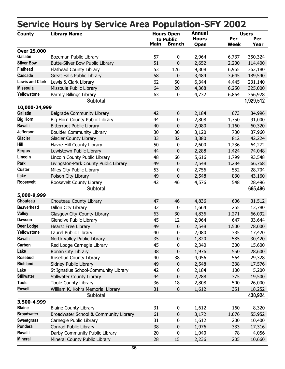|                        | SCI VICE NOUIS DY SCI VICE ATE  POPUIALION-SFT |             |                                                 |                                              | ZUUZ               |                                    |
|------------------------|------------------------------------------------|-------------|-------------------------------------------------|----------------------------------------------|--------------------|------------------------------------|
| <b>County</b>          | <b>Library Name</b>                            | <b>Main</b> | <b>Hours Open</b><br>to Public<br><b>Branch</b> | <b>Annual</b><br><b>Hours</b><br><b>Open</b> | Per<br><b>Week</b> | <b>Users</b><br>Per<br><u>Year</u> |
| <b>Over 25,000</b>     |                                                |             |                                                 |                                              |                    |                                    |
| <b>Gallatin</b>        | Bozeman Public Library                         | 57          | 0                                               | 2,964                                        | 6,737              | 350,324                            |
| <b>Silver Bow</b>      | Butte-Silver Bow Public Library                | 51          | $\pmb{0}$                                       | 2,652                                        | 2,200              | 114,400                            |
| <b>Flathead</b>        | Flathead County Library                        | 53          | 126                                             | 9,308                                        | 6,965              | 362,180                            |
| <b>Cascade</b>         | Great Falls Public Library                     | 58          | $\pmb{0}$                                       | 3,484                                        | 3,645              | 189,540                            |
| <b>Lewis and Clark</b> | Lewis & Clark Library                          | 62          | 60                                              | 6,344                                        | 4,445              | 231,140                            |
| <b>Missoula</b>        | Missoula Public Library                        | 64          | 20                                              | 4,368                                        | 6,250              | 325,000                            |
| Yellowstone            | Parmly Billings Library                        | 63          | 0                                               | 4,732                                        | 6,864              | 356,928                            |
|                        | <b>Subtotal</b>                                |             |                                                 |                                              |                    | 1,929,512                          |
| 10,000-24,999          |                                                |             |                                                 |                                              |                    |                                    |
| <b>Gallatin</b>        | Belgrade Community Library                     | 42          | $\pmb{0}$                                       | 2,184                                        | 673                | 34,996                             |
| <b>Big Horn</b>        | Big Horn County Public Library                 | 44          | 0                                               | 2,808                                        | 1,750              | 91,000                             |
| Ravalli                | <b>Bitterroot Public Library</b>               | 40          | $\pmb{0}$                                       | 2,080                                        | 1,160              | 60,320                             |
| <b>Jefferson</b>       | <b>Boulder Community Library</b>               | 30          | 30                                              | 3,120                                        | 730                | 37,960                             |
| <b>Glacier</b>         | <b>Glacier County Library</b>                  | 33          | 32                                              | 3,380                                        | 812                | 42,224                             |
| Hill                   | Havre-Hill County Library                      | 50          | 0                                               | 2,600                                        | 1,236              | 64,272                             |
| <b>Fergus</b>          | Lewistown Public Library                       | 44          | $\pmb{0}$                                       | 2,288                                        | 1,424              | 74,048                             |
| Lincoln                | Lincoln County Public Library                  | 48          | 60                                              | 5,616                                        | 1,799              | 93,548                             |
| <b>Park</b>            | Livingston-Park County Public Library          | 49          | $\pmb{0}$                                       | 2,548                                        | 1,284              | 66,768                             |
| <b>Custer</b>          | Miles City Public Library                      | 53          | 0                                               | 2,756                                        | 552                | 28,704                             |
| Lake                   | Polson City Library                            | 49          | $\pmb{0}$                                       | 2,548                                        | 830                | 43,160                             |
| Roosevelt              | Roosevelt County Library                       | 42          | 46                                              | 4,576                                        | 548                | 28,496                             |
|                        | <b>Subtotal</b>                                |             |                                                 |                                              |                    | 665,496                            |
| 5,000-9,999            |                                                |             |                                                 |                                              |                    |                                    |
| Chouteau               | Chouteau County Library                        | 47          | 46                                              | 4,836                                        | 606                | 31,512                             |
| <b>Beaverhead</b>      | Dillon City Library                            | 32          | $\pmb{0}$                                       | 1,664                                        | 265                | 13,780                             |
| <b>Valley</b>          | Glasgow City-County Library                    | 63          | 30                                              | 4,836                                        | 1,271              | 66,092                             |
| <b>Dawson</b>          | Glendive Public Library                        | 45          | 12                                              | 2,964                                        | 647                | 33,644                             |
| <b>Deer Lodge</b>      | <b>Hearst Free Library</b>                     | 49          | $\pmb{0}$                                       | 2,548                                        | 1,500              | 78,000                             |
| Yellowstone            | Laurel Public Library                          | 40          | 0                                               | 2,080                                        | 335                | 17,420                             |
| Ravalli                | North Valley Public Library                    | 35          | 0                                               | 1,820                                        | 585                | 30,420                             |
| Carbon                 | Red Lodge Carnegie Library                     | 45          | 0                                               | 2,340                                        | 300                | 15,600                             |
| Lake                   | Ronan City Library                             | 38          | $\pmb{0}$                                       | 1,976                                        | 550                | 28,600                             |
| Rosebud                | Rosebud County Library                         | 40          | 38                                              | 4,056                                        | 564                | 29,328                             |
| <b>Richland</b>        | Sidney Public Library                          | 49          | $\pmb{0}$                                       | 2,548                                        | 338                | 17,576                             |
| Lake                   | St Ignatius School-Community Library           | 42          | 0                                               | 2,184                                        | 100                | 5,200                              |
| <b>Stillwater</b>      | <b>Stillwater County Library</b>               | 44          | $\pmb{0}$                                       | 2,288                                        | 375                | 19,500                             |
| <b>Toole</b>           | <b>Toole County Library</b>                    | 36          | 18                                              | 2,808                                        | 500                | 26,000                             |
| <b>Powell</b>          | William K. Kohrs Memorial Library              | 31          | $\pmb{0}$                                       | 1,612                                        | 351                | 18,252                             |
|                        | <b>Subtotal</b>                                |             |                                                 |                                              |                    | 430,924                            |
| 3,500-4,999            |                                                |             |                                                 |                                              |                    |                                    |
| <b>Blaine</b>          | <b>Blaine County Library</b>                   | 31          | 0                                               | 1,612                                        | 160                | 8,320                              |
| <b>Broadwater</b>      | Broadwater School & Community Library          | 61          | $\pmb{0}$                                       | 3,172                                        | 1,076              | 55,952                             |
| <b>Sweetgrass</b>      | Carnegie Public Library                        | 31          | 0                                               | 1,612                                        | 200                | 10,400                             |
| Pondera                | Conrad Public Library                          | 38          | 0                                               | 1,976                                        | 333                | 17,316                             |
| Ravalli                | Darby Community Public Library                 | 20          | 0                                               | 1,040                                        | 78                 | 4,056                              |
| <b>Mineral</b>         | Mineral County Public Library                  | 28          | 15                                              | 2,236                                        | 205                | 10,660                             |
|                        |                                                |             |                                                 |                                              |                    |                                    |

### <span id="page-40-0"></span>**Service Hours by Service Area Population-SFY 2002**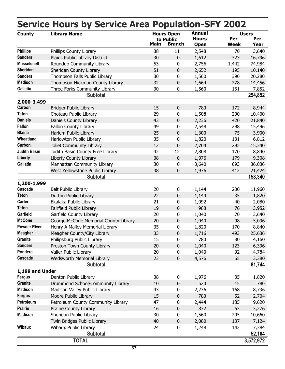|                                  | <b>Service Hours by Service Area Population-SFY 2002</b> |                   |               |                               |             |                     |
|----------------------------------|----------------------------------------------------------|-------------------|---------------|-------------------------------|-------------|---------------------|
| <b>County</b>                    | <b>Library Name</b>                                      | <b>Hours Open</b> | to Public     | <b>Annual</b><br><b>Hours</b> | Per         | <b>Users</b><br>Per |
|                                  |                                                          | <b>Main</b>       | <b>Branch</b> | <b>Open</b>                   | <b>Week</b> | Year                |
| <b>Phillips</b>                  | Phillips County Library                                  | 38                | 11            | 2,548                         | 70          | 3,640               |
| <b>Sanders</b>                   | Plains Public Library District                           | 30                | $\pmb{0}$     | 1,612                         | 323         | 16,796              |
| <b>Musselshell</b>               | Roundup Community Library                                | 53                | 0             | 2,756                         | 1,442       | 74,984              |
| Sheridan                         | Sheridan County Library                                  | 51                | 0             | 2,652                         | 195         | 10,140              |
| <b>Sanders</b>                   | Thompson Falls Public Library                            | 30                | $\pmb{0}$     | 1,560                         | 390         | 20,280              |
| <b>Madison</b>                   | Thompson-Hickman County Library                          | 32                | $\pmb{0}$     | 1,664                         | 278         | 14,456              |
| Gallatin                         | Three Forks Community Library                            | 30                | $\pmb{0}$     | 1,560                         | 151         | 7,852               |
|                                  | <b>Subtotal</b>                                          |                   |               |                               |             | 254,852             |
| 2,000-3,499                      |                                                          |                   |               |                               |             |                     |
| Carbon                           | <b>Bridger Public Library</b>                            | 15                | $\mathbf 0$   | 780                           | 172         | 8,944               |
| Teton                            | Choteau Public Library                                   | 29                | 0             | 1,508                         | 200         | 10,400              |
| <b>Daniels</b>                   | Daniels County Library                                   | 43                | 0             | 2,236                         | 420         | 21,840              |
| <b>Fallon</b>                    | Fallon County Library                                    | 49                | $\pmb{0}$     | 2,548                         | 298         | 15,496              |
| <b>Blaine</b>                    | Harlem Public Library                                    | 25                | $\pmb{0}$     | 1,300                         | 75          | 3,900               |
| Wheatland                        | Harlowton Public Library                                 | 35                | $\pmb{0}$     | 1,820                         | 131         | 6,812               |
| Carbon                           | Joliet Community Library                                 | 12                | $\mathbf 0$   | 2,704                         | 295         | 15,340              |
| <b>Judith Basin</b>              | Judith Basin County Free Library                         | 42                | 12            | 2,808                         | 170         | 8,840               |
| <b>Liberty</b>                   | Liberty County Library                                   | 38                | $\pmb{0}$     | 1,976                         | 179         | 9,308               |
| Gallatin                         | Manhattan Community Library                              | 30                | $\pmb{0}$     | 3,640                         | 693         | 36,036              |
|                                  | West Yellowstone Public Library                          | 38                | $\pmb{0}$     | 1,976                         | 412         | 21,424              |
|                                  | <b>Subtotal</b>                                          |                   |               |                               |             | 158,340             |
| 1,200-1,999                      |                                                          |                   |               |                               |             |                     |
| Cascade                          | <b>Belt Public Library</b>                               | 20                | 0             | 1,144                         | 230         | 11,960              |
| <b>Teton</b>                     | Dutton Public Library                                    | 22                | $\mathbf 0$   | 1,144                         | 35          | 1,820               |
| Carter                           | Ekalaka Public Library                                   | 21                | $\pmb{0}$     | 1,092                         | 40          | 2,080               |
| <b>Teton</b>                     | Fairfield Public Library                                 | 19                | $\pmb{0}$     | 988                           | 76          | 3,952               |
| Garfield                         | Garfield County Library                                  | 20                | $\pmb{0}$     | 1,040                         | 70          | 3,640               |
| <b>McCone</b>                    | George McCone Memorial County Library                    | 20                | $\pmb{0}$     | 1,040                         | 98          | 5,096               |
| <b>Powder River</b>              | Henry A Malley Memorial Library                          | 35                | $\Omega$      | 1,820                         | 170         | 8,840               |
| <b>Meagher</b>                   | Meagher County/City Library                              | 33                | $\pmb{0}$     | 1,716                         | 493         | 25,636              |
| Granite                          | Philipsburg Public Library                               | 15                | 0             | 780                           | 80          | 4,160               |
| <b>Sanders</b>                   | Preston Town County Library                              | 20                | $\mathbf 0$   | 1,040                         | 123         | 6,396               |
| Pondera                          | Valier Public Library                                    | 20                | $\pmb{0}$     | 1,040                         | 92          | 4,784               |
| Cascade                          | Wedsworth Memorial Library                               | 23                | $\pmb{0}$     | 4,576                         | 65          | 3,380               |
|                                  | <b>Subtotal</b>                                          |                   |               |                               |             | 81,744              |
|                                  |                                                          |                   |               |                               |             |                     |
| 1,199 and Under<br><b>Fergus</b> | Denton Public Library                                    | 38                | 0             | 1,976                         | 35          | 1,820               |
| Granite                          | Drummond School/Community Library                        | 10                | $\pmb{0}$     | 520                           | 15          | 780                 |
| <b>Madison</b>                   | Madison Valley Public Library                            | 43                | 0             | 2,236                         | 168         | 8,736               |
| <b>Fergus</b>                    | Moore Public Library                                     | 15                | $\pmb{0}$     | 780                           | 52          | 2,704               |
| Petroleum                        |                                                          | 47                |               |                               |             |                     |
| <b>Prairie</b>                   | Petroleum County Community Library                       |                   | 0             | 2,444                         | 185         | 9,620               |
| <b>Madison</b>                   | Prairie County Library                                   | 16                | $\pmb{0}$     | 832                           | 63          | 3,276               |
|                                  | Sheridan Public Library                                  | 30                | $\pmb{0}$     | 1,560                         | 205         | 10,660              |
|                                  | Twin Bridges Public Library                              | 40                | $\pmb{0}$     | 2,080                         | 137         | 7,124               |
| <b>Wibaux</b>                    | Wibaux Public Library                                    | 24                | 0             | 1,248                         | 142         | 7,384               |
|                                  | <b>Subtotal</b>                                          |                   |               |                               |             | 52,104              |
|                                  | <b>TOTAL</b>                                             |                   |               |                               |             | 3,572,972           |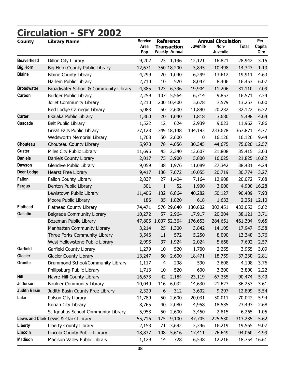<span id="page-42-0"></span>

| <b>County</b>       | <b>Circulation - SFY 2002</b><br><b>Library Name</b> | <b>Service</b> |     | <b>Reference</b>                           |                  | <b>Annual Circulation</b> |              | Per            |
|---------------------|------------------------------------------------------|----------------|-----|--------------------------------------------|------------------|---------------------------|--------------|----------------|
|                     |                                                      | Area<br>Pop    |     | <b>Transaction</b><br><b>Weekly Annual</b> | Juvenile         | Non-<br>Juvenile          | <b>Total</b> | Capita<br>Circ |
| <b>Beaverhead</b>   | Dillon City Library                                  | 9,202          |     | 23 1,196                                   | 12,121           | 16,821                    | 28,942       | 3.15           |
| <b>Big Horn</b>     | Big Horn County Public Library                       | 12,671         |     | 350 18,200                                 | 3,845            | 10,498                    | 14,343       | 1.13           |
| <b>Blaine</b>       | <b>Blaine County Library</b>                         | 4,299          | 20  | 1,040                                      | 6,299            | 13,612                    | 19,911       | 4.63           |
|                     | Harlem Public Library                                | 2,710          | 10  | 520                                        | 8,047            | 8,406                     | 16,453       | 6.07           |
| <b>Broadwater</b>   | Broadwater School & Community Library                | 4,385          | 123 | 6,396                                      | 19,904           | 11,206                    | 31,110       | 7.09           |
| Carbon              | <b>Bridger Public Library</b>                        | 2,259          | 107 | 5,564                                      | 6,714            | 9,857                     | 16,571       | 7.34           |
|                     | Joliet Community Library                             | 2,210          |     | 200 10,400                                 | 5,678            | 7,579                     | 13,257       | 6.00           |
|                     | Red Lodge Carnegie Library                           | 5,083          | 50  | 2,600                                      | 11,890           | 20,232                    | 32,122       | 6.32           |
| <b>Carter</b>       | Ekalaka Public Library                               | 1,360          | 20  | 1,040                                      | 1,818            | 3,680                     | 5,498        | 4.04           |
| Cascade             | Belt Public Library                                  | 1,522          | 12  | 624                                        | 2,939            | 9,023                     | 11,962       | 7.86           |
|                     | Great Falls Public Library                           | 77,128         |     | 349 18,148                                 | 134,193          | 233,678                   | 367,871      | 4.77           |
|                     | Wedsworth Memorial Library                           | 1,708          | 50  | 2,600                                      | $\boldsymbol{0}$ | 16,126                    | 16,126       | 9.44           |
| Chouteau            | Chouteau County Library                              | 5,970          | 78  | 4,056                                      | 30,345           | 44,675                    | 75,020 12.57 |                |
| <b>Custer</b>       | Miles City Public Library                            | 11,696         | 45  | 2,340                                      | 13,607           | 21,808                    | 35,415       | 3.03           |
| <b>Daniels</b>      | Daniels County Library                               | 2,017          | 75  | 3,900                                      | 5,800            | 16,025                    | 21,825 10.82 |                |
| <b>Dawson</b>       | Glendive Public Library                              | 9,059          | 38  | 1,976                                      | 11,089           | 27,342                    | 38,431       | 4.24           |
| <b>Deer Lodge</b>   | Hearst Free Library                                  | 9,417          | 136 | 7,072                                      | 10,055           | 20,719                    | 30,774       | 3.27           |
| Fallon              | Fallon County Library                                | 2,837          | 27  | 1,404                                      | 7,164            | 12,908                    | 20,072       | 7.08           |
| <b>Fergus</b>       | Denton Public Library                                | 301            | 1   | 52                                         | 1,900            | 3,000                     | 4,900        | 16.28          |
|                     | Lewistown Public Library                             | 11,406         | 132 | 6,864                                      | 40,282           | 50,127                    | 90,409       | 7.93           |
|                     | Moore Public Library                                 | 186            | 35  | 1,820                                      | 618              | 1,633                     |              | 2,251 12.10    |
| <b>Flathead</b>     | Flathead County Library                              | 74,471         |     | 570 29,640                                 | 130,602          | 302,451                   | 433,053      | 5.82           |
| <b>Gallatin</b>     | Belgrade Community Library                           | 10,272         | 57  | 2,964                                      | 17,917           | 20,204                    | 38,121       | 3.71           |
|                     | Bozeman Public Library                               |                |     | 47,805 1,007 52,364                        | 176,653          | 284,651                   | 461,304      | 9.65           |
|                     | Manhattan Community Library                          | 3,214          | 25  | 1,300                                      | 3,842            | 14,105                    | 17,947       | 5.58           |
|                     | Three Forks Community Library                        | 3,546          | 11  | 572                                        | 5,250            | 8,090                     | 13,340       | 3.76           |
|                     | West Yellowstone Public Library                      | 2,995          | 37  | 1,924                                      | 2,024            | 5,668                     | 7,692        | 2.57           |
| Garfield            | Garfield County Library                              | 1,279          | 10  | 520                                        | 1,700            | 2,255                     | 3,955        | 3.09           |
| <b>Glacier</b>      | <b>Glacier County Library</b>                        | 13,247         | 50  | 2,600                                      | 18,471           | 18,759                    | 37,230       | 2.81           |
| Granite             | Drummond School/Community Library                    | 1,117          | 4   | 208                                        | 590              | 3,608                     | 4,198        | 3.76           |
|                     | Philipsburg Public Library                           | 1,713          | 10  | 520                                        | 600              | 3,200                     | 3,800        | 2.22           |
| Hill                | Havre-Hill County Library                            | 16,673         | 42  | 2,184                                      | 23,119           | 67,355                    | 90,474       | 5.43           |
| Jefferson           | <b>Boulder Community Library</b>                     | 10,049         | 116 | 6,032                                      | 14,630           | 21,623                    | 36,253       | 3.61           |
| <b>Judith Basin</b> | Judith Basin County Free Library                     | 2,329          | 6   | 312                                        | 3,602            | 9,297                     | 12,899       | 5.54           |
| Lake                | Polson City Library                                  | 11,789         | 50  | 2,600                                      | 20,031           | 50,011                    | 70,042       | 5.94           |
|                     | Ronan City Library                                   | 8,765          | 40  | 2,080                                      | 4,958            | 18,535                    | 23,493       | 2.68           |
|                     | St Ignatius School-Community Library                 | 5,953          | 50  | 2,600                                      | 3,450            | 2,815                     | 6,265        | 1.05           |
|                     | Lewis and Clark Lewis & Clark Library                | 55,716         | 175 | 9,100                                      | 87,705           | 225,530                   | 313,235      | 5.62           |
| Liberty             | Liberty County Library                               | 2,158          | 71  | 3,692                                      | 3,346            | 16,219                    | 19,565       | 9.07           |
| Lincoln             | Lincoln County Public Library                        | 18,837         | 108 | 5,616                                      | 17,411           | 76,649                    | 94,060       | 4.99           |
| <b>Madison</b>      | Madison Valley Public Library                        | 1,129          | 14  | 728                                        | 6,538            | 12,216                    | 18,754 16.61 |                |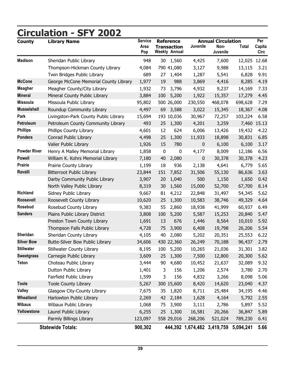| <b>County</b>       | <b>Library Name</b>                   | <b>Service</b><br>Area |           | <b>Reference</b><br><b>Transaction</b> | Juvenile         | <b>Annual Circulation</b><br>Non-     | Total        | Per<br>Capita |
|---------------------|---------------------------------------|------------------------|-----------|----------------------------------------|------------------|---------------------------------------|--------------|---------------|
|                     |                                       | Pop                    |           | <b>Weekly Annual</b>                   |                  | Juvenile                              |              | Circ          |
| <b>Madison</b>      | Sheridan Public Library               | 948                    | 30        | 1,560                                  | 4,425            | 7,600                                 | 12,025 12.68 |               |
|                     | Thompson-Hickman County Library       | 4,084                  |           | 790 41,080                             | 3,127            | 9,988                                 | 13,115       | 3.21          |
|                     | Twin Bridges Public Library           | 689                    | 27        | 1,404                                  | 1,287            | 5,541                                 | 6,828        | 9.91          |
| <b>McCone</b>       | George McCone Memorial County Library | 1,977                  | 19        | 988                                    | 3,869            | 4,416                                 | 8,285        | 4.19          |
| <b>Meagher</b>      | Meagher County/City Library           | 1,932                  | 73        | 3,796                                  | 4,932            | 9,237                                 | 14,169       | 7.33          |
| <b>Mineral</b>      | Mineral County Public Library         | 3,884                  | 100       | 5,200                                  | 1,922            | 15,357                                | 17,279       | 4.45          |
| <b>Missoula</b>     | Missoula Public Library               | 95,802                 |           | 500 26,000                             | 230,550          | 468,078                               | 698,628      | 7.29          |
| <b>Musselshell</b>  | Roundup Community Library             | 4,497                  | 69        | 3,588                                  | 3,022            | 15,345                                | 18,367       | 4.08          |
| Park                | Livingston-Park County Public Library | 15,694                 |           | 193 10,036                             | 30,967           | 72,257                                | 103,224      | 6.58          |
| Petroleum           | Petroleum County Community Library    | 493                    |           | 25 1,300                               | 4,201            | 3,259                                 |              | 7,460 15.13   |
| <b>Phillips</b>     | Phillips County Library               | 4,601                  | 12        | 624                                    | 6,006            | 13,426                                | 19,432       | 4.22          |
| Pondera             | Conrad Public Library                 | 4,498                  | 25        | 1,300                                  | 11,933           | 18,898                                | 30,831       | 6.85          |
|                     | Valier Public Library                 | 1,926                  | 15        | 780                                    | 0                | 6,100                                 | 6,100        | 3.17          |
| <b>Powder River</b> | Henry A Malley Memorial Library       | 1,858                  | $\pmb{0}$ | $\bf{0}$                               | 4,177            | 8,009                                 | 12,186       | 6.56          |
| <b>Powell</b>       | William K. Kohrs Memorial Library     | 7,180                  | 40        | 2,080                                  | $\boldsymbol{0}$ | 30,378                                | 30,378       | 4.23          |
| <b>Prairie</b>      | Prairie County Library                | 1,199                  | 18        | 936                                    | 2,138            | 4,641                                 | 6,779        | 5.65          |
| Ravalli             | <b>Bitterroot Public Library</b>      | 23,844                 | 151       | 7,852                                  | 31,506           | 55,130                                | 86,636       | 3.63          |
|                     | Darby Community Public Library        | 3,907                  | 20        | 1,040                                  | 500              | 1,150                                 | 1,650        | 0.42          |
|                     | North Valley Public Library           | 8,319                  | 30        | 1,560                                  | 15,000           | 52,700                                | 67,700       | 8.14          |
| <b>Richland</b>     | Sidney Public Library                 | 9,667                  | 81        | 4,212                                  | 22,848           | 31,497                                | 54,345       | 5.62          |
| <b>Roosevelt</b>    | Roosevelt County Library              | 10,620                 | 25        | 1,300                                  | 10,583           | 38,746                                | 49,329       | 4.64          |
| Rosebud             | Rosebud County Library                | 9,383                  | 55        | 2,860                                  | 18,938           | 41,999                                | 60,937       | 6.49          |
| <b>Sanders</b>      | Plains Public Library District        | 3,808                  | 100       | 5,200                                  | 5,587            | 15,253                                | 20,840       | 5.47          |
|                     | Preston Town County Library           | 1,691                  | 13        | 676                                    | 1,446            | 8,564                                 | 10,010       | 5.92          |
|                     | Thompson Falls Public Library         | 4,728                  | 75        | 3,900                                  | 6,408            | 19,798                                | 26,206       | 5.54          |
| Sheridan            | Sheridan County Library               | 4,105                  | 40        | 2,080                                  | 5,202            | 20,351                                | 25,553       | 6.22          |
| <b>Silver Bow</b>   | Butte-Silver Bow Public Library       | 34,606                 |           | 430 22,360                             | 26,249           | 70,188                                | 96,437       | 2.79          |
| <b>Stillwater</b>   | Stillwater County Library             | 8,195                  | 100       | 5,200                                  | 10,265           | 21,036                                | 31,301       | 3.82          |
| <b>Sweetgrass</b>   | Carnegie Public Library               | 3,609                  | 25        | 1,300                                  | 7,500            | 12,800                                | 20,300       | 5.62          |
| <b>Teton</b>        | Choteau Public Library                | 3,444                  | 90        | 4,680                                  | 10,452           | 21,637                                | 32,089       | 9.32          |
|                     | Dutton Public Library                 | 1,401                  | 3         | 156                                    | 1,206            | 2,574                                 | 3,780        | 2.70          |
|                     | Fairfield Public Library              | 1,599                  | 3         | 156                                    | 4,832            | 3,266                                 | 8,098        | 5.06          |
| <b>Toole</b>        | <b>Toole County Library</b>           | 5,267                  |           | 300 15,600                             | 8,420            | 14,620                                | 23,040       | 4.37          |
| <b>Valley</b>       | Glasgow City-County Library           | 7,675                  |           | 35 1,820                               | 8,711            | 25,484                                | 34,195       | 4.46          |
| Wheatland           | Harlowton Public Library              | 2,269                  | 42        | 2,184                                  | 1,628            | 4,164                                 | 5,792        | 2.55          |
| <b>Wibaux</b>       | Wibaux Public Library                 | 1,068                  | 75        | 3,900                                  | 3,111            | 2,786                                 | 5,897        | 5.52          |
| Yellowstone         | Laurel Public Library                 | 6,255                  |           | 25 1,300                               | 16,581           | 20,266                                | 36,847       | 5.89          |
|                     | Parmly Billings Library               | 123,097                |           | 558 29,016                             | 268,206          | 521,024                               | 789,230      | 6.41          |
|                     | <b>Statewide Totals:</b>              | 900,302                |           |                                        |                  | 444,392 1,674,482 3,419,759 5,094,241 |              | 5.66          |

# **Circulation - SFY 2002**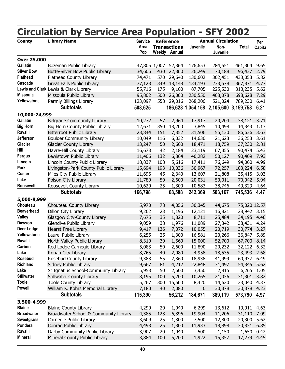<span id="page-44-0"></span>

|                           | <b>Circulation by Service Area Population - SFY 2002</b> |                  |           |                                             |                   |                           |                     |        |
|---------------------------|----------------------------------------------------------|------------------|-----------|---------------------------------------------|-------------------|---------------------------|---------------------|--------|
| <b>County</b>             | <b>Library Name</b>                                      | <b>Service</b>   |           | <b>Reference</b>                            |                   | <b>Annual Circulation</b> |                     | Per    |
|                           |                                                          | Area<br>Pop      |           | <b>Transactions</b><br><b>Weekly Annual</b> | Juvenile          | Non-<br>Juvenile          | <b>Total</b>        | Capita |
| <b>Over 25,000</b>        |                                                          |                  |           |                                             |                   |                           |                     |        |
| <b>Gallatin</b>           | Bozeman Public Library                                   | 47,805 1,007     |           | 52,364                                      | 176,653           | 284,651                   | 461,304             | 9.65   |
| <b>Silver Bow</b>         | Butte-Silver Bow Public Library                          | 34,606           | 430       | 22,360                                      | 26,249            | 70,188                    | 96,437              | 2.79   |
| <b>Flathead</b>           | <b>Flathead County Library</b>                           | 74,471           | 570       | 29,640                                      | 130,602           | 302,451                   | 433,053             | 5.82   |
| Cascade                   | Great Falls Public Library                               | 77,128           | 349       | 18,148                                      | 134,193           | 233,678                   | 367,871             | 4.77   |
|                           | Lewis and Clark Lewis & Clark Library                    | 55,716           | 175       | 9,100                                       | 87,705            | 225,530                   | 313,235             | 5.62   |
| <b>Missoula</b>           | Missoula Public Library                                  | 95,802           | 500       | 26,000                                      | 230,550           | 468,078                   | 698,628             | 7.29   |
| Yellowstone               | Parmly Billings Library                                  | 123,097          |           | 558 29,016                                  | 268,206           | 521,024                   | 789,230             | 6.41   |
|                           | <b>Subtotals</b>                                         | 508,625          |           |                                             | 186,628 1,054,158 |                           | 2,105,600 3,159,758 | 6.21   |
| 10,000-24,999             |                                                          |                  |           |                                             |                   |                           |                     |        |
| Gallatin                  | Belgrade Community Library                               | 10,272           | 57        | 2,964                                       | 17,917            | 20,204                    | 38,121              | 3.71   |
| <b>Big Horn</b>           | Big Horn County Public Library                           | 12,671           | 350       | 18,200                                      | 3,845             | 10,498                    | 14,343              | 1.13   |
| Ravalli                   | <b>Bitterroot Public Library</b>                         | 23,844           | 151       | 7,852                                       | 31,506            | 55,130                    | 86,636              | 3.63   |
| Jefferson                 | <b>Boulder Community Library</b>                         | 10,049           | 116       | 6,032                                       | 14,630            | 21,623                    | 36,253              | 3.61   |
| <b>Glacier</b>            | <b>Glacier County Library</b>                            | 13,247           | 50        | 2,600                                       | 18,471            | 18,759                    | 37,230              | 2.81   |
| Hill                      | Havre-Hill County Library                                | 16,673           | 42        | 2,184                                       | 23,119            | 67,355                    | 90,474              | 5.43   |
| <b>Fergus</b>             | Lewistown Public Library                                 | 11,406           | 132       | 6,864                                       | 40,282            | 50,127                    | 90,409              | 7.93   |
| Lincoln                   | Lincoln County Public Library                            | 18,837           | 108       | 5,616                                       | 17,411            | 76,649                    | 94,060              | 4.99   |
| Park                      | Livingston-Park County Public Library                    | 15,694           | 193       | 10,036                                      | 30,967            | 72,257                    | 103,224             | 6.58   |
| <b>Custer</b>             | Miles City Public Library                                | 11,696           | 45        | 2,340                                       | 13,607            | 21,808                    | 35,415              | 3.03   |
| Lake                      | Polson City Library                                      | 11,789           | 50        | 2,600                                       | 20,031            | 50,011                    | 70,042              | 5.94   |
| Roosevelt                 | Roosevelt County Library                                 | 10,620           | 25        | 1,300                                       | 10,583            | 38,746                    | 49,329              | 4.64   |
|                           | <b>Subtotals</b>                                         | 166,798          |           | 68,588                                      | 242,369           | 503,167                   | 745,536             | 4.47   |
|                           |                                                          |                  |           |                                             |                   |                           |                     |        |
| 5,000-9,999               |                                                          |                  |           |                                             |                   |                           |                     |        |
| Chouteau                  | Chouteau County Library                                  | 5,970            | 78        | 4,056                                       | 30,345            | 44,675                    | 75,020 12.57        |        |
| <b>Beaverhead</b>         | Dillon City Library                                      | 9,202            | 23        | 1,196                                       | 12,121            | 16,821                    | 28,942 3.15         |        |
| <b>Valley</b>             | Glasgow City-County Library                              | 7,675            | 35        | 1,820                                       | 8,711             | 25,484                    | 34,195              | 4.46   |
| <b>Dawson</b>             | Glendive Public Library                                  | 9,059            | 38        | 1,976                                       | 11,089            | 27,342                    | 38,431              | 4.24   |
| Deer Lodge<br>Yellowstone | <b>Hearst Free Library</b>                               | 9,417            | 136<br>25 | 7,072                                       | 10,055            | 20,719                    | 30,774              | 3.27   |
|                           | Laurel Public Library                                    | 6,255            |           | 1,300                                       | 16,581            | 20,266                    | 36,847              | 5.89   |
| Ravalli<br>Carbon         | North Valley Public Library                              | 8,319            | 30        | 1,560                                       | 15,000            | 52,700                    | 67,700 8.14         |        |
| Lake                      | Red Lodge Carnegie Library                               | 5,083            | 50        | 2,600                                       | 11,890            | 20,232                    | 32,122<br>23,493    | 6.32   |
| Rosebud                   | Ronan City Library                                       | 8,765            | 40        | 2,080                                       | 4,958             | 18,535                    |                     | 2.68   |
| <b>Richland</b>           | Rosebud County Library                                   | 9,383            | 55        | 2,860                                       | 18,938            | 41,999                    | 60,937              | 6.49   |
| Lake                      | Sidney Public Library                                    | 9,667            | 81        | 4,212                                       | 22,848            | 31,497                    | 54,345              | 5.62   |
| <b>Stillwater</b>         | St Ignatius School-Community Library                     | 5,953            | 50        | 2,600                                       | 3,450             | 2,815                     | 6,265               | 1.05   |
| <b>Toole</b>              | Stillwater County Library                                | 8,195            | 100       | 5,200                                       | 10,265            | 21,036                    | 31,301              | 3.82   |
| <b>Powell</b>             | <b>Toole County Library</b>                              | 5,267            | 300       | 15,600                                      | 8,420             | 14,620                    | 23,040              | 4.37   |
|                           | William K. Kohrs Memorial Library<br><b>Subtotals</b>    | 7,180<br>115,390 | 40        | 2,080                                       | 0                 | 30,378                    | 30,378              | 4.23   |
|                           |                                                          |                  |           | 56,212                                      | 184,671           | 389,119                   | 573,790             | 4.97   |
| 3,500-4,999               |                                                          |                  |           |                                             |                   |                           |                     |        |
| <b>Blaine</b>             | <b>Blaine County Library</b>                             | 4,299            | 20        | 1,040                                       | 6,299             | 13,612                    | 19,911              | 4.63   |
| <b>Broadwater</b>         | Broadwater School & Community Library                    | 4,385            | 123       | 6,396                                       | 19,904            | 11,206                    | 31,110              | 7.09   |
| <b>Sweetgrass</b>         | Carnegie Public Library                                  | 3,609            | 25        | 1,300                                       | 7,500             | 12,800                    | 20,300              | 5.62   |
| Pondera                   | Conrad Public Library                                    | 4,498            | 25        | 1,300                                       | 11,933            | 18,898                    | 30,831              | 6.85   |
| Ravalli                   | Darby Community Public Library                           | 3,907            | 20        | 1,040                                       | 500               | 1,150                     | 1,650               | 0.42   |
| <b>Mineral</b>            | Mineral County Public Library                            | 3,884            | 100       | 5,200                                       | 1,922             | 15,357                    | 17,279              | 4.45   |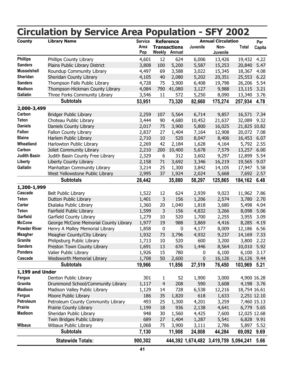|                     | <b>Circulation by Service Area Population - SFY 2002</b> |                               |                     |                                                                 |             |                                               |              |               |
|---------------------|----------------------------------------------------------|-------------------------------|---------------------|-----------------------------------------------------------------|-------------|-----------------------------------------------|--------------|---------------|
| <b>County</b>       | <b>Library Name</b>                                      | <b>Service</b><br>Area<br>Pop |                     | <b>Reference</b><br><b>Transactions</b><br><b>Weekly Annual</b> | Juvenile    | <b>Annual Circulation</b><br>Non-<br>Juvenile | Total        | Per<br>Capita |
| <b>Phillips</b>     | Phillips County Library                                  | 4,601                         | 12                  | 624                                                             | 6,006       | 13,426                                        | 19,432       | 4.22          |
| <b>Sanders</b>      | Plains Public Library District                           | 3,808                         | 100                 | 5,200                                                           | 5,587       | 15,253                                        | 20,840       | 5.47          |
| <b>Musselshell</b>  | Roundup Community Library                                | 4,497                         | 69                  | 3,588                                                           | 3,022       | 15,345                                        | 18,367       | 4.08          |
| Sheridan            | Sheridan County Library                                  | 4,105                         | 40                  | 2,080                                                           | 5,202       | 20,351                                        | 25,553       | 6.22          |
| <b>Sanders</b>      | Thompson Falls Public Library                            | 4,728                         | 75                  | 3,900                                                           | 6,408       | 19,798                                        | 26,206       | 5.54          |
| <b>Madison</b>      | Thompson-Hickman County Library                          | 4,084                         | 790                 | 41,080                                                          | 3,127       | 9,988                                         | 13,115       | 3.21          |
| <b>Gallatin</b>     | Three Forks Community Library                            | 3,546                         | 11                  | 572                                                             | 5,250       | 8,090                                         | 13,340       | 3.76          |
|                     | <b>Subtotals</b>                                         | 53,951                        |                     | 73,320                                                          | 82,660      | 175,274                                       | 257,934      | 4.78          |
| 2,000-3,499         |                                                          |                               |                     |                                                                 |             |                                               |              |               |
| Carbon              | <b>Bridger Public Library</b>                            | 2,259                         | 107                 | 5,564                                                           | 6,714       | 9,857                                         | 16,571       | 7.34          |
| <b>Teton</b>        | Choteau Public Library                                   | 3,444                         | 90                  | 4,680                                                           | 10,452      | 21,637                                        | 32,089       | 9.32          |
| <b>Daniels</b>      | Daniels County Library                                   | 2,017                         | 75                  | 3,900                                                           | 5,800       | 16,025                                        | 21,825 10.82 |               |
| <b>Fallon</b>       | Fallon County Library                                    | 2,837                         | 27                  | 1,404                                                           | 7,164       | 12,908                                        | 20,072       | 7.08          |
| <b>Blaine</b>       | Harlem Public Library                                    | 2,710                         | 10                  | 520                                                             | 8,047       | 8,406                                         | 16,453       | 6.07          |
| Wheatland           | Harlowton Public Library                                 | 2,269                         | 42                  | 2,184                                                           | 1,628       | 4,164                                         | 5,792        | 2.55          |
| Carbon              | Joliet Community Library                                 | 2,210                         | 200                 | 10,400                                                          | 5,678       | 7,579                                         | 13,257       | 6.00          |
| <b>Judith Basin</b> | Judith Basin County Free Library                         | 2,329                         | 6                   | 312                                                             | 3,602       | 9,297                                         | 12,899       | 5.54          |
| Liberty             | Liberty County Library                                   | 2,158                         | 71                  | 3,692                                                           | 3,346       | 16,219                                        | 19,565       | 9.07          |
| Gallatin            | Manhattan Community Library                              | 3,214                         | 25                  | 1,300                                                           | 3,842       | 14,105                                        | 17,947       | 5.58          |
|                     | West Yellowstone Public Library                          | 2,995                         | 37                  | 1,924                                                           | 2,024       | 5,668                                         | 7,692        | 2.57          |
|                     | <b>Subtotals</b>                                         | 28,442                        |                     | 35,880                                                          | 58,297      | 125,865                                       | 184,162      | 6.48          |
| 1,200-1,999         |                                                          |                               |                     |                                                                 |             |                                               |              |               |
| Cascade             | <b>Belt Public Library</b>                               | 1,522                         | 12                  | 624                                                             | 2,939       | 9,023                                         | 11,962       | 7.86          |
| <b>Teton</b>        | Dutton Public Library                                    | 1,401                         | 3                   | 156                                                             | 1,206       | 2,574                                         | 3,780        | 2.70          |
| Carter              | Ekalaka Public Library                                   | 1,360                         | 20                  | 1,040                                                           | 1,818       | 3,680                                         | 5,498        | 4.04          |
| <b>Teton</b>        | Fairfield Public Library                                 | 1,599                         | 3                   | 156                                                             | 4,832       | 3,266                                         | 8,098        | 5.06          |
| Garfield            | Garfield County Library                                  | 1,279                         | 10                  | 520                                                             | 1,700       | 2,255                                         | 3,955        | 3.09          |
| <b>McCone</b>       | George McCone Memorial County Library                    | 1,977                         | 19                  | 988                                                             | 3,869       | 4,416                                         | 8,285        | 4.19          |
| <b>Powder River</b> | Henry A Malley Memorial Library                          | 1,858                         | 0                   | 0                                                               | 4,177       | 8,009                                         | 12,186       | 6.56          |
| <b>Meagher</b>      | Meagher County/City Library                              | 1,932                         | 73                  | 3,796                                                           | 4,932       | 9,237                                         | 14,169 7.33  |               |
| Granite             | Philipsburg Public Library                               | 1,713                         | 10                  | 520                                                             | 600         | 3,200                                         | 3,800        | 2.22          |
| <b>Sanders</b>      | Preston Town County Library                              | 1,691                         | 13                  | 676                                                             | 1,446       | 8,564                                         | 10,010       | 5.92          |
| Pondera             | Valier Public Library                                    | 1,926                         | 15                  | 780                                                             | 0           | 6,100                                         | 6,100        | 3.17          |
| Cascade             | <b>Wedsworth Memorial Library</b>                        | 1,708                         | 50                  | 2,600                                                           | $\mathbf 0$ | 16,126                                        | 16,126 9.44  |               |
|                     | <b>Subtotals</b>                                         | 19,966                        |                     | 11,856                                                          | 27,519      | 76,450                                        | 103,969 5.21 |               |
| 1,199 and Under     |                                                          |                               |                     |                                                                 |             |                                               |              |               |
| <b>Fergus</b>       | Denton Public Library                                    | 301                           |                     | 52                                                              | 1,900       | 3,000                                         |              | 4,900 16.28   |
| Granite             | Drummond School/Community Library                        | 1,117                         | 1<br>$\overline{4}$ | 208                                                             | 590         | 3,608                                         |              | 4,198 3.76    |
| <b>Madison</b>      | Madison Valley Public Library                            | 1,129                         | 14                  | 728                                                             | 6,538       | 12,216                                        | 18,754 16.61 |               |
| <b>Fergus</b>       | Moore Public Library                                     | 186                           | 35                  | 1,820                                                           | 618         | 1,633                                         |              | 2,251 12.10   |
| Petroleum           | Petroleum County Community Library                       | 493                           | 25                  | 1,300                                                           | 4,201       | 3,259                                         |              | 7,460 15.13   |
| <b>Prairie</b>      | Prairie County Library                                   | 1,199                         | 18                  | 936                                                             | 2,138       | 4,641                                         |              | 6,779 5.65    |
| <b>Madison</b>      | Sheridan Public Library                                  | 948                           | 30                  | 1,560                                                           | 4,425       | 7,600                                         | 12,025 12.68 |               |
|                     | Twin Bridges Public Library                              | 689                           | 27                  | 1,404                                                           | 1,287       | 5,541                                         |              | 6,828 9.91    |
| <b>Wibaux</b>       |                                                          | 1,068                         | 75                  | 3,900                                                           |             |                                               |              |               |
|                     | Wibaux Public Library                                    |                               |                     |                                                                 | 3,111       | 2,786                                         |              | 5,897 5.52    |
|                     | <b>Subtotals</b>                                         | 7,130                         |                     | 11,908                                                          | 24,808      | 44,284                                        | 69,092       | 9.69          |
|                     | <b>Statewide Totals:</b>                                 | 900,302                       |                     |                                                                 |             | 444,392 1,674,482 3,419,759 5,094,241         |              | 5.66          |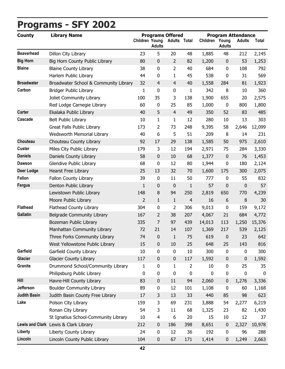# <span id="page-46-0"></span>**Programs - SFY 2002**

| <b>County</b>       | <b>Programs Offered</b><br><b>Library Name</b> |                       |                  |                     | <b>Program Attendance</b> |                |                  |               |             |
|---------------------|------------------------------------------------|-----------------------|------------------|---------------------|---------------------------|----------------|------------------|---------------|-------------|
|                     |                                                | <b>Children Young</b> | <b>Adults</b>    | <b>Adults Total</b> |                           | Children Young | <b>Adults</b>    | <b>Adults</b> | Total       |
| <b>Beaverhead</b>   | Dillon City Library                            | 23                    | 5                | 20                  | 48                        | 1,885          | 48               | 212           | 2,145       |
| <b>Big Horn</b>     | Big Horn County Public Library                 | 80                    | $\pmb{0}$        | $\overline{2}$      | 82                        | 1,200          | $\mathbf 0$      | 53            | 1,253       |
| <b>Blaine</b>       | <b>Blaine County Library</b>                   | 38                    | $\pmb{0}$        | $\overline{2}$      | 40                        | 684            | 0                | 108           | 792         |
|                     | Harlem Public Library                          | 44                    | $\pmb{0}$        | $\mathbf{1}$        | 45                        | 538            | 0                | 31            | 569         |
| <b>Broadwater</b>   | Broadwater School & Community Library          | 32                    | $\overline{4}$   | $\overline{4}$      | 40                        | 1,558          | 284              | 81            | 1,923       |
| Carbon              | Bridger Public Library                         | 1                     | $\pmb{0}$        | 0                   | $\mathbf{1}$              | 342            | 8                | 10            | 360         |
|                     | Joliet Community Library                       | 100                   | 35               | 3                   | 138                       | 1,900          | 655              | 20            | 2,575       |
|                     | Red Lodge Carnegie Library                     | 60                    | $\pmb{0}$        | 25                  | 85                        | 1,000          | $\boldsymbol{0}$ | 800           | 1,800       |
| <b>Carter</b>       | Ekalaka Public Library                         | 40                    | 5                | $\overline{4}$      | 49                        | 350            | 52               | 83            | 485         |
| Cascade             | <b>Belt Public Library</b>                     | 10                    | $\mathbf{1}$     | $\mathbf{1}$        | 12                        | 280            | 10               | 13            | 303         |
|                     | Great Falls Public Library                     | 173                   | 2                | 73                  | 248                       | 9,395          | 58               | 2,646         | 12,099      |
|                     | Wedsworth Memorial Library                     | 40                    | 6                | 5                   | 51                        | 209            | 8                | 14            | 231         |
| Chouteau            | Chouteau County Library                        | 92                    | 17               | 29                  | 138                       | 1,585          | 50               | 975           | 2,610       |
| <b>Custer</b>       | Miles City Public Library                      | 179                   | 3                | 12                  | 194                       | 2,971          | 75               | 284           | 3,330       |
| <b>Daniels</b>      | Daniels County Library                         | 58                    | $\pmb{0}$        | 10                  | 68                        | 1,377          | $\mathbf 0$      | 76            | 1,453       |
| <b>Dawson</b>       | <b>Glendive Public Library</b>                 | 68                    | $\pmb{0}$        | 12                  | 80                        | 1,944          | 0                | 180           | 2,124       |
| <b>Deer Lodge</b>   | Hearst Free Library                            | 25                    | 13               | 32                  | 70                        | 1,600          | 175              | 300           | 2,075       |
| <b>Fallon</b>       | Fallon County Library                          | 39                    | $\pmb{0}$        | 11                  | 50                        | 777            | 0                | 55            | 832         |
| <b>Fergus</b>       | Denton Public Library                          | 1                     | $\pmb{0}$        | 0                   | $\mathbf{1}$              | 57             | 0                | 0             | 57          |
|                     | Lewistown Public Library                       | 148                   | $\,8\,$          | 94                  | 250                       | 2,819          | 650              | 770           | 4,239       |
|                     | Moore Public Library                           | $\overline{2}$        | $\mathbf{1}$     | $\mathbf{1}$        | 4                         | 16             | 6                | 8             | 30          |
| <b>Flathead</b>     | Flathead County Library                        | 304                   | $\pmb{0}$        | 2                   | 306                       | 9,013          | 0                | 159           | 9,172       |
| <b>Gallatin</b>     | Belgrade Community Library                     | 167                   | 2                | 38                  | 207                       | 4,067          | 21               | 684           | 4,772       |
|                     | Bozeman Public Library                         | 335                   | $\overline{7}$   | 97                  | 439                       | 14,013         | 113              | 1,250         | 15,376      |
|                     | Manhattan Community Library                    | 72                    | 21               | 14                  | 107                       | 1,369          | 217              | 539           | 2,125       |
|                     | Three Forks Community Library                  | 74                    | $\boldsymbol{0}$ | 1                   | 75                        | 619            | 0                | 23            | 642         |
|                     | West Yellowstone Public Library                | 15                    | $\boldsymbol{0}$ | 10                  | 25                        | 648            | 25               | 143           | 816         |
| Garfield            | Garfield County Library                        | 10                    | $\pmb{0}$        | $\pmb{0}$           | 10                        | 300            | $\pmb{0}$        | 0             | 300         |
| <b>Glacier</b>      | <b>Glacier County Library</b>                  | 117                   | $\pmb{0}$        | $\pmb{0}$           | 117                       | 1,592          | $\boldsymbol{0}$ | 0             | 1,592       |
| Granite             | Drummond School/Community Library              | 1                     | $\pmb{0}$        | $\mathbf{1}$        | $\overline{2}$            | 10             | 0                | 25            | 35          |
|                     | Philipsburg Public Library                     | 0                     | $\pmb{0}$        | 0                   | 0                         | 0              | 0                | 0             | $\mathbf 0$ |
| Hill                | Havre-Hill County Library                      | 83                    | $\pmb{0}$        | 11                  | 94                        | 2,060          | 0                | 1,276         | 3,336       |
| Jefferson           | <b>Boulder Community Library</b>               | 89                    | $\pmb{0}$        | 12                  | 101                       | 1,108          | 0                | 60            | 1,168       |
| <b>Judith Basin</b> | Judith Basin County Free Library               | 17                    | 3                | 13                  | 33                        | 440            | 85               | 98            | 623         |
| Lake                | Polson City Library                            | 159                   | 3                | 69                  | 231                       | 3,888          | 54               | 2,277         | 6,219       |
|                     | Ronan City Library                             | 54                    | 3                | 11                  | 68                        | 1,325          | 23               | 82            | 1,430       |
|                     | St Ignatius School-Community Library           | 10                    | $\overline{4}$   | 6                   | 20                        | 15             | 10               | 12            | 37          |
|                     | Lewis and Clark Lewis & Clark Library          | 212                   | $\pmb{0}$        | 186                 | 398                       | 8,651          | $\pmb{0}$        | 2,327         | 10,978      |
| Liberty             | Liberty County Library                         | 24                    | $\pmb{0}$        | 12                  | 36                        | 192            | 0                | 96            | 288         |
| Lincoln             | Lincoln County Public Library                  | 104                   | $\pmb{0}$        | 67                  | 171                       | 1,414          | 0                | 1,249         | 2,663       |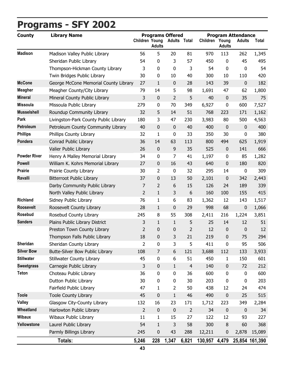# **Programs - SFY 2002**

| <b>County</b>       | <b>Programs Offered</b><br><b>Library Name</b> |                       |                |                |                     | <b>Program Attendance</b> |                        |               |                |  |
|---------------------|------------------------------------------------|-----------------------|----------------|----------------|---------------------|---------------------------|------------------------|---------------|----------------|--|
|                     |                                                | <b>Children Young</b> | <b>Adults</b>  |                | <b>Adults Total</b> | Children                  | Young<br><b>Adults</b> | <b>Adults</b> | Total          |  |
| <b>Madison</b>      | Madison Valley Public Library                  | 56                    | 5              | 20             | 81                  | 970                       | 113                    | 262           | 1,345          |  |
|                     | Sheridan Public Library                        | 54                    | $\pmb{0}$      | 3              | 57                  | 450                       | 0                      | 45            | 495            |  |
|                     | Thompson-Hickman County Library                | 3                     | 0              | $\mathbf 0$    | 3                   | 54                        | 0                      | 0             | 54             |  |
|                     | Twin Bridges Public Library                    | 30                    | $\pmb{0}$      | 10             | 40                  | 300                       | 10                     | 110           | 420            |  |
| <b>McCone</b>       | George McCone Memorial County Library          | 27                    | $1\,$          | $\pmb{0}$      | 28                  | 143                       | 39                     | 0             | 182            |  |
| <b>Meagher</b>      | Meagher County/City Library                    | 79                    | 14             | 5              | 98                  | 1,691                     | 47                     | 62            | 1,800          |  |
| <b>Mineral</b>      | Mineral County Public Library                  | 3                     | $\pmb{0}$      | $\overline{2}$ | 5                   | 40                        | $\mathbf 0$            | 35            | 75             |  |
| <b>Missoula</b>     | Missoula Public Library                        | 279                   | $\pmb{0}$      | 70             | 349                 | 6,927                     | 0                      | 600           | 7,527          |  |
| <b>Musselshell</b>  | Roundup Community Library                      | 32                    | 5              | 14             | 51                  | 768                       | 223                    | 171           | 1,162          |  |
| Park                | Livingston-Park County Public Library          | 180                   | 3              | 47             | 230                 | 3,983                     | 80                     | 500           | 4,563          |  |
| Petroleum           | Petroleum County Community Library             | 40                    | $\pmb{0}$      | $\mathbf 0$    | 40                  | 400                       | $\mathbf 0$            | 0             | 400            |  |
| <b>Phillips</b>     | Phillips County Library                        | 32                    | $\mathbf{1}$   | $\mathbf 0$    | 33                  | 350                       | 30                     | 0             | 380            |  |
| Pondera             | Conrad Public Library                          | 36                    | 14             | 63             | 113                 | 800                       | 494                    | 625           | 1,919          |  |
|                     | Valier Public Library                          | 26                    | $\pmb{0}$      | 9              | 35                  | 525                       | 0                      | 141           | 666            |  |
| <b>Powder River</b> | Henry A Malley Memorial Library                | 34                    | $\pmb{0}$      | $\overline{7}$ | 41                  | 1,197                     | $\pmb{0}$              | 85            | 1,282          |  |
| <b>Powell</b>       | William K. Kohrs Memorial Library              | 27                    | $\pmb{0}$      | 16             | 43                  | 640                       | $\pmb{0}$              | 180           | 820            |  |
| <b>Prairie</b>      | Prairie County Library                         | 30                    | $\overline{2}$ | $\pmb{0}$      | 32                  | 295                       | 14                     | $\pmb{0}$     | 309            |  |
| Ravalli             | <b>Bitterroot Public Library</b>               | 37                    | $\pmb{0}$      | 13             | 50                  | 2,101                     | $\pmb{0}$              | 342           | 2,443          |  |
|                     | Darby Community Public Library                 | 7                     | $\overline{2}$ | 6              | 15                  | 126                       | 24                     | 189           | 339            |  |
|                     | North Valley Public Library                    | $\overline{2}$        | $\mathbf{1}$   | 3              | 6                   | 160                       | 100                    | 155           | 415            |  |
| <b>Richland</b>     | Sidney Public Library                          | 76                    | $\mathbf{1}$   | 6              | 83                  | 1,362                     | 12                     | 143           | 1,517          |  |
| <b>Roosevelt</b>    | Roosevelt County Library                       | 28                    | $1\,$          | 0              | 29                  | 998                       | 68                     | 0             | 1,066          |  |
| Rosebud             | Rosebud County Library                         | 245                   | 8              | 55             | 308                 | 2,411                     | 216                    | 1,224         | 3,851          |  |
| <b>Sanders</b>      | Plains Public Library District                 | 3                     | $\mathbf{1}$   | $\mathbf{1}$   | 5                   | 25                        | 14                     | 12            | 51             |  |
|                     | Preston Town County Library                    | 2                     | $\pmb{0}$      | 0              | $\overline{2}$      | 12                        | 0                      | 0             | 12             |  |
|                     | Thompson Falls Public Library                  | 18                    | $\pmb{0}$      | 3              | 21                  | 219                       | 0                      | 75            | 294            |  |
| Sheridan            | Sheridan County Library                        | $\overline{2}$        | $\pmb{0}$      | 3              | 5                   | 411                       | 0                      | 95            | 506            |  |
| <b>Silver Bow</b>   | Butte-Silver Bow Public Library                | 108                   | $\overline{7}$ | 6              | 121                 | 3,688                     | 112                    | 133           | 3,933          |  |
| <b>Stillwater</b>   | <b>Stillwater County Library</b>               | 45                    | $\pmb{0}$      | 6              | 51                  | 450                       | 1                      | 150           | 601            |  |
| <b>Sweetgrass</b>   | Carnegie Public Library                        | 3                     | $\pmb{0}$      | $\mathbf{1}$   | $\overline{4}$      | 140                       | 0                      | 72            | 212            |  |
| <b>Teton</b>        | Choteau Public Library                         | 36                    | $\pmb{0}$      | $\mathbf 0$    | 36                  | 600                       | 0                      | 0             | 600            |  |
|                     | Dutton Public Library                          | 30                    | $\pmb{0}$      | 0              | 30                  | 203                       | 0                      | 0             | 203            |  |
|                     | Fairfield Public Library                       | 47                    | $\mathbf{1}$   | $\overline{2}$ | 50                  | 438                       | 12                     | 24            | 474            |  |
| <b>Toole</b>        | <b>Toole County Library</b>                    | 45                    | $\pmb{0}$      | $\mathbf{1}$   | 46                  | 490                       | $\pmb{0}$              | 25            | 515            |  |
| <b>Valley</b>       | Glasgow City-County Library                    | 132                   | 16             | 23             | 171                 | 1,712                     | 223                    | 349           | 2,284          |  |
| Wheatland           | Harlowton Public Library                       | $\overline{2}$        | $\pmb{0}$      | $\pmb{0}$      | $\overline{2}$      | 34                        | $\pmb{0}$              | 0             | 34             |  |
| <b>Wibaux</b>       | Wibaux Public Library                          | 11                    | $\mathbf{1}$   | 15             | 27                  | 122                       | 12                     | 93            | 227            |  |
| Yellowstone         | Laurel Public Library                          | 54                    | $\mathbf{1}$   | 3              | 58                  | 300                       | $\, 8$                 | 60            | 368            |  |
|                     | Parmly Billings Library                        | 245                   | $\pmb{0}$      | 43             | 288                 | 12,211                    | 0                      | 2,878         | 15,089         |  |
|                     | Totals:                                        | 5,246                 | 228            | 1,347          | 6,821               | 130,957                   | 4,479                  |               | 25,854 161,390 |  |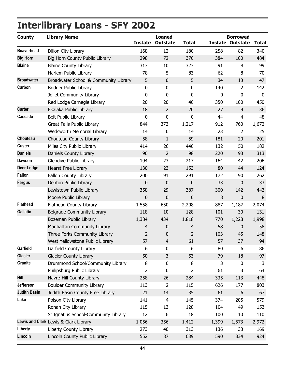# <span id="page-48-0"></span>**Interlibrary Loans - SFY 2002**

| <b>County</b>       | <b>Library Name</b>                   | <b>Instate</b> | <b>Loaned</b><br><b>Outstate</b> | <b>Total</b>   |        | <b>Borrowed</b><br><b>Instate Outstate</b> | <b>Total</b> |
|---------------------|---------------------------------------|----------------|----------------------------------|----------------|--------|--------------------------------------------|--------------|
| <b>Beaverhead</b>   | Dillon City Library                   | 168            | 12                               | 180            | 258    | 82                                         | 340          |
| <b>Big Horn</b>     | Big Horn County Public Library        | 298            | 72                               | 370            | 384    | 100                                        | 484          |
| <b>Blaine</b>       | <b>Blaine County Library</b>          | 313            | 10                               | 323            | 91     | 8                                          | 99           |
|                     | Harlem Public Library                 | 78             | 5                                | 83             | 62     | 8                                          | 70           |
| <b>Broadwater</b>   | Broadwater School & Community Library | 5              | $\pmb{0}$                        | 5              | 34     | 13                                         | 47           |
| Carbon              | <b>Bridger Public Library</b>         | 0              | $\mathbf 0$                      | 0              | 140    | $\overline{2}$                             | 142          |
|                     | Joliet Community Library              | 0              | 0                                | 0              | 0      | 0                                          | $\bf{0}$     |
|                     | Red Lodge Carnegie Library            | 20             | 20                               | 40             | 350    | 100                                        | 450          |
| <b>Carter</b>       | Ekalaka Public Library                | 18             | $\overline{2}$                   | 20             | 27     | 9                                          | 36           |
| Cascade             | Belt Public Library                   | 0              | $\pmb{0}$                        | 0              | 44     | $\overline{4}$                             | 48           |
|                     | Great Falls Public Library            | 844            | 373                              | 1,217          | 912    | 760                                        | 1,672        |
|                     | Wedsworth Memorial Library            | 14             | $\mathbf 0$                      | 14             | 23     | $\overline{2}$                             | 25           |
| Chouteau            | Chouteau County Library               | 58             | $\mathbf{1}$                     | 59             | 181    | 20                                         | 201          |
| <b>Custer</b>       | Miles City Public Library             | 414            | 26                               | 440            | 132    | 50                                         | 182          |
| <b>Daniels</b>      | Daniels County Library                | 96             | 2                                | 98             | 220    | 93                                         | 313          |
| <b>Dawson</b>       | Glendive Public Library               | 194            | 23                               | 217            | 164    | 42                                         | 206          |
| <b>Deer Lodge</b>   | Hearst Free Library                   | 130            | 23                               | 153            | 80     | 44                                         | 124          |
| Fallon              | Fallon County Library                 | 200            | 91                               | 291            | 172    | 90                                         | 262          |
| <b>Fergus</b>       | Denton Public Library                 | 0              | $\mathbf 0$                      | 0              | 33     | $\mathbf 0$                                | 33           |
|                     | Lewistown Public Library              | 358            | 29                               | 387            | 300    | 142                                        | 442          |
|                     | Moore Public Library                  | $\mathbf 0$    | $\pmb{0}$                        | $\mathbf 0$    | $\, 8$ | $\pmb{0}$                                  | 8            |
| <b>Flathead</b>     | Flathead County Library               | 1,558          | 650                              | 2,208          | 887    | 1,187                                      | 2,074        |
| <b>Gallatin</b>     | Belgrade Community Library            | 118            | 10                               | 128            | 101    | 30                                         | 131          |
|                     | Bozeman Public Library                | 1,384          | 434                              | 1,818          | 770    | 1,228                                      | 1,998        |
|                     | Manhattan Community Library           | 4              | 0                                | 4              | 58     | 0                                          | 58           |
|                     | Three Forks Community Library         | $\overline{2}$ | 0                                | $\overline{2}$ | 103    | 45                                         | 148          |
|                     | West Yellowstone Public Library       | 57             | 4                                | 61             | 57     | 37                                         | 94           |
| Garfield            | Garfield County Library               | 6              | 0                                | 6              | 80     | 6                                          | 86           |
| <b>Glacier</b>      | <b>Glacier County Library</b>         | 50             | 3                                | 53             | 79     | 18                                         | 97           |
| <b>Granite</b>      | Drummond School/Community Library     | 8              | 0                                | 8              | 3      | 0                                          | 3            |
|                     | Philipsburg Public Library            | 2              | 0                                | 2              | 61     | 3                                          | 64           |
| Hill                | Havre-Hill County Library             | 258            | 26                               | 284            | 335    | 113                                        | 448          |
| Jefferson           | <b>Boulder Community Library</b>      | 113            | 2                                | 115            | 626    | 177                                        | 803          |
| <b>Judith Basin</b> | Judith Basin County Free Library      | 21             | 14                               | 35             | 61     | 6                                          | 67           |
| Lake                | Polson City Library                   | 141            | $\overline{4}$                   | 145            | 374    | 205                                        | 579          |
|                     | Ronan City Library                    | 115            | 13                               | 128            | 104    | 49                                         | 153          |
|                     | St Ignatius School-Community Library  | 12             | 6                                | 18             | 100    | 10                                         | 110          |
|                     | Lewis and Clark Lewis & Clark Library | 1,056          | 356                              | 1,412          | 1,399  | 1,573                                      | 2,972        |
| Liberty             | Liberty County Library                | 273            | 40                               | 313            | 136    | 33                                         | 169          |
| Lincoln             | Lincoln County Public Library         | 552            | 87                               | 639            | 590    | 334                                        | 924          |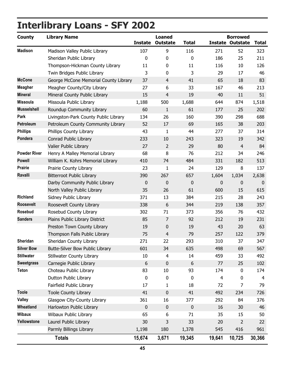# **Interlibrary Loans - SFY 2002**

| <b>County</b>       | <b>Library Name</b>                   | <b>Instate</b> | <b>Loaned</b><br><b>Outstate</b> | <b>Total</b> |                | <b>Borrowed</b><br><b>Instate Outstate</b> | <b>Total</b>     |
|---------------------|---------------------------------------|----------------|----------------------------------|--------------|----------------|--------------------------------------------|------------------|
| <b>Madison</b>      | Madison Valley Public Library         | 107            | 9                                | 116          | 271            | 52                                         | 323              |
|                     | Sheridan Public Library               | 0              | $\mathbf 0$                      | 0            | 186            | 25                                         | 211              |
|                     | Thompson-Hickman County Library       | 11             | 0                                | 11           | 116            | 10                                         | 126              |
|                     | Twin Bridges Public Library           | 3              | 0                                | 3            | 29             | 17                                         | 46               |
| <b>McCone</b>       | George McCone Memorial County Library | 37             | $\overline{4}$                   | 41           | 65             | 18                                         | 83               |
| <b>Meagher</b>      | Meagher County/City Library           | 27             | 6                                | 33           | 167            | 46                                         | 213              |
| <b>Mineral</b>      | Mineral County Public Library         | 15             | $\overline{4}$                   | 19           | 40             | 11                                         | 51               |
| <b>Missoula</b>     | Missoula Public Library               | 1,188          | 500                              | 1,688        | 644            | 874                                        | 1,518            |
| <b>Musselshell</b>  | Roundup Community Library             | 60             | $\mathbf{1}$                     | 61           | 177            | 25                                         | 202              |
| Park                | Livingston-Park County Public Library | 134            | 26                               | 160          | 390            | 298                                        | 688              |
| Petroleum           | Petroleum County Community Library    | 52             | 17                               | 69           | 165            | 38                                         | 203              |
| <b>Phillips</b>     | Phillips County Library               | 43             | $\mathbf{1}$                     | 44           | 277            | 37                                         | 314              |
| Pondera             | Conrad Public Library                 | 233            | 10                               | 243          | 323            | 19                                         | 342              |
|                     | Valier Public Library                 | 27             | $\overline{2}$                   | 29           | 80             | $\overline{4}$                             | 84               |
| <b>Powder River</b> | Henry A Malley Memorial Library       | 68             | 8                                | 76           | 212            | 34                                         | 246              |
| <b>Powell</b>       | William K. Kohrs Memorial Library     | 410            | 74                               | 484          | 331            | 182                                        | 513              |
| <b>Prairie</b>      | Prairie County Library                | 23             | $\mathbf{1}$                     | 24           | 129            | 8                                          | 137              |
| Ravalli             | <b>Bitterroot Public Library</b>      | 390            | 267                              | 657          | 1,604          | 1,034                                      | 2,638            |
|                     | Darby Community Public Library        | 0              | 0                                | 0            | 0              | 0                                          | $\boldsymbol{0}$ |
|                     | North Valley Public Library           | 35             | 26                               | 61           | 600            | 15                                         | 615              |
| <b>Richland</b>     | Sidney Public Library                 | 371            | 13                               | 384          | 215            | 28                                         | 243              |
| <b>Roosevelt</b>    | Roosevelt County Library              | 338            | 6                                | 344          | 219            | 138                                        | 357              |
| Rosebud             | Rosebud County Library                | 302            | 71                               | 373          | 356            | 76                                         | 432              |
| <b>Sanders</b>      | Plains Public Library District        | 85             | 7                                | 92           | 212            | 19                                         | 231              |
|                     | Preston Town County Library           | 19             | 0                                | 19           | 43             | 20                                         | 63               |
|                     | Thompson Falls Public Library         | 75             | $\overline{4}$                   | 79           | 257            | 122                                        | 379              |
| <b>Sheridan</b>     | Sheridan County Library               | 271            | 22                               | 293          | 310            | 37                                         | 347              |
| <b>Silver Bow</b>   | Butte-Silver Bow Public Library       | 601            | 34                               | 635          | 498            | 69                                         | 567              |
| <b>Stillwater</b>   | <b>Stillwater County Library</b>      | 10             | $\overline{\mathbf{4}}$          | 14           | 459            | 33                                         | 492              |
| <b>Sweetgrass</b>   | Carnegie Public Library               | 6              | 0                                | 6            | 77             | 25                                         | 102              |
| <b>Teton</b>        | Choteau Public Library                | 83             | 10                               | 93           | 174            | 0                                          | 174              |
|                     | Dutton Public Library                 | 0              | 0                                | 0            | $\overline{4}$ | 0                                          | $\overline{4}$   |
|                     | Fairfield Public Library              | 17             | 1                                | 18           | 72             | 7                                          | 79               |
| <b>Toole</b>        | <b>Toole County Library</b>           | 41             | $\pmb{0}$                        | 41           | 492            | 234                                        | 726              |
| <b>Valley</b>       | Glasgow City-County Library           | 361            | 16                               | 377          | 292            | 84                                         | 376              |
| Wheatland           | Harlowton Public Library              | 0              | 0                                | $\pmb{0}$    | 16             | 30                                         | 46               |
| <b>Wibaux</b>       | Wibaux Public Library                 | 65             | 6                                | 71           | 35             | 15                                         | 50               |
| Yellowstone         | Laurel Public Library                 | 30             | 3                                | 33           | 20             | 2                                          | 22               |
|                     | Parmly Billings Library               | 1,198          | 180                              | 1,378        | 545            | 416                                        | 961              |
|                     | <b>Totals</b>                         | 15,674         | 3,671                            | 19,345       | 19,641         | 10,725                                     | 30,366           |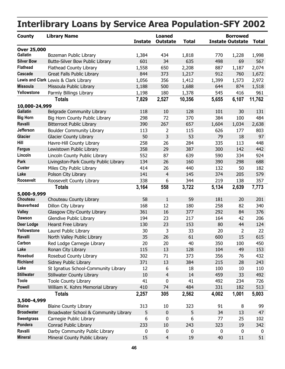#### <span id="page-50-0"></span>**County Library Name Instate Outstate Total Total Instate Outstate Loaned Borrowed Interlibrary Loans by Service Area Population-SFY 2002 Over 25,000 Gallatin** Bozeman Public Library 1,384 434 1,818 770 1,228 1,998 **Silver Bow** Butte-Silver Bow Public Library 601 34 635 498 69 567 **Flathead** Flathead County Library 1,558 650 887 1,187 2,208 2,074 **Cascade** Great Falls Public Library 844 373 1,217 912 760 1,672 **Lewis and Clark** Lewis & Clark Library 1,056 356 1,412 1,399 1,573 2,972 **Missoula** Missoula Public Library 1.188 500 1,688 644 874 1,518 **Yellowstone** Parmly Billings Library 1.198 180 1.378 545 416 961 **Totals 7,829 2,527 5,655 6,107 10,356 11,762 10,000-24,999 Belgrade Community Library 118** 10 128 101 30 131 **Big Horn** Big Horn County Public Library  $298$   $72$   $370$   $384$   $100$   $484$ **Ravalli** Bitterroot Public Library 390 267 657 1,604 1,034 2,638 **Jefferson** Boulder Community Library 113 2 115 626 177 803 Glacier Glacier County Library 1990 18 50 50 53 53 53 53 53 53 53 53 53 53 53 51 February 18 50 **Hill** Havre-Hill County Library 10 258 26 284 335 113 448 **Fergus** Lewistown Public Library 358 29 387 300 142 442 **Lincoln** Lincoln County Public Library  $\overline{552}$  87 639 590 334 924 **Park** Livingston-Park County Public Library 134 26 160 390 298 688 **Custer** Miles City Public Library 1414 26 440 132 50 182 **Lake** Polson City Library 141 4 145 374 205 579 **Roosevelt** Roosevelt County Library **88 138 138 1210 1219 138 357 Totals 3,164 558 5,134 2,639 3,722 7,773 5,000-9,999 Chouteau** Chouteau County Library **58** 1 59 181 20 201 **Beaverhead** Dillon City Library 168 12 180 258 82 340 **Valley** Glasgow City-County Library 361 16 377 292 84 376 **Dawson** Glendive Public Library 194 23 217 164 42 206 **Deer Lodge** Hearst Free Library 130 23 153 80 44 124 **Yellowstone** Laurel Public Library 100 30 30 33 33 20 32 22 **Ravalli** North Valley Public Library 1990 100 100 100 15 615 615 Carbon Red Lodge Carnegie Library 100 20 20 350 350 100 450 **Lake** Ronan City Library 115 13 128 104 49 153 **Rosebud** Rosebud County Library 1802 71 373 356 76 432 **Richland** Sidney Public Library 371 13 384 215 28 243 **Lake** St Ignatius School-Community Library 12 6 18 100 10 110 **Stillwater** Stillwater County Library 10 4 14 459 33 492 **Toole** Toole County Library 1 1 41 0 41 492 234 726 **Powell** William K. Kohrs Memorial Library 410 74 484 331 182 513 **Totals 2,257 305 4,002 1,001 2,562 5,003 3,500-4,999 Blaine** Blaine County Library 18 313 10 323 91 8 99 **Broadwater** Broadwater School & Community Library  $\overline{5}$  0  $\overline{5}$  34 13 47 **Sweetgrass** Carnegie Public Library 6 0 77 25 6 102 **Pondera** Conrad Public Library 233 10 243 323 19 342 Ravalli Darby Community Public Library 0 0 0 0 0 0 0 0 0 **Mineral 15** Mineral County Public Library 15 15 15 16 19 10 11 151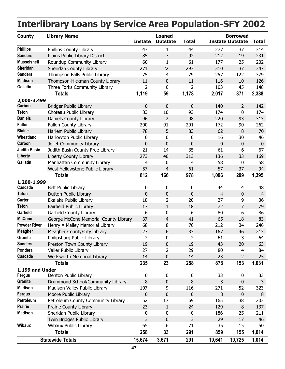| <b>County</b>                    | <b>Library Name</b>                                       | <b>Instate</b>   | <b>Loaned</b><br><b>Outstate</b> | <b>Total</b>   |                | <b>Borrowed</b><br><b>Instate Outstate</b> | <b>Total</b>   |
|----------------------------------|-----------------------------------------------------------|------------------|----------------------------------|----------------|----------------|--------------------------------------------|----------------|
| <b>Phillips</b>                  |                                                           |                  |                                  |                |                |                                            |                |
| <b>Sanders</b>                   | Phillips County Library<br>Plains Public Library District | 43<br>85         | $\mathbf{1}$<br>$\overline{7}$   | 44<br>92       | 277<br>212     | 37<br>19                                   | 314<br>231     |
| <b>Musselshell</b>               | Roundup Community Library                                 | 60               | 1                                | 61             | 177            | 25                                         | 202            |
| Sheridan                         | Sheridan County Library                                   | 271              | 22                               | 293            | 310            | 37                                         | 347            |
| <b>Sanders</b>                   | Thompson Falls Public Library                             | 75               | 4                                | 79             | 257            | 122                                        | 379            |
| <b>Madison</b>                   | Thompson-Hickman County Library                           | 11               | $\pmb{0}$                        | 11             | 116            | 10                                         | 126            |
| Gallatin                         | Three Forks Community Library                             | 2                | 0                                | $\overline{2}$ | 103            | 45                                         | 148            |
|                                  |                                                           |                  |                                  |                |                |                                            |                |
|                                  | <b>Totals</b>                                             | 1,119            | 59                               | 1,178          | 2,017          | 371                                        | 2,388          |
| 2,000-3,499<br>Carbon            | <b>Bridger Public Library</b>                             | $\mathbf 0$      | $\pmb{0}$                        | 0              | 140            | $\overline{2}$                             | 142            |
| <b>Teton</b>                     | Choteau Public Library                                    | 83               | 10                               | 93             | 174            | 0                                          | 174            |
| <b>Daniels</b>                   | Daniels County Library                                    | 96               | $\overline{2}$                   | 98             | 220            | 93                                         | 313            |
| <b>Fallon</b>                    | Fallon County Library                                     | 200              | 91                               | 291            | 172            | 90                                         | 262            |
| <b>Blaine</b>                    | Harlem Public Library                                     | 78               | 5                                | 83             | 62             | 8                                          | 70             |
| Wheatland                        |                                                           |                  | 0                                | 0              | 16             | 30                                         | 46             |
| Carbon                           | Harlowton Public Library                                  | 0<br>$\pmb{0}$   | $\mathbf 0$                      | 0              | $\mathbf 0$    | $\mathbf 0$                                |                |
| <b>Judith Basin</b>              | Joliet Community Library                                  | 21               | 14                               | 35             | 61             | 6                                          | $\bf{0}$<br>67 |
| <b>Liberty</b>                   | Judith Basin County Free Library                          | 273              | 40                               | 313            | 136            | 33                                         | 169            |
| Gallatin                         | Liberty County Library                                    |                  |                                  |                | 58             |                                            | 58             |
|                                  | Manhattan Community Library                               | 4<br>57          | 0                                | 4<br>61        | 57             | 0                                          | 94             |
|                                  | West Yellowstone Public Library                           |                  | 4                                |                |                | 37                                         |                |
|                                  | <b>Totals</b>                                             | 812              | 166                              | 978            | 1,096          | 299                                        | 1,395          |
| 1,200-1,999<br>Cascade           | <b>Belt Public Library</b>                                | 0                | 0                                | 0              | 44             | 4                                          | 48             |
| <b>Teton</b>                     | Dutton Public Library                                     | $\pmb{0}$        | $\pmb{0}$                        | 0              | $\overline{4}$ | $\mathbf 0$                                | $\overline{4}$ |
| Carter                           | Ekalaka Public Library                                    | 18               | 2                                | 20             | 27             | 9                                          | 36             |
| <b>Teton</b>                     | Fairfield Public Library                                  | 17               | $\mathbf{1}$                     | 18             | 72             | $\overline{7}$                             | 79             |
| Garfield                         | Garfield County Library                                   | 6                | 0                                | 6              | 80             | 6                                          | 86             |
| <b>McCone</b>                    | George McCone Memorial County Library                     | 37               | $\overline{4}$                   | 41             | 65             | 18                                         | 83             |
| <b>Powder River</b>              | Henry A Malley Memorial Library                           | 68               | 8                                | 76             | 212            | 34                                         | 246            |
| <b>Meagher</b>                   | Meagher County/City Library                               | 27               | 6                                | 33             | 167            | 46                                         | 213            |
| Granite                          | Philipsburg Public Library                                |                  |                                  |                | 61             |                                            | 64             |
| <b>Sanders</b>                   | Preston Town County Library                               | 2<br>19          | U<br>0                           | 2<br>19        | 43             | 3<br>20                                    | 63             |
| Pondera                          | Valier Public Library                                     | 27               | $\overline{2}$                   | 29             | 80             | 4                                          | 84             |
| Cascade                          | <b>Wedsworth Memorial Library</b>                         | 14               | 0                                | 14             | 23             | $\overline{2}$                             | 25             |
|                                  | <b>Totals</b>                                             | 235              | 23                               | 258            | 878            | 153                                        | 1,031          |
|                                  |                                                           |                  |                                  |                |                |                                            |                |
| 1,199 and Under<br><b>Fergus</b> | Denton Public Library                                     | 0                | 0                                | 0              | 33             | 0                                          | 33             |
| <b>Granite</b>                   | Drummond School/Community Library                         | $\,8\,$          | $\pmb{0}$                        | 8              | 3              | $\pmb{0}$                                  | 3              |
| <b>Madison</b>                   | Madison Valley Public Library                             | 107              | 9                                | 116            | 271            | 52                                         | 323            |
| <b>Fergus</b>                    | Moore Public Library                                      | $\boldsymbol{0}$ | $\pmb{0}$                        | 0              | 8              | $\pmb{0}$                                  | 8              |
| Petroleum                        | Petroleum County Community Library                        | 52               | 17                               | 69             | 165            | 38                                         | 203            |
| <b>Prairie</b>                   | Prairie County Library                                    | 23               | $\mathbf{1}$                     | 24             | 129            | $\, 8$                                     | 137            |
| <b>Madison</b>                   | Sheridan Public Library                                   |                  | 0                                | 0              | 186            | 25                                         | 211            |
|                                  | Twin Bridges Public Library                               | 0<br>3           | 0                                | 3              | 29             | 17                                         | 46             |
| <b>Wibaux</b>                    | Wibaux Public Library                                     | 65               | 6                                | 71             | 35             | 15                                         | 50             |
|                                  |                                                           |                  |                                  |                |                |                                            |                |
|                                  | <b>Totals</b>                                             | 258              | 33                               | 291            | 859            | 155                                        | 1,014          |
|                                  | <b>Statewide Totals</b>                                   | 15,674           | 3,671                            | 291            | 19,641         | 10,725                                     | 1,014          |

## **Interlibrary Loans by Service Area Population-SFY 2002**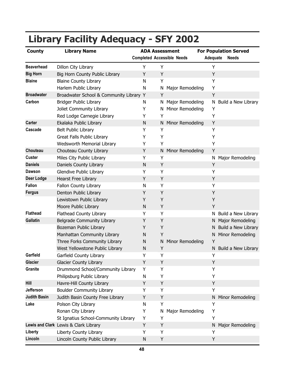| <b>County</b>       | <b>Library Name</b>                     | <b>ADA Assessment</b> |                                   |                          | <b>For Population Served</b> |  |  |
|---------------------|-----------------------------------------|-----------------------|-----------------------------------|--------------------------|------------------------------|--|--|
|                     |                                         |                       | <b>Completed Accessible Needs</b> | Adequate<br><b>Needs</b> |                              |  |  |
| <b>Beaverhead</b>   | Dillon City Library                     | Υ                     | Υ                                 | Υ                        |                              |  |  |
| <b>Big Horn</b>     | Big Horn County Public Library          | Y                     | Υ                                 | Υ                        |                              |  |  |
| <b>Blaine</b>       | <b>Blaine County Library</b>            | N                     | Y                                 | Υ                        |                              |  |  |
|                     | Harlem Public Library                   | N                     | Major Remodeling<br>N             | Υ                        |                              |  |  |
| <b>Broadwater</b>   | Broadwater School & Community Library Y |                       | Y                                 | Y                        |                              |  |  |
| Carbon              | <b>Bridger Public Library</b>           | N                     | Major Remodeling<br>N.            |                          | N Build a New Library        |  |  |
|                     | Joliet Community Library                | Υ                     | Minor Remodeling<br>N             | Υ                        |                              |  |  |
|                     | Red Lodge Carnegie Library              | Y                     | Υ                                 | Υ                        |                              |  |  |
| <b>Carter</b>       | Ekalaka Public Library                  | $\mathsf{N}$          | N Minor Remodeling                | Y                        |                              |  |  |
| Cascade             | <b>Belt Public Library</b>              | Υ                     | Υ                                 | Υ                        |                              |  |  |
|                     | Great Falls Public Library              | Y                     | Υ                                 | Υ                        |                              |  |  |
|                     | Wedsworth Memorial Library              | Y                     | Y                                 | Υ                        |                              |  |  |
| Chouteau            | Chouteau County Library                 | Y                     | Minor Remodeling<br>Ν             | Y                        |                              |  |  |
| <b>Custer</b>       | Miles City Public Library               | Υ                     | Υ                                 | N                        | Major Remodeling             |  |  |
| <b>Daniels</b>      | Daniels County Library                  | $\mathsf{N}$          | Y                                 | Y                        |                              |  |  |
| <b>Dawson</b>       | Glendive Public Library                 | Υ                     | Y                                 | Υ                        |                              |  |  |
| <b>Deer Lodge</b>   | Hearst Free Library                     | Y                     | Υ                                 | Y                        |                              |  |  |
| <b>Fallon</b>       | Fallon County Library                   | N                     | Υ                                 | Υ                        |                              |  |  |
| <b>Fergus</b>       | Denton Public Library                   | Y                     | Y                                 | Y                        |                              |  |  |
|                     | Lewistown Public Library                | Y                     | Y                                 | Y                        |                              |  |  |
|                     | Moore Public Library                    | N                     | Υ                                 | Υ                        |                              |  |  |
| <b>Flathead</b>     | Flathead County Library                 | Υ                     | Υ                                 | N                        | Build a New Library          |  |  |
| <b>Gallatin</b>     | Belgrade Community Library              | Y                     | Y                                 | N                        | Major Remodeling             |  |  |
|                     | Bozeman Public Library                  | Y                     | Υ                                 | N                        | Build a New Library          |  |  |
|                     | Manhattan Community Library             | N                     | Υ                                 | N                        | Minor Remodeling             |  |  |
|                     | Three Forks Community Library           | N                     | Minor Remodeling<br>Ν             | Y                        |                              |  |  |
|                     | West Yellowstone Public Library         | Ν                     | Υ                                 |                          | N Build a New Library        |  |  |
| Garfield            | Garfield County Library                 | Y                     | Y                                 | Y                        |                              |  |  |
| <b>Glacier</b>      | <b>Glacier County Library</b>           | Y                     | Υ                                 | Y                        |                              |  |  |
| Granite             | Drummond School/Community Library       | Υ                     | Υ                                 | Υ                        |                              |  |  |
|                     | Philipsburg Public Library              | N                     | Υ                                 | Υ                        |                              |  |  |
| Hill                | Havre-Hill County Library               | Υ                     | Υ                                 | Υ                        |                              |  |  |
| <b>Jefferson</b>    | <b>Boulder Community Library</b>        | Υ                     | Υ                                 | Υ                        |                              |  |  |
| <b>Judith Basin</b> | Judith Basin County Free Library        | Υ                     | Υ                                 | N                        | Minor Remodeling             |  |  |
| Lake                | Polson City Library                     | N                     | Υ                                 | Υ                        |                              |  |  |
|                     | Ronan City Library                      | Υ                     | Major Remodeling<br>N             | Υ                        |                              |  |  |
|                     | St Ignatius School-Community Library    | Υ                     | Υ                                 | Υ                        |                              |  |  |
|                     | Lewis and Clark Lewis & Clark Library   | Y                     | Υ                                 | N                        | Major Remodeling             |  |  |
| Liberty             | Liberty County Library                  | Υ                     | Υ                                 | Υ                        |                              |  |  |
| Lincoln             | Lincoln County Public Library           | N                     | Υ                                 | Υ                        |                              |  |  |

# <span id="page-52-0"></span>**Library Facility Adequacy - SFY 2002**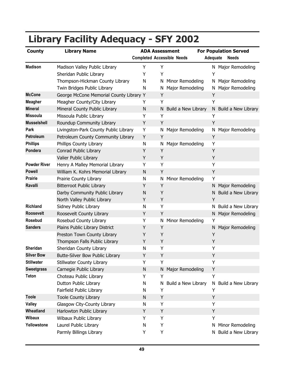| <b>County</b>       | <b>Library Name</b>                     | <b>ADA Assessment</b> |                                   |                     | <b>For Population Served</b> |                       |  |  |
|---------------------|-----------------------------------------|-----------------------|-----------------------------------|---------------------|------------------------------|-----------------------|--|--|
|                     |                                         |                       | <b>Completed Accessible Needs</b> |                     | Adequate                     | <b>Needs</b>          |  |  |
| <b>Madison</b>      | Madison Valley Public Library           | Υ                     | Υ                                 |                     |                              | N Major Remodeling    |  |  |
|                     | Sheridan Public Library                 | Y                     | Y                                 |                     | Y                            |                       |  |  |
|                     | Thompson-Hickman County Library         | N                     | N                                 | Minor Remodeling    | N.                           | Major Remodeling      |  |  |
|                     | Twin Bridges Public Library             | N                     | N                                 | Major Remodeling    | N.                           | Major Remodeling      |  |  |
| <b>McCone</b>       | George McCone Memorial County Library Y |                       | Y                                 |                     | Υ                            |                       |  |  |
| <b>Meagher</b>      | Meagher County/City Library             | Y                     | Υ                                 |                     | Υ                            |                       |  |  |
| <b>Mineral</b>      | Mineral County Public Library           | N                     | N                                 | Build a New Library |                              | N Build a New Library |  |  |
| <b>Missoula</b>     | Missoula Public Library                 | Y                     | Y                                 |                     | Y                            |                       |  |  |
| <b>Musselshell</b>  | Roundup Community Library               | Υ                     | Y                                 |                     | Y                            |                       |  |  |
| Park                | Livingston-Park County Public Library   | Y                     | N                                 | Major Remodeling    | N                            | Major Remodeling      |  |  |
| Petroleum           | Petroleum County Community Library      | Y                     | Y                                 |                     | Υ                            |                       |  |  |
| <b>Phillips</b>     | <b>Phillips County Library</b>          | N                     | N                                 | Major Remodeling    | Υ                            |                       |  |  |
| Pondera             | Conrad Public Library                   | Υ                     | Y                                 |                     | Υ                            |                       |  |  |
|                     | Valier Public Library                   | Y                     | Y                                 |                     | Υ                            |                       |  |  |
| <b>Powder River</b> | Henry A Malley Memorial Library         | Υ                     | Υ                                 |                     | Υ                            |                       |  |  |
| <b>Powell</b>       | William K. Kohrs Memorial Library       | N                     | Y                                 |                     | Υ                            |                       |  |  |
| <b>Prairie</b>      | Prairie County Library                  | N                     | N                                 | Minor Remodeling    | Υ                            |                       |  |  |
| Ravalli             | <b>Bitterroot Public Library</b>        | Υ                     | Y                                 |                     | N                            | Major Remodeling      |  |  |
|                     | Darby Community Public Library          | ${\sf N}$             | Y                                 |                     | N                            | Build a New Library   |  |  |
|                     | North Valley Public Library             | Y                     | Υ                                 |                     | Υ                            |                       |  |  |
| <b>Richland</b>     | Sidney Public Library                   | N                     | Υ                                 |                     | N                            | Build a New Library   |  |  |
| <b>Roosevelt</b>    | Roosevelt County Library                | Y                     | Y                                 |                     | N.                           | Major Remodeling      |  |  |
| <b>Rosebud</b>      | Rosebud County Library                  | Υ                     | N                                 | Minor Remodeling    | Y                            |                       |  |  |
| <b>Sanders</b>      | Plains Public Library District          | Υ                     | Y                                 |                     | N                            | Major Remodeling      |  |  |
|                     | Preston Town County Library             | Υ                     | Y                                 |                     | Υ                            |                       |  |  |
|                     | Thompson Falls Public Library           | Υ                     | Y                                 |                     | Υ                            |                       |  |  |
| Sheridan            | Sheridan County Library                 | N                     | Υ                                 |                     | Y                            |                       |  |  |
| <b>Silver Bow</b>   | <b>Butte-Silver Bow Public Library</b>  | Υ                     | Y                                 |                     | Υ                            |                       |  |  |
| <b>Stillwater</b>   | <b>Stillwater County Library</b>        | Υ                     | Υ                                 |                     | Υ                            |                       |  |  |
| <b>Sweetgrass</b>   | Carnegie Public Library                 | ${\sf N}$             |                                   | N Major Remodeling  | Υ                            |                       |  |  |
| <b>Teton</b>        | Choteau Public Library                  | Υ                     | Υ                                 |                     | Υ                            |                       |  |  |
|                     | Dutton Public Library                   | N                     | N                                 | Build a New Library | N                            | Build a New Library   |  |  |
|                     | Fairfield Public Library                | N                     | Υ                                 |                     | Υ                            |                       |  |  |
| <b>Toole</b>        | <b>Toole County Library</b>             | N                     | Υ                                 |                     | Υ                            |                       |  |  |
| <b>Valley</b>       | Glasgow City-County Library             | N                     | Υ                                 |                     | Υ                            |                       |  |  |
| Wheatland           | Harlowton Public Library                | Υ                     | Υ                                 |                     | Υ                            |                       |  |  |
| <b>Wibaux</b>       | Wibaux Public Library                   | Υ                     | Υ                                 |                     | Υ                            |                       |  |  |
| Yellowstone         | Laurel Public Library                   | N                     | Υ                                 |                     | N.                           | Minor Remodeling      |  |  |
|                     | Parmly Billings Library                 | Y                     | Υ                                 |                     | N.                           | Build a New Library   |  |  |

# **Library Facility Adequacy - SFY 2002**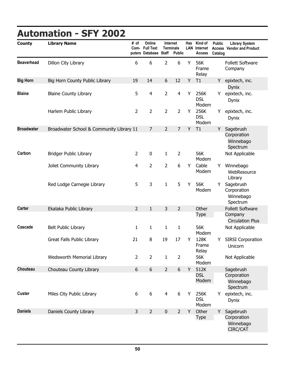<span id="page-54-0"></span>

| <b>County</b>     | <b>Library Name</b>                      | # of           | Online<br>Com- Full Text<br>puters Database Staff |                | <b>Internet</b><br><b>Terminals</b><br><b>Public</b> | Has | Kind of<br><b>LAN</b> Internet<br><b>Access</b> | <b>Public</b><br>Catalog | <b>Library System</b><br><b>Access Vendor and Product</b>     |
|-------------------|------------------------------------------|----------------|---------------------------------------------------|----------------|------------------------------------------------------|-----|-------------------------------------------------|--------------------------|---------------------------------------------------------------|
| <b>Beaverhead</b> | Dillon City Library                      | 6              | 6                                                 | $\overline{2}$ | 6                                                    | Y   | 56K<br>Frame<br>Relay                           |                          | <b>Follett Software</b><br>Company                            |
| <b>Big Horn</b>   | Big Horn County Public Library           | 19             | 14                                                | 6              | 12                                                   | Y   | T1                                              | Y                        | epixtech, inc.<br><b>Dynix</b>                                |
| <b>Blaine</b>     | <b>Blaine County Library</b>             | 5              | $\overline{4}$                                    | $\overline{2}$ | $\overline{4}$                                       | Y   | 256K<br><b>DSL</b><br>Modem                     | Y                        | epixtech, inc.<br>Dynix                                       |
|                   | Harlem Public Library                    | $\overline{2}$ | $\overline{2}$                                    | $\overline{2}$ | $\overline{2}$                                       | Y   | 256K<br><b>DSL</b><br>Modem                     | Y                        | epixtech, inc.<br><b>Dynix</b>                                |
| <b>Broadwater</b> | Broadwater School & Community Library 11 |                | $\overline{7}$                                    | $\overline{2}$ | $\overline{7}$                                       | Y   | T1                                              | Y                        | Sagebrush<br>Corporation<br>Winnebago<br>Spectrum             |
| Carbon            | <b>Bridger Public Library</b>            | $\overline{2}$ | $\mathbf 0$                                       | $\mathbf{1}$   | $\overline{2}$                                       |     | 56K<br>Modem                                    |                          | Not Applicable                                                |
|                   | Joliet Community Library                 | $\overline{4}$ | 2                                                 | $\overline{2}$ | 6                                                    | Y   | Cable<br>Modem                                  | Y                        | Winnebago<br>WebResource<br>Library                           |
|                   | Red Lodge Carnegie Library               | 5              | 3                                                 | $\mathbf{1}$   | 5                                                    | Y   | 56K<br>Modem                                    | Υ                        | Sagebrush<br>Corporation<br>Winnebago<br>Spectrum             |
| <b>Carter</b>     | Ekalaka Public Library                   | $\overline{2}$ | $\mathbf{1}$                                      | 3              | $\overline{2}$                                       |     | Other<br><b>Type</b>                            |                          | <b>Follett Software</b><br>Company<br><b>Circulation Plus</b> |
| Cascade           | <b>Belt Public Library</b>               | 1              | $\mathbf{1}$                                      | $\mathbf{1}$   | $\mathbf{1}$                                         |     | 56K<br>Modem                                    |                          | Not Applicable                                                |
|                   | <b>Great Falls Public Library</b>        | 21             | $\bf 8$                                           | 19             | 17                                                   | Y   | 128K<br>Frame<br>Relay                          | Y                        | <b>SIRSI Corporation</b><br>Unicorn                           |
|                   | Wedsworth Memorial Library               | $\overline{2}$ | $\overline{2}$                                    | $\mathbf{1}$   | $\overline{2}$                                       |     | 56K<br>Modem                                    |                          | Not Applicable                                                |
| Chouteau          | Chouteau County Library                  | 6              | 6                                                 | $\overline{2}$ | 6                                                    | Y   | 512K<br><b>DSL</b><br>Modem                     |                          | Sagebrush<br>Corporation<br>Winnebago<br>Spectrum             |
| <b>Custer</b>     | Miles City Public Library                | 6              | 6                                                 | $\overline{4}$ | 6                                                    | Υ   | 256K<br><b>DSL</b><br>Modem                     | Y.                       | epixtech, inc.<br><b>Dynix</b>                                |
| <b>Daniels</b>    | Daniels County Library                   | 3              | $\overline{2}$                                    | $\pmb{0}$      | $\overline{2}$                                       | Y   | Other<br><b>Type</b>                            | Y                        | Sagebrush<br>Corporation<br>Winnebago<br>CIRC/CAT             |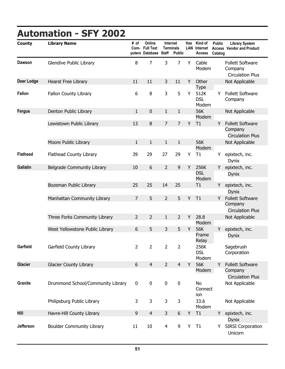# **Automation - SFY 2002**

| <b>County</b>   | <b>Library Name</b>               | # of<br>Com-   | Online<br><b>Full Text</b><br>puters Database Staff |                | <b>Internet</b><br><b>Terminals</b><br><b>Public</b> | Has | Kind of<br><b>LAN</b> Internet<br><b>Access</b> | <b>Public</b><br>Catalog | <b>Library System</b><br><b>Access Vendor and Product</b>     |
|-----------------|-----------------------------------|----------------|-----------------------------------------------------|----------------|------------------------------------------------------|-----|-------------------------------------------------|--------------------------|---------------------------------------------------------------|
| <b>Dawson</b>   | Glendive Public Library           | 8              | $\overline{7}$                                      | 3              | $\overline{7}$                                       | Y   | Cable<br>Modem                                  |                          | <b>Follett Software</b><br>Company<br><b>Circulation Plus</b> |
| Deer Lodge      | Hearst Free Library               | 11             | 11                                                  | 3              | 11                                                   | Y   | Other                                           |                          | Not Applicable                                                |
| <b>Fallon</b>   | Fallon County Library             | 6              | 8                                                   | 3              | 5                                                    | Y   | <b>Type</b><br>512K<br><b>DSL</b><br>Modem      | Y                        | <b>Follett Software</b><br>Company                            |
| <b>Fergus</b>   | Denton Public Library             | $\mathbf{1}$   | 0                                                   | $\mathbf{1}$   | $\mathbf{1}$                                         |     | 56K                                             |                          | Not Applicable                                                |
|                 | Lewistown Public Library          | 13             | 8                                                   | $\overline{7}$ | $\overline{7}$                                       | Y   | Modem<br>T1                                     | Y                        | <b>Follett Software</b>                                       |
|                 |                                   |                |                                                     |                |                                                      |     |                                                 |                          | Company<br><b>Circulation Plus</b>                            |
|                 | Moore Public Library              | $\mathbf{1}$   | $\mathbf{1}$                                        | $\mathbf{1}$   | $\mathbf{1}$                                         |     | 56K<br>Modem                                    |                          | Not Applicable                                                |
| <b>Flathead</b> | Flathead County Library           | 39             | 29                                                  | 27             | 29                                                   | Υ   | T1                                              | Y                        | epixtech, inc.<br>Dynix                                       |
| <b>Gallatin</b> | Belgrade Community Library        | 10             | $6\,$                                               | $\overline{2}$ | $\mathsf 9$                                          | Y   | 256K<br><b>DSL</b>                              | Y                        | epixtech, inc.<br><b>Dynix</b>                                |
|                 | Bozeman Public Library            | 25             | 25                                                  | 14             | 25                                                   |     | Modem<br>T1                                     | Y                        | epixtech, inc.                                                |
|                 |                                   |                |                                                     |                |                                                      |     |                                                 |                          | <b>Dynix</b>                                                  |
|                 | Manhattan Community Library       | $\overline{7}$ | 5                                                   | $\overline{2}$ | 5                                                    | Y   | T1                                              | Y                        | <b>Follett Software</b><br>Company                            |
|                 | Three Forks Community Library     | $\overline{2}$ | $\overline{2}$                                      | $1\,$          | $\overline{2}$                                       | Y   | 28.8                                            |                          | <b>Circulation Plus</b><br>Not Applicable                     |
|                 |                                   |                |                                                     |                |                                                      |     | Modem                                           |                          |                                                               |
|                 | West Yellowstone Public Library   | 6              | 5                                                   | 3              | 5                                                    | Y   | 56K<br>Frame<br>Relay                           | Y                        | epixtech, inc.<br><b>Dynix</b>                                |
| Garfield        | Garfield County Library           | 2              | 2                                                   | 2              | 2                                                    |     | 256K<br><b>DSL</b><br>Modem                     |                          | Sagebrush<br>Corporation                                      |
| <b>Glacier</b>  | <b>Glacier County Library</b>     | $6\phantom{a}$ | $\overline{4}$                                      | $\overline{2}$ | $\overline{4}$                                       | Y   | 56K<br>Modem                                    | Y                        | <b>Follett Software</b><br>Company<br><b>Circulation Plus</b> |
| Granite         | Drummond School/Community Library | $\pmb{0}$      | $\pmb{0}$                                           | $\pmb{0}$      | $\pmb{0}$                                            |     | No<br>Connect<br>ion                            |                          | Not Applicable                                                |
|                 | Philipsburg Public Library        | 3              | 3                                                   | 3              | $\mathsf{3}$                                         |     | 33.6<br>Modem                                   |                          | Not Applicable                                                |
| Hill            | Havre-Hill County Library         | 9              | $\overline{4}$                                      | 3              | 6                                                    | Υ   | T1                                              | Y                        | epixtech, inc.<br><b>Dynix</b>                                |
| Jefferson       | <b>Boulder Community Library</b>  | 11             | 10                                                  | 4              | 9                                                    | Υ   | T1                                              | Y.                       | <b>SIRSI Corporation</b><br>Unicorn                           |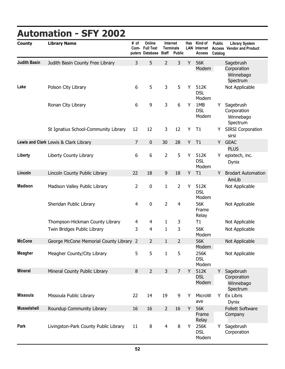#### **County Library Name # of Computers Database Online Full Text Automation - SFY 2002 Staff Public Has LAN Internet Terminals Kind of Internet Access Library System Vendor and Product Public Access Catalog Judith Basin** Judith Basin County Free Library 3 5 2 3 Y 56K Modem Winnebago Spectrum Sagebrush **Corporation Lake** Polson City Library 65 3 5 Y 512K DSL Modem Not Applicable Ronan City Library **6** 4 G 9 3 6 Y 1MB **DSL** Modem Winnebago Spectrum Y Sagebrush Corporation St Ignatius School-Community Library 12 12 3 12 Y T1 sirsi Y SIRSI Corporation **Lewis and Clark** Lewis & Clark Library **7** 7 0 30 28 Y T1 **PLUS** Y GEAC Liberty Liberty County Library **6** 6 2 5 Y 512K DSL Modem Dynix Y epixtech, inc. Lincoln Lincoln County Public Library **22 18** 9 18 Y T1 AmLib Y Brodart Automation **Madison** Madison Valley Public Library  $\begin{array}{cccc} 2 & 0 & 1 & 2 & Y & 512K \end{array}$ DSL Modem Not Applicable Sheridan Public Library 14 a material data of the 4 a control of the 4 a control of the 56K Frame Relay Not Applicable Thompson-Hickman County Library  $\begin{array}{ccc} 4 & 4 & 1 & 3 & T1 \end{array}$  Not Applicable Twin Bridges Public Library **3** 4 1 3 56K Modem Not Applicable **McCone** George McCone Memorial County Library 2 2 1 2 56K Modem Not Applicable **Meagher** Meagher County/City Library 55 1 5 256K DSL Modem Not Applicable **Mineral** Mineral County Public Library 8 2 3 7 Y 512K **DSL** Modem Winnebago Spectrum Sagebrush **Corporation** Y **Missoula** Missoula Public Library 22 14 19 9 Y MicroW ave Dynix Y Ex Libris Musselshell Roundup Community Library 16 16 2 16 Y 56K Frame Relay Follett Software **Company Park** Livingston-Park County Public Library 11 8 4 8 Y 256K DSL Modem Y Sagebrush **Corporation**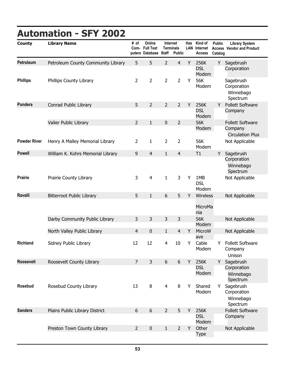# **Automation - SFY 2002**

| <b>County</b>       | <b>Library Name</b>                | # of<br>Com-   | Online<br><b>Full Text</b><br>puters Database Staff |                | <b>Internet</b><br><b>Terminals</b><br><b>Public</b> | Has | Kind of<br><b>LAN</b> Internet<br><b>Access</b> | <b>Public</b><br><b>Access</b><br>Catalog | <b>Library System</b><br><b>Vendor and Product</b> |
|---------------------|------------------------------------|----------------|-----------------------------------------------------|----------------|------------------------------------------------------|-----|-------------------------------------------------|-------------------------------------------|----------------------------------------------------|
| <b>Petroleum</b>    | Petroleum County Community Library | 5              | 5                                                   | $\overline{2}$ | $\overline{4}$                                       | Y   | 256K<br><b>DSL</b><br>Modem                     | Y                                         | Sagebrush<br>Corporation                           |
| <b>Phillips</b>     | Phillips County Library            | $\overline{2}$ | $\overline{2}$                                      | $\overline{2}$ | $\overline{2}$                                       | Y   | 56K<br>Modem                                    |                                           | Sagebrush<br>Corporation<br>Winnebago<br>Spectrum  |
| Pondera             | Conrad Public Library              | 5              | $\overline{2}$                                      | $\overline{2}$ | $\overline{2}$                                       | Y   | 256K<br><b>DSL</b><br>Modem                     | Y.                                        | <b>Follett Software</b><br>Company                 |
|                     | Valier Public Library              | $\overline{2}$ | $\mathbf{1}$                                        | $\pmb{0}$      | $\overline{2}$                                       |     | 56K                                             |                                           | <b>Follett Software</b>                            |
|                     |                                    |                |                                                     |                |                                                      |     | Modem                                           |                                           | Company<br><b>Circulation Plus</b>                 |
| <b>Powder River</b> | Henry A Malley Memorial Library    | $\overline{2}$ | $\mathbf{1}$                                        | $\overline{2}$ | 2                                                    |     | 56K<br>Modem                                    |                                           | Not Applicable                                     |
| <b>Powell</b>       | William K. Kohrs Memorial Library  | 9              | $\overline{4}$                                      | $\mathbf{1}$   | 4                                                    |     | T1                                              | Υ                                         | Sagebrush<br>Corporation<br>Winnebago<br>Spectrum  |
| <b>Prairie</b>      | Prairie County Library             | 3              | 4                                                   | $\mathbf{1}$   | $\mathsf{3}$                                         | Y   | 1MB<br><b>DSL</b><br>Modem                      |                                           | Not Applicable                                     |
| Ravalli             | <b>Bitterroot Public Library</b>   | 5              | $\mathbf{1}$                                        | 6              | 5                                                    | Y   | Wireless<br>MicroMa<br>nia                      |                                           | Not Applicable                                     |
|                     | Darby Community Public Library     | 3              | 3                                                   | $\overline{3}$ | 3                                                    |     | 56K<br>Modem                                    |                                           | Not Applicable                                     |
|                     | North Valley Public Library        | 4              | 0                                                   | $\mathbf{1}$   | 4                                                    | Y   | MicroW<br>ave                                   |                                           | Not Applicable                                     |
| <b>Richland</b>     | Sidney Public Library              | 12             | 12                                                  | 4              | 10                                                   | Υ   | Cable<br>Modem                                  | Y                                         | <b>Follett Software</b><br>Company<br>Unison       |
| <b>Roosevelt</b>    | Roosevelt County Library           | $\overline{7}$ | 3                                                   | 6              | 6                                                    | Y   | 256K                                            | Υ                                         | Sagebrush                                          |
|                     |                                    |                |                                                     |                |                                                      |     | <b>DSL</b><br>Modem                             |                                           | Corporation<br>Winnebago<br>Spectrum               |
| <b>Rosebud</b>      | Rosebud County Library             | 13             | 8                                                   | $\overline{4}$ | $\, 8$                                               | Y   | Shared<br>Modem                                 | Y                                         | Sagebrush<br>Corporation<br>Winnebago<br>Spectrum  |
| <b>Sanders</b>      | Plains Public Library District     | 6              | $6\,$                                               | $\overline{2}$ | 5                                                    | Y   | 256K<br><b>DSL</b><br>Modem                     |                                           | <b>Follett Software</b><br>Company                 |
|                     | Preston Town County Library        | $\overline{2}$ | $\pmb{0}$                                           | $\mathbf{1}$   | $\overline{2}$                                       | Y   | Other<br><b>Type</b>                            |                                           | Not Applicable                                     |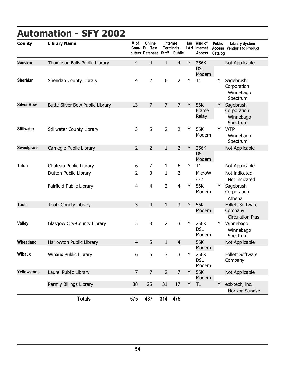# **Automation - SFY 2002**

| <b>County</b>     | <b>Library Name</b>             | # of<br>Com-   | Online<br><b>Full Text</b><br>puters Database Staff |                | <b>Internet</b><br>Terminals<br><b>Public</b> | Has | Kind of<br><b>LAN</b> Internet<br>Access | <b>Public</b><br>Catalog | <b>Library System</b><br><b>Access Vendor and Product</b>     |
|-------------------|---------------------------------|----------------|-----------------------------------------------------|----------------|-----------------------------------------------|-----|------------------------------------------|--------------------------|---------------------------------------------------------------|
| <b>Sanders</b>    | Thompson Falls Public Library   | $\overline{4}$ | $\overline{4}$                                      | $\mathbf{1}$   | $\overline{4}$                                | Y   | 256K                                     |                          | Not Applicable                                                |
|                   |                                 |                |                                                     |                |                                               |     | <b>DSL</b><br>Modem                      |                          |                                                               |
| <b>Sheridan</b>   | Sheridan County Library         | $\overline{4}$ | $\overline{2}$                                      | 6              | $\overline{2}$                                | Υ   | T1                                       | Y                        | Sagebrush<br>Corporation<br>Winnebago<br>Spectrum             |
| <b>Silver Bow</b> | Butte-Silver Bow Public Library | 13             | $\overline{7}$                                      | $\overline{7}$ | $\overline{7}$                                | Y   | 56K                                      | Y                        | Sagebrush                                                     |
|                   |                                 |                |                                                     |                |                                               |     | Frame<br>Relay                           |                          | Corporation<br>Winnebago<br>Spectrum                          |
| <b>Stillwater</b> | Stillwater County Library       | 3              | 5                                                   | $\overline{2}$ | $\overline{2}$                                | Υ   | 56K<br>Modem                             | Y                        | <b>WTP</b><br>Winnebago<br>Spectrum                           |
| <b>Sweetgrass</b> | Carnegie Public Library         | $\overline{2}$ | $\overline{2}$                                      | $\mathbf{1}$   | $\overline{2}$                                | Y   | 256K                                     |                          | Not Applicable                                                |
|                   |                                 |                |                                                     |                |                                               |     | <b>DSL</b><br>Modem                      |                          |                                                               |
| <b>Teton</b>      | Choteau Public Library          | 6              | 7                                                   | 1              | 6                                             | Υ   | T1                                       |                          | Not Applicable                                                |
|                   | Dutton Public Library           | $\overline{2}$ | 0                                                   | $\mathbf{1}$   | $\overline{2}$                                |     | MicroW<br>ave                            |                          | Not indicated<br>Not indicated                                |
|                   | Fairfield Public Library        | 4              | $\overline{4}$                                      | $\overline{2}$ | $\overline{4}$                                | Y   | 56K<br>Modem                             | Y                        | Sagebrush<br>Corporation<br>Athena                            |
| <b>Toole</b>      | <b>Toole County Library</b>     | 3              | $\overline{4}$                                      | $\mathbf{1}$   | 3                                             | Υ   | 56K<br>Modem                             |                          | <b>Follett Software</b><br>Company<br><b>Circulation Plus</b> |
| <b>Valley</b>     | Glasgow City-County Library     | 5              | 3                                                   | $\overline{2}$ | 3                                             | Υ   | 256K<br><b>DSL</b><br>Modem              | Y                        | Winnebago<br>Winnebago<br>Spectrum                            |
| Wheatland         | Harlowton Public Library        | 4              | 5                                                   | $\mathbf{1}$   | $\overline{4}$                                |     | 56K<br>Modem                             |                          | Not Applicable                                                |
| <b>Wibaux</b>     | Wibaux Public Library           | 6              | 6                                                   | 3              | 3                                             | Υ   | 256K<br><b>DSL</b><br>Modem              |                          | Follett Software<br>Company                                   |
| Yellowstone       | Laurel Public Library           | $\overline{7}$ | $\overline{7}$                                      | $\overline{2}$ | $\overline{7}$                                | Y   | 56K<br>Modem                             |                          | Not Applicable                                                |
|                   | Parmly Billings Library         | 38             | 25                                                  | 31             | $17$                                          | Y   | T1                                       | Y                        | epixtech, inc.<br><b>Horizon Sunrise</b>                      |
|                   | <b>Totals</b>                   | 575            | 437                                                 | 314            | 475                                           |     |                                          |                          |                                                               |